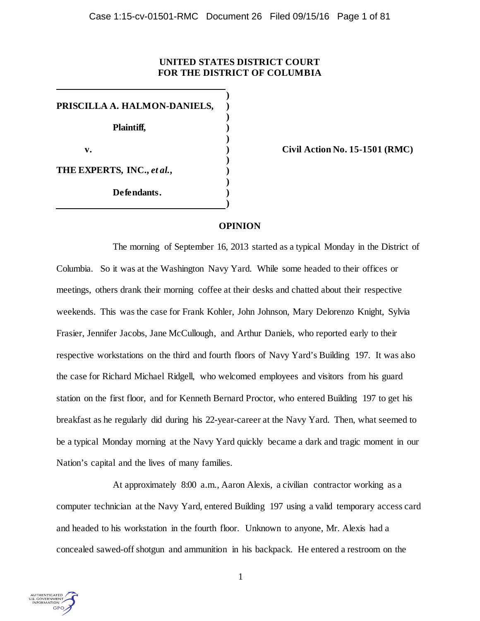# **UNITED STATES DISTRICT COURT FOR THE DISTRICT OF COLUMBIA**

**) PRISCILLA A. HALMON-DANIELS, ) ) Plaintiff, ) ) v. ) Civil Action No. 15-1501 (RMC) ) THE EXPERTS, INC.,** *et al.***, ) ) Defendants. ) )**

## **OPINION**

The morning of September 16, 2013 started as a typical Monday in the District of Columbia. So it was at the Washington Navy Yard. While some headed to their offices or meetings, others drank their morning coffee at their desks and chatted about their respective weekends. This was the case for Frank Kohler, John Johnson, Mary Delorenzo Knight, Sylvia Frasier, Jennifer Jacobs, Jane McCullough, and Arthur Daniels, who reported early to their respective workstations on the third and fourth floors of Navy Yard's Building 197. It was also the case for Richard Michael Ridgell, who welcomed employees and visitors from his guard station on the first floor, and for Kenneth Bernard Proctor, who entered Building 197 to get his breakfast as he regularly did during his 22-year-career at the Navy Yard. Then, what seemed to be a typical Monday morning at the Navy Yard quickly became a dark and tragic moment in our Nation's capital and the lives of many families.

At approximately 8:00 a.m., Aaron Alexis, a civilian contractor working as a computer technician at the Navy Yard, entered Building 197 using a valid temporary access card and headed to his workstation in the fourth floor. Unknown to anyone, Mr. Alexis had a concealed sawed-off shotgun and ammunition in his backpack. He entered a restroom on the

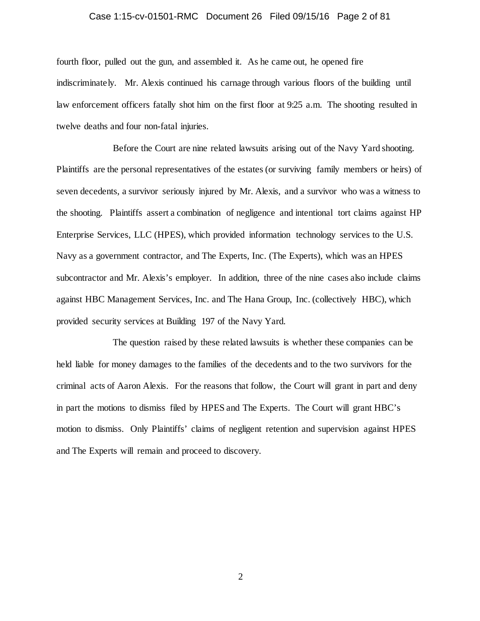## Case 1:15-cv-01501-RMC Document 26 Filed 09/15/16 Page 2 of 81

fourth floor, pulled out the gun, and assembled it. As he came out, he opened fire indiscriminately. Mr. Alexis continued his carnage through various floors of the building until law enforcement officers fatally shot him on the first floor at 9:25 a.m. The shooting resulted in twelve deaths and four non-fatal injuries.

Before the Court are nine related lawsuits arising out of the Navy Yard shooting. Plaintiffs are the personal representatives of the estates (or surviving family members or heirs) of seven decedents, a survivor seriously injured by Mr. Alexis, and a survivor who was a witness to the shooting. Plaintiffs assert a combination of negligence and intentional tort claims against HP Enterprise Services, LLC (HPES), which provided information technology services to the U.S. Navy as a government contractor, and The Experts, Inc. (The Experts), which was an HPES subcontractor and Mr. Alexis's employer. In addition, three of the nine cases also include claims against HBC Management Services, Inc. and The Hana Group, Inc. (collectively HBC), which provided security services at Building 197 of the Navy Yard.

The question raised by these related lawsuits is whether these companies can be held liable for money damages to the families of the decedents and to the two survivors for the criminal acts of Aaron Alexis. For the reasons that follow, the Court will grant in part and deny in part the motions to dismiss filed by HPES and The Experts. The Court will grant HBC's motion to dismiss. Only Plaintiffs' claims of negligent retention and supervision against HPES and The Experts will remain and proceed to discovery.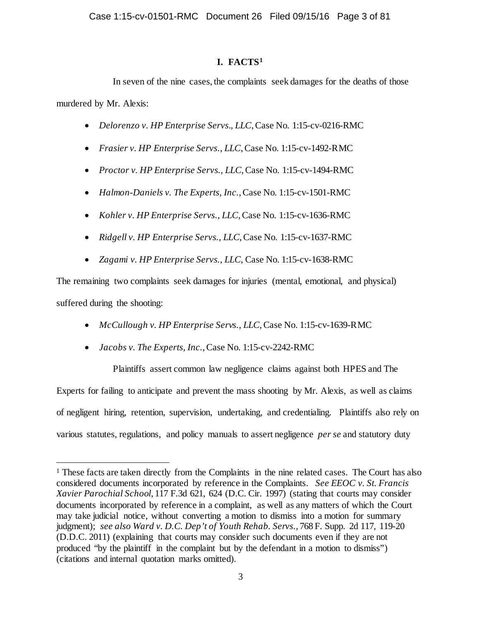# **I. FACTS[1](#page-2-0)**

In seven of the nine cases, the complaints seek damages for the deaths of those murdered by Mr. Alexis:

- *Delorenzo v. HP Enterprise Servs., LLC*, Case No. 1:15-cv-0216-RMC
- *Frasier v. HP Enterprise Servs., LLC*, Case No. 1:15-cv-1492-RMC
- *Proctor v. HP Enterprise Servs., LLC*, Case No. 1:15-cv-1494-RMC
- *Halmon-Daniels v. The Experts, Inc.*, Case No. 1:15-cv-1501-RMC
- *Kohler v. HP Enterprise Servs., LLC*, Case No. 1:15-cv-1636-RMC
- *Ridgell v. HP Enterprise Servs., LLC*, Case No. 1:15-cv-1637-RMC
- *Zagami v. HP Enterprise Servs., LLC*, Case No. 1:15-cv-1638-RMC

The remaining two complaints seek damages for injuries (mental, emotional, and physical) suffered during the shooting:

- *McCullough v. HP Enterprise Servs., LLC*, Case No. 1:15-cv-1639-RMC
- *Jacobs v. The Experts, Inc.*, Case No. 1:15-cv-2242-RMC

Plaintiffs assert common law negligence claims against both HPES and The Experts for failing to anticipate and prevent the mass shooting by Mr. Alexis, as well as claims of negligent hiring, retention, supervision, undertaking, and credentialing. Plaintiffs also rely on various statutes, regulations, and policy manuals to assert negligence *per se* and statutory duty

<span id="page-2-0"></span><sup>&</sup>lt;sup>1</sup> These facts are taken directly from the Complaints in the nine related cases. The Court has also considered documents incorporated by reference in the Complaints. *See EEOC v. St. Francis Xavier Parochial School*, 117 F.3d 621, 624 (D.C. Cir. 1997) (stating that courts may consider documents incorporated by reference in a complaint, as well as any matters of which the Court may take judicial notice, without converting a motion to dismiss into a motion for summary judgment); *see also Ward v. D.C. Dep't of Youth Rehab. Servs.*, 768 F. Supp. 2d 117, 119-20 (D.D.C. 2011) (explaining that courts may consider such documents even if they are not produced "by the plaintiff in the complaint but by the defendant in a motion to dismiss") (citations and internal quotation marks omitted).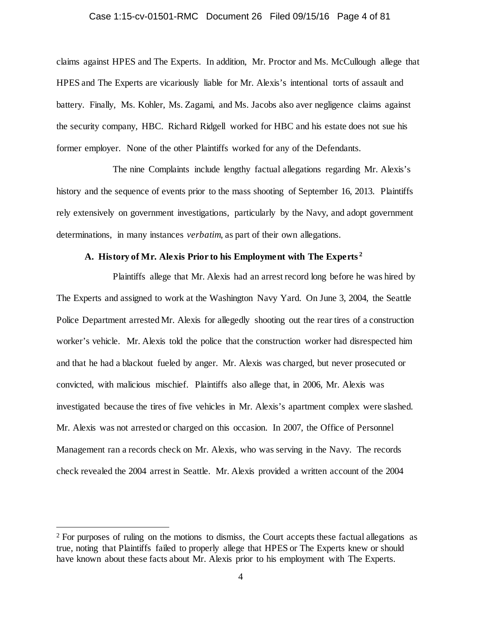#### Case 1:15-cv-01501-RMC Document 26 Filed 09/15/16 Page 4 of 81

claims against HPES and The Experts. In addition, Mr. Proctor and Ms. McCullough allege that HPES and The Experts are vicariously liable for Mr. Alexis's intentional torts of assault and battery. Finally, Ms. Kohler, Ms. Zagami, and Ms. Jacobs also aver negligence claims against the security company, HBC. Richard Ridgell worked for HBC and his estate does not sue his former employer. None of the other Plaintiffs worked for any of the Defendants.

The nine Complaints include lengthy factual allegations regarding Mr. Alexis's history and the sequence of events prior to the mass shooting of September 16, 2013. Plaintiffs rely extensively on government investigations, particularly by the Navy, and adopt government determinations, in many instances *verbatim*, as part of their own allegations.

## **A. History of Mr. Alexis Prior to his Employment with The Experts [2](#page-3-0)**

Plaintiffs allege that Mr. Alexis had an arrest record long before he was hired by The Experts and assigned to work at the Washington Navy Yard. On June 3, 2004, the Seattle Police Department arrested Mr. Alexis for allegedly shooting out the rear tires of a construction worker's vehicle. Mr. Alexis told the police that the construction worker had disrespected him and that he had a blackout fueled by anger. Mr. Alexis was charged, but never prosecuted or convicted, with malicious mischief. Plaintiffs also allege that, in 2006, Mr. Alexis was investigated because the tires of five vehicles in Mr. Alexis's apartment complex were slashed. Mr. Alexis was not arrested or charged on this occasion. In 2007, the Office of Personnel Management ran a records check on Mr. Alexis, who was serving in the Navy. The records check revealed the 2004 arrest in Seattle. Mr. Alexis provided a written account of the 2004

<span id="page-3-0"></span><sup>&</sup>lt;sup>2</sup> For purposes of ruling on the motions to dismiss, the Court accepts these factual allegations as true, noting that Plaintiffs failed to properly allege that HPES or The Experts knew or should have known about these facts about Mr. Alexis prior to his employment with The Experts.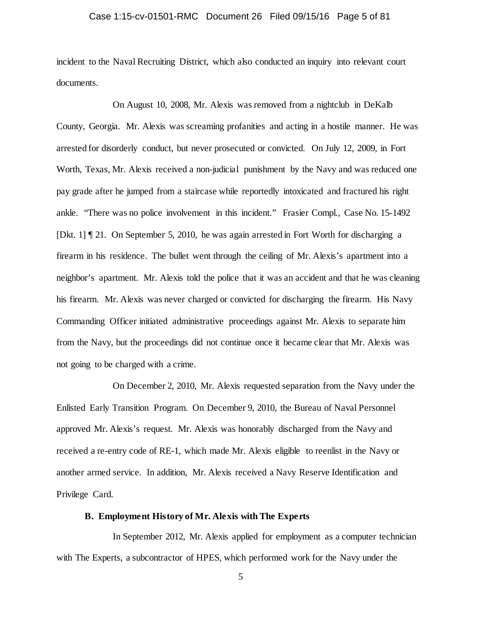## Case 1:15-cv-01501-RMC Document 26 Filed 09/15/16 Page 5 of 81

incident to the Naval Recruiting District, which also conducted an inquiry into relevant court documents.

On August 10, 2008, Mr. Alexis was removed from a nightclub in DeKalb County, Georgia. Mr. Alexis was screaming profanities and acting in a hostile manner. He was arrested for disorderly conduct, but never prosecuted or convicted. On July 12, 2009, in Fort Worth, Texas, Mr. Alexis received a non-judicial punishment by the Navy and was reduced one pay grade after he jumped from a staircase while reportedly intoxicated and fractured his right ankle. "There was no police involvement in this incident." Frasier Compl., Case No. 15-1492 [Dkt. 1] ¶ 21. On September 5, 2010, he was again arrested in Fort Worth for discharging a firearm in his residence. The bullet went through the ceiling of Mr. Alexis's apartment into a neighbor's apartment. Mr. Alexis told the police that it was an accident and that he was cleaning his firearm. Mr. Alexis was never charged or convicted for discharging the firearm. His Navy Commanding Officer initiated administrative proceedings against Mr. Alexis to separate him from the Navy, but the proceedings did not continue once it became clear that Mr. Alexis was not going to be charged with a crime.

On December 2, 2010, Mr. Alexis requested separation from the Navy under the Enlisted Early Transition Program. On December 9, 2010, the Bureau of Naval Personnel approved Mr. Alexis's request. Mr. Alexis was honorably discharged from the Navy and received a re-entry code of RE-1, which made Mr. Alexis eligible to reenlist in the Navy or another armed service. In addition, Mr. Alexis received a Navy Reserve Identification and Privilege Card.

## **B. Employment History of Mr. Alexis with The Experts**

In September 2012, Mr. Alexis applied for employment as a computer technician with The Experts, a subcontractor of HPES, which performed work for the Navy under the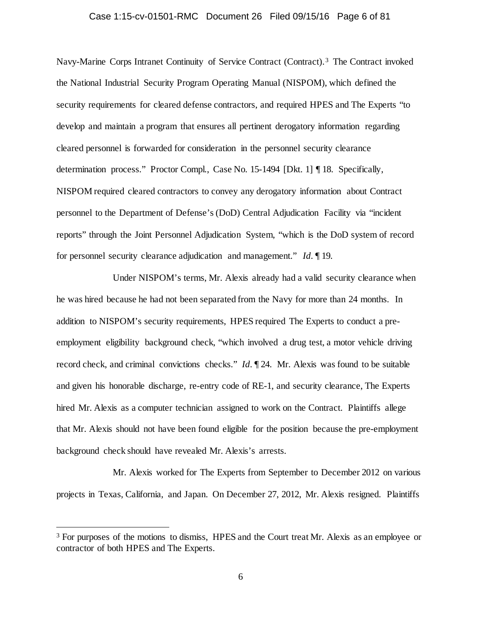## Case 1:15-cv-01501-RMC Document 26 Filed 09/15/16 Page 6 of 81

Navy-Marine Corps Intranet Continuity of Service Contract (Contract). [3](#page-5-0) The Contract invoked the National Industrial Security Program Operating Manual (NISPOM), which defined the security requirements for cleared defense contractors, and required HPES and The Experts "to develop and maintain a program that ensures all pertinent derogatory information regarding cleared personnel is forwarded for consideration in the personnel security clearance determination process." Proctor Compl., Case No. 15-1494 [Dkt. 1] ¶ 18. Specifically, NISPOM required cleared contractors to convey any derogatory information about Contract personnel to the Department of Defense's (DoD) Central Adjudication Facility via "incident reports" through the Joint Personnel Adjudication System, "which is the DoD system of record for personnel security clearance adjudication and management." *Id.* ¶ 19.

Under NISPOM's terms, Mr. Alexis already had a valid security clearance when he was hired because he had not been separated from the Navy for more than 24 months. In addition to NISPOM's security requirements, HPES required The Experts to conduct a preemployment eligibility background check, "which involved a drug test, a motor vehicle driving record check, and criminal convictions checks." *Id.* ¶ 24. Mr. Alexis was found to be suitable and given his honorable discharge, re-entry code of RE-1, and security clearance, The Experts hired Mr. Alexis as a computer technician assigned to work on the Contract. Plaintiffs allege that Mr. Alexis should not have been found eligible for the position because the pre-employment background check should have revealed Mr. Alexis's arrests.

Mr. Alexis worked for The Experts from September to December 2012 on various projects in Texas, California, and Japan. On December 27, 2012, Mr. Alexis resigned. Plaintiffs

<span id="page-5-0"></span><sup>&</sup>lt;sup>3</sup> For purposes of the motions to dismiss, HPES and the Court treat Mr. Alexis as an employee or contractor of both HPES and The Experts.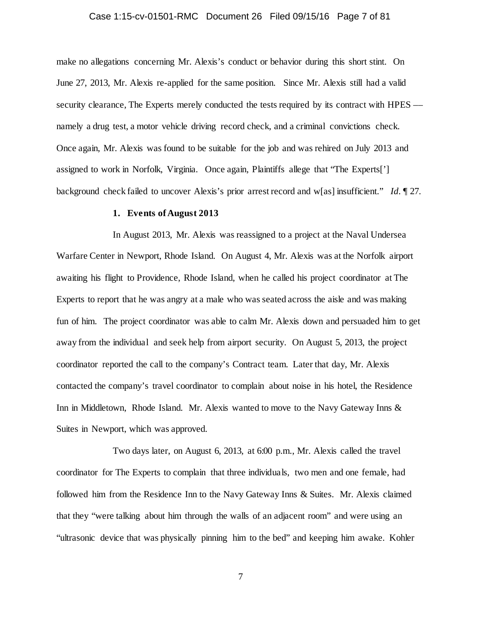## Case 1:15-cv-01501-RMC Document 26 Filed 09/15/16 Page 7 of 81

make no allegations concerning Mr. Alexis's conduct or behavior during this short stint. On June 27, 2013, Mr. Alexis re-applied for the same position. Since Mr. Alexis still had a valid security clearance. The Experts merely conducted the tests required by its contract with HPES –– namely a drug test, a motor vehicle driving record check, and a criminal convictions check. Once again, Mr. Alexis was found to be suitable for the job and was rehired on July 2013 and assigned to work in Norfolk, Virginia. Once again, Plaintiffs allege that "The Experts['] background check failed to uncover Alexis's prior arrest record and w[as] insufficient." *Id.* ¶ 27.

## **1. Events of August 2013**

In August 2013, Mr. Alexis was reassigned to a project at the Naval Undersea Warfare Center in Newport, Rhode Island. On August 4, Mr. Alexis was at the Norfolk airport awaiting his flight to Providence, Rhode Island, when he called his project coordinator at The Experts to report that he was angry at a male who was seated across the aisle and was making fun of him. The project coordinator was able to calm Mr. Alexis down and persuaded him to get away from the individual and seek help from airport security. On August 5, 2013, the project coordinator reported the call to the company's Contract team. Later that day, Mr. Alexis contacted the company's travel coordinator to complain about noise in his hotel, the Residence Inn in Middletown, Rhode Island. Mr. Alexis wanted to move to the Navy Gateway Inns & Suites in Newport, which was approved.

Two days later, on August 6, 2013, at 6:00 p.m., Mr. Alexis called the travel coordinator for The Experts to complain that three individuals, two men and one female, had followed him from the Residence Inn to the Navy Gateway Inns & Suites. Mr. Alexis claimed that they "were talking about him through the walls of an adjacent room" and were using an "ultrasonic device that was physically pinning him to the bed" and keeping him awake. Kohler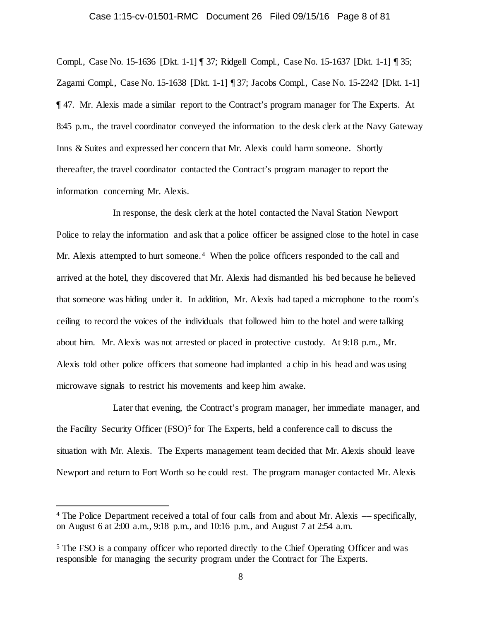## Case 1:15-cv-01501-RMC Document 26 Filed 09/15/16 Page 8 of 81

Compl., Case No. 15-1636 [Dkt. 1-1] ¶ 37; Ridgell Compl., Case No. 15-1637 [Dkt. 1-1] ¶ 35; Zagami Compl., Case No. 15-1638 [Dkt. 1-1] ¶ 37; Jacobs Compl., Case No. 15-2242 [Dkt. 1-1] ¶ 47. Mr. Alexis made a similar report to the Contract's program manager for The Experts. At 8:45 p.m., the travel coordinator conveyed the information to the desk clerk at the Navy Gateway Inns & Suites and expressed her concern that Mr. Alexis could harm someone. Shortly thereafter, the travel coordinator contacted the Contract's program manager to report the information concerning Mr. Alexis.

In response, the desk clerk at the hotel contacted the Naval Station Newport Police to relay the information and ask that a police officer be assigned close to the hotel in case Mr. Alexis attempted to hurt someone.<sup>[4](#page-7-0)</sup> When the police officers responded to the call and arrived at the hotel, they discovered that Mr. Alexis had dismantled his bed because he believed that someone was hiding under it. In addition, Mr. Alexis had taped a microphone to the room's ceiling to record the voices of the individuals that followed him to the hotel and were talking about him. Mr. Alexis was not arrested or placed in protective custody. At 9:18 p.m., Mr. Alexis told other police officers that someone had implanted a chip in his head and was using microwave signals to restrict his movements and keep him awake.

Later that evening, the Contract's program manager, her immediate manager, and the Facility Security Officer  $(FSO)^5$  $(FSO)^5$  for The Experts, held a conference call to discuss the situation with Mr. Alexis. The Experts management team decided that Mr. Alexis should leave Newport and return to Fort Worth so he could rest. The program manager contacted Mr. Alexis

<span id="page-7-0"></span> <sup>4</sup> The Police Department received a total of four calls from and about Mr. Alexis –– specifically, on August 6 at 2:00 a.m., 9:18 p.m., and 10:16 p.m., and August 7 at 2:54 a.m.

<span id="page-7-1"></span><sup>5</sup> The FSO is a company officer who reported directly to the Chief Operating Officer and was responsible for managing the security program under the Contract for The Experts.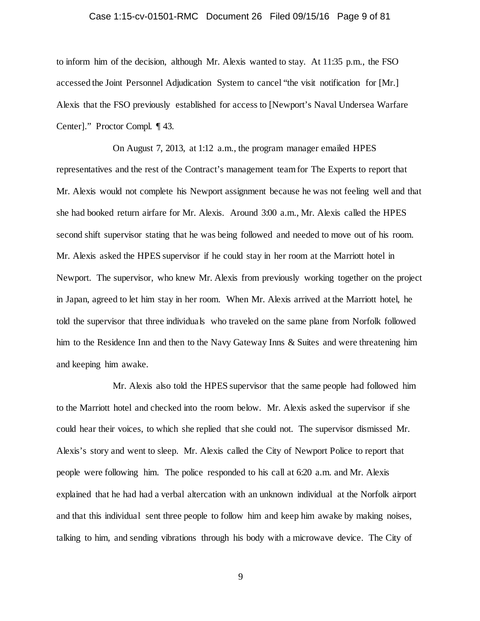## Case 1:15-cv-01501-RMC Document 26 Filed 09/15/16 Page 9 of 81

to inform him of the decision, although Mr. Alexis wanted to stay. At 11:35 p.m., the FSO accessed the Joint Personnel Adjudication System to cancel "the visit notification for [Mr.] Alexis that the FSO previously established for access to [Newport's Naval Undersea Warfare Center]." Proctor Compl. ¶ 43.

On August 7, 2013, at 1:12 a.m., the program manager emailed HPES representatives and the rest of the Contract's management team for The Experts to report that Mr. Alexis would not complete his Newport assignment because he was not feeling well and that she had booked return airfare for Mr. Alexis. Around 3:00 a.m., Mr. Alexis called the HPES second shift supervisor stating that he was being followed and needed to move out of his room. Mr. Alexis asked the HPES supervisor if he could stay in her room at the Marriott hotel in Newport. The supervisor, who knew Mr. Alexis from previously working together on the project in Japan, agreed to let him stay in her room. When Mr. Alexis arrived at the Marriott hotel, he told the supervisor that three individuals who traveled on the same plane from Norfolk followed him to the Residence Inn and then to the Navy Gateway Inns & Suites and were threatening him and keeping him awake.

Mr. Alexis also told the HPES supervisor that the same people had followed him to the Marriott hotel and checked into the room below. Mr. Alexis asked the supervisor if she could hear their voices, to which she replied that she could not. The supervisor dismissed Mr. Alexis's story and went to sleep. Mr. Alexis called the City of Newport Police to report that people were following him. The police responded to his call at 6:20 a.m. and Mr. Alexis explained that he had had a verbal altercation with an unknown individual at the Norfolk airport and that this individual sent three people to follow him and keep him awake by making noises, talking to him, and sending vibrations through his body with a microwave device. The City of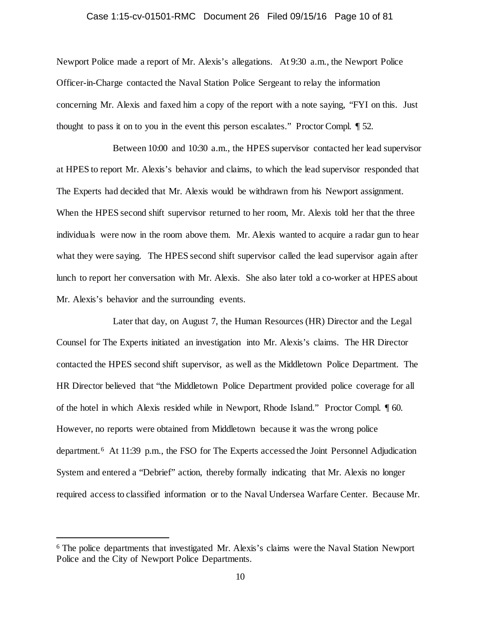## Case 1:15-cv-01501-RMC Document 26 Filed 09/15/16 Page 10 of 81

Newport Police made a report of Mr. Alexis's allegations. At 9:30 a.m., the Newport Police Officer-in-Charge contacted the Naval Station Police Sergeant to relay the information concerning Mr. Alexis and faxed him a copy of the report with a note saying, "FYI on this. Just thought to pass it on to you in the event this person escalates." Proctor Compl. ¶ 52.

Between 10:00 and 10:30 a.m., the HPES supervisor contacted her lead supervisor at HPES to report Mr. Alexis's behavior and claims, to which the lead supervisor responded that The Experts had decided that Mr. Alexis would be withdrawn from his Newport assignment. When the HPES second shift supervisor returned to her room, Mr. Alexis told her that the three individuals were now in the room above them. Mr. Alexis wanted to acquire a radar gun to hear what they were saying. The HPES second shift supervisor called the lead supervisor again after lunch to report her conversation with Mr. Alexis. She also later told a co-worker at HPES about Mr. Alexis's behavior and the surrounding events.

Later that day, on August 7, the Human Resources (HR) Director and the Legal Counsel for The Experts initiated an investigation into Mr. Alexis's claims. The HR Director contacted the HPES second shift supervisor, as well as the Middletown Police Department. The HR Director believed that "the Middletown Police Department provided police coverage for all of the hotel in which Alexis resided while in Newport, Rhode Island." Proctor Compl. ¶ 60. However, no reports were obtained from Middletown because it was the wrong police department.[6](#page-9-0) At 11:39 p.m., the FSO for The Experts accessed the Joint Personnel Adjudication System and entered a "Debrief" action, thereby formally indicating that Mr. Alexis no longer required access to classified information or to the Naval Undersea Warfare Center. Because Mr.

<span id="page-9-0"></span> <sup>6</sup> The police departments that investigated Mr. Alexis's claims were the Naval Station Newport Police and the City of Newport Police Departments.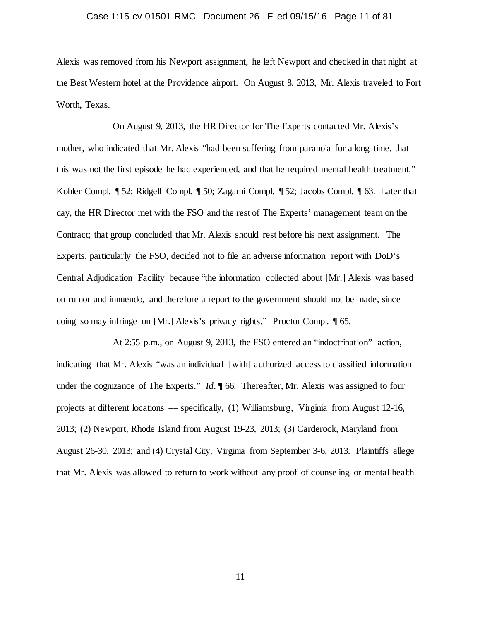## Case 1:15-cv-01501-RMC Document 26 Filed 09/15/16 Page 11 of 81

Alexis was removed from his Newport assignment, he left Newport and checked in that night at the Best Western hotel at the Providence airport. On August 8, 2013, Mr. Alexis traveled to Fort Worth, Texas.

On August 9, 2013, the HR Director for The Experts contacted Mr. Alexis's mother, who indicated that Mr. Alexis "had been suffering from paranoia for a long time, that this was not the first episode he had experienced, and that he required mental health treatment." Kohler Compl. ¶ 52; Ridgell Compl. ¶ 50; Zagami Compl. ¶ 52; Jacobs Compl. ¶ 63. Later that day, the HR Director met with the FSO and the rest of The Experts' management team on the Contract; that group concluded that Mr. Alexis should rest before his next assignment. The Experts, particularly the FSO, decided not to file an adverse information report with DoD's Central Adjudication Facility because "the information collected about [Mr.] Alexis was based on rumor and innuendo, and therefore a report to the government should not be made, since doing so may infringe on [Mr.] Alexis's privacy rights." Proctor Compl. ¶ 65.

At 2:55 p.m., on August 9, 2013, the FSO entered an "indoctrination" action, indicating that Mr. Alexis "was an individual [with] authorized access to classified information under the cognizance of The Experts." *Id.*  $\parallel$  66. Thereafter, Mr. Alexis was assigned to four projects at different locations –– specifically, (1) Williamsburg, Virginia from August 12-16, 2013; (2) Newport, Rhode Island from August 19-23, 2013; (3) Carderock, Maryland from August 26-30, 2013; and (4) Crystal City, Virginia from September 3-6, 2013. Plaintiffs allege that Mr. Alexis was allowed to return to work without any proof of counseling or mental health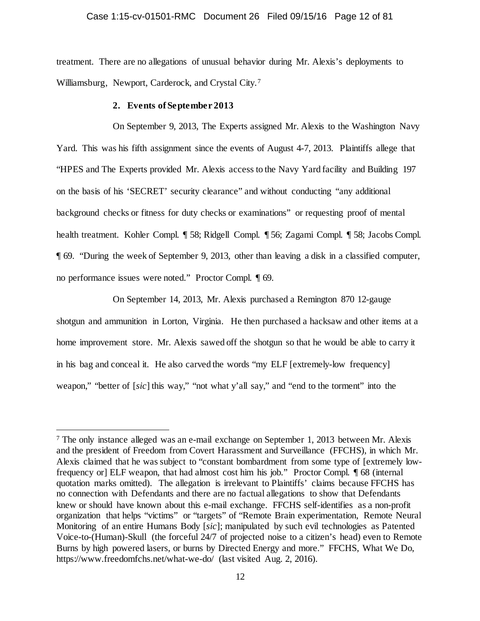## Case 1:15-cv-01501-RMC Document 26 Filed 09/15/16 Page 12 of 81

treatment. There are no allegations of unusual behavior during Mr. Alexis's deployments to Williamsburg, Newport, Carderock, and Crystal City.[7](#page-11-0) 

#### **2. Events of September 2013**

On September 9, 2013, The Experts assigned Mr. Alexis to the Washington Navy Yard. This was his fifth assignment since the events of August 4-7, 2013. Plaintiffs allege that "HPES and The Experts provided Mr. Alexis access to the Navy Yard facility and Building 197 on the basis of his 'SECRET' security clearance" and without conducting "any additional background checks or fitness for duty checks or examinations" or requesting proof of mental health treatment. Kohler Compl. ¶ 58; Ridgell Compl. ¶ 56; Zagami Compl. ¶ 58; Jacobs Compl. ¶ 69. "During the week of September 9, 2013, other than leaving a disk in a classified computer, no performance issues were noted." Proctor Compl. ¶ 69.

On September 14, 2013, Mr. Alexis purchased a Remington 870 12-gauge shotgun and ammunition in Lorton, Virginia. He then purchased a hacksaw and other items at a home improvement store. Mr. Alexis sawed off the shotgun so that he would be able to carry it in his bag and conceal it. He also carved the words "my ELF [extremely-low frequency] weapon," "better of [*sic*] this way," "not what y'all say," and "end to the torment" into the

<span id="page-11-0"></span> <sup>7</sup> The only instance alleged was an e-mail exchange on September 1, 2013 between Mr. Alexis and the president of Freedom from Covert Harassment and Surveillance (FFCHS), in which Mr. Alexis claimed that he was subject to "constant bombardment from some type of [extremely lowfrequency or] ELF weapon, that had almost cost him his job." Proctor Compl. ¶ 68 (internal quotation marks omitted). The allegation is irrelevant to Plaintiffs' claims because FFCHS has no connection with Defendants and there are no factual allegations to show that Defendants knew or should have known about this e-mail exchange. FFCHS self-identifies as a non-profit organization that helps "victims" or "targets" of "Remote Brain experimentation, Remote Neural Monitoring of an entire Humans Body [*sic*]; manipulated by such evil technologies as Patented Voice-to-(Human)-Skull (the forceful 24/7 of projected noise to a citizen's head) even to Remote Burns by high powered lasers, or burns by Directed Energy and more." FFCHS, What We Do, https://www.freedomfchs.net/what-we-do/ (last visited Aug. 2, 2016).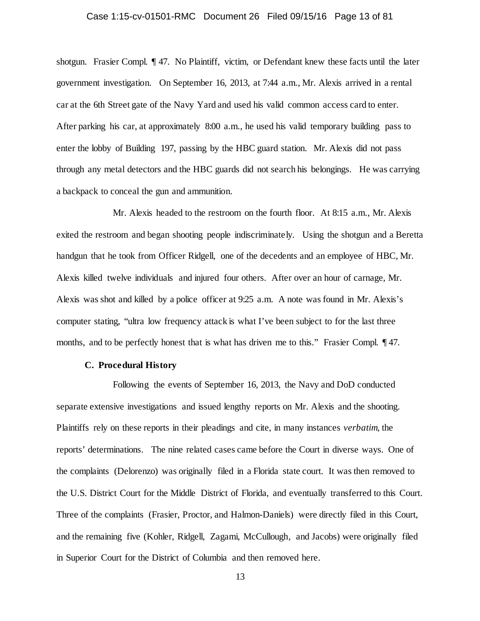## Case 1:15-cv-01501-RMC Document 26 Filed 09/15/16 Page 13 of 81

shotgun. Frasier Compl. ¶ 47. No Plaintiff, victim, or Defendant knew these facts until the later government investigation. On September 16, 2013, at 7:44 a.m., Mr. Alexis arrived in a rental car at the 6th Street gate of the Navy Yard and used his valid common access card to enter. After parking his car, at approximately 8:00 a.m., he used his valid temporary building pass to enter the lobby of Building 197, passing by the HBC guard station. Mr. Alexis did not pass through any metal detectors and the HBC guards did not search his belongings. He was carrying a backpack to conceal the gun and ammunition.

Mr. Alexis headed to the restroom on the fourth floor. At 8:15 a.m., Mr. Alexis exited the restroom and began shooting people indiscriminately. Using the shotgun and a Beretta handgun that he took from Officer Ridgell, one of the decedents and an employee of HBC, Mr. Alexis killed twelve individuals and injured four others. After over an hour of carnage, Mr. Alexis was shot and killed by a police officer at 9:25 a.m. A note was found in Mr. Alexis's computer stating, "ultra low frequency attack is what I've been subject to for the last three months, and to be perfectly honest that is what has driven me to this." Frasier Compl. 147.

## **C. Procedural History**

Following the events of September 16, 2013, the Navy and DoD conducted separate extensive investigations and issued lengthy reports on Mr. Alexis and the shooting. Plaintiffs rely on these reports in their pleadings and cite, in many instances *verbatim*, the reports' determinations. The nine related cases came before the Court in diverse ways. One of the complaints (Delorenzo) was originally filed in a Florida state court. It was then removed to the U.S. District Court for the Middle District of Florida, and eventually transferred to this Court. Three of the complaints (Frasier, Proctor, and Halmon-Daniels) were directly filed in this Court, and the remaining five (Kohler, Ridgell, Zagami, McCullough, and Jacobs) were originally filed in Superior Court for the District of Columbia and then removed here.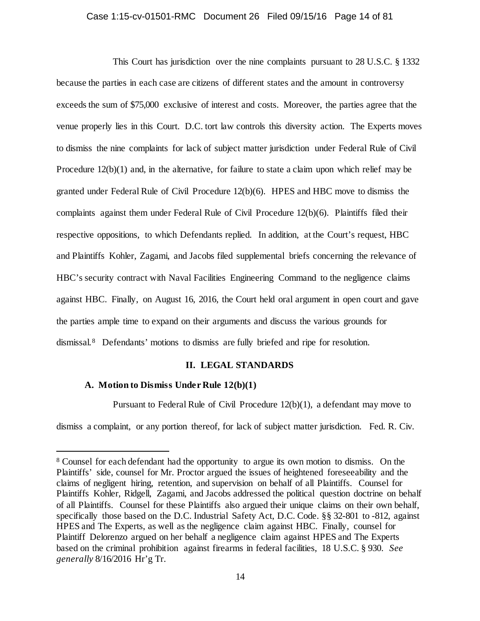## Case 1:15-cv-01501-RMC Document 26 Filed 09/15/16 Page 14 of 81

This Court has jurisdiction over the nine complaints pursuant to 28 U.S.C. § 1332 because the parties in each case are citizens of different states and the amount in controversy exceeds the sum of \$75,000 exclusive of interest and costs. Moreover, the parties agree that the venue properly lies in this Court. D.C. tort law controls this diversity action. The Experts moves to dismiss the nine complaints for lack of subject matter jurisdiction under Federal Rule of Civil Procedure 12(b)(1) and, in the alternative, for failure to state a claim upon which relief may be granted under Federal Rule of Civil Procedure 12(b)(6). HPES and HBC move to dismiss the complaints against them under Federal Rule of Civil Procedure 12(b)(6). Plaintiffs filed their respective oppositions, to which Defendants replied. In addition, at the Court's request, HBC and Plaintiffs Kohler, Zagami, and Jacobs filed supplemental briefs concerning the relevance of HBC's security contract with Naval Facilities Engineering Command to the negligence claims against HBC. Finally, on August 16, 2016, the Court held oral argument in open court and gave the parties ample time to expand on their arguments and discuss the various grounds for dismissal.[8](#page-13-0) Defendants' motions to dismiss are fully briefed and ripe for resolution.

## **II. LEGAL STANDARDS**

## **A. Motion to Dismiss Under Rule 12(b)(1)**

Pursuant to Federal Rule of Civil Procedure 12(b)(1), a defendant may move to

dismiss a complaint, or any portion thereof, for lack of subject matter jurisdiction. Fed. R. Civ.

<span id="page-13-0"></span> <sup>8</sup> Counsel for each defendant had the opportunity to argue its own motion to dismiss. On the Plaintiffs' side, counsel for Mr. Proctor argued the issues of heightened foreseeability and the claims of negligent hiring, retention, and supervision on behalf of all Plaintiffs. Counsel for Plaintiffs Kohler, Ridgell, Zagami, and Jacobs addressed the political question doctrine on behalf of all Plaintiffs. Counsel for these Plaintiffs also argued their unique claims on their own behalf, specifically those based on the D.C. Industrial Safety Act, D.C. Code. §§ 32-801 to -812, against HPES and The Experts, as well as the negligence claim against HBC. Finally, counsel for Plaintiff Delorenzo argued on her behalf a negligence claim against HPES and The Experts based on the criminal prohibition against firearms in federal facilities, 18 U.S.C. § 930. *See generally* 8/16/2016 Hr'g Tr.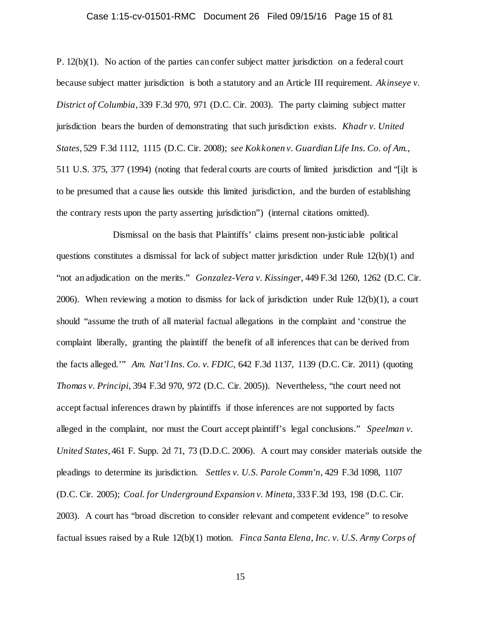## Case 1:15-cv-01501-RMC Document 26 Filed 09/15/16 Page 15 of 81

P. 12(b)(1). No action of the parties can confer subject matter jurisdiction on a federal court because subject matter jurisdiction is both a statutory and an Article III requirement. *Akinseye v. District of Columbia*, 339 F.3d 970, 971 (D.C. Cir. 2003). The party claiming subject matter jurisdiction bears the burden of demonstrating that such jurisdiction exists. *Khadr v. United States*, 529 F.3d 1112, 1115 (D.C. Cir. 2008); *see Kokkonen v. Guardian Life Ins. Co. of Am.*, 511 U.S. 375, 377 (1994) (noting that federal courts are courts of limited jurisdiction and "[i]t is to be presumed that a cause lies outside this limited jurisdiction, and the burden of establishing the contrary rests upon the party asserting jurisdiction") (internal citations omitted).

Dismissal on the basis that Plaintiffs' claims present non-justiciable political questions constitutes a dismissal for lack of subject matter jurisdiction under Rule 12(b)(1) and "not an adjudication on the merits." *Gonzalez-Vera v. Kissinger,* 449 F.3d 1260, 1262 (D.C. Cir. 2006). When reviewing a motion to dismiss for lack of jurisdiction under Rule 12(b)(1), a court should "assume the truth of all material factual allegations in the complaint and 'construe the complaint liberally, granting the plaintiff the benefit of all inferences that can be derived from the facts alleged.'" *Am. Nat'l Ins. Co. v. FDIC*, 642 F.3d 1137, 1139 (D.C. Cir. 2011) (quoting *Thomas v. Principi*, 394 F.3d 970, 972 (D.C. Cir. 2005)). Nevertheless, "the court need not accept factual inferences drawn by plaintiffs if those inferences are not supported by facts alleged in the complaint, nor must the Court accept plaintiff's legal conclusions." *Speelman v. United States*, 461 F. Supp. 2d 71, 73 (D.D.C. 2006). A court may consider materials outside the pleadings to determine its jurisdiction. *Settles v. U.S. Parole Comm'n*, 429 F.3d 1098, 1107 (D.C. Cir. 2005); *Coal. for Underground Expansion v. Mineta*, 333 F.3d 193, 198 (D.C. Cir. 2003). A court has "broad discretion to consider relevant and competent evidence" to resolve factual issues raised by a Rule 12(b)(1) motion. *Finca Santa Elena, Inc. v. U.S. Army Corps of*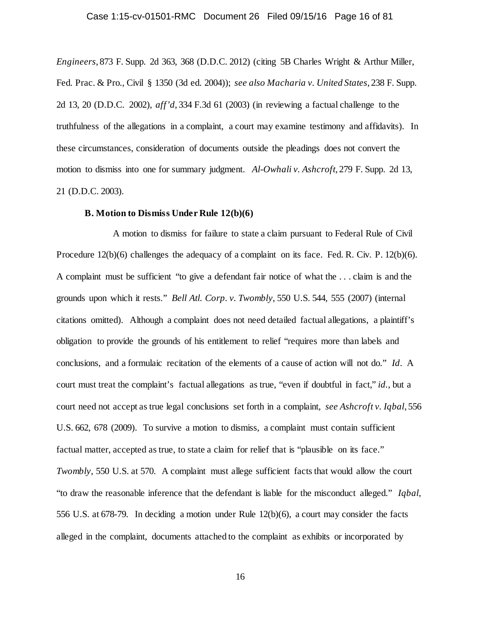## Case 1:15-cv-01501-RMC Document 26 Filed 09/15/16 Page 16 of 81

*Engineers*, 873 F. Supp. 2d 363, 368 (D.D.C. 2012) (citing 5B Charles Wright & Arthur Miller, Fed. Prac. & Pro., Civil § 1350 (3d ed. 2004)); *see also Macharia v. United States*, 238 F. Supp. 2d 13, 20 (D.D.C. 2002), *aff'd*, 334 F.3d 61 (2003) (in reviewing a factual challenge to the truthfulness of the allegations in a complaint, a court may examine testimony and affidavits). In these circumstances, consideration of documents outside the pleadings does not convert the motion to dismiss into one for summary judgment. *Al-Owhali v. Ashcroft*, 279 F. Supp. 2d 13, 21 (D.D.C. 2003).

### **B. Motion to Dismiss Under Rule 12(b)(6)**

A motion to dismiss for failure to state a claim pursuant to Federal Rule of Civil Procedure 12(b)(6) challenges the adequacy of a complaint on its face. Fed. R. Civ. P. 12(b)(6). A complaint must be sufficient "to give a defendant fair notice of what the . . . claim is and the grounds upon which it rests." *Bell Atl. Corp. v. Twombly*, 550 U.S. 544, 555 (2007) (internal citations omitted). Although a complaint does not need detailed factual allegations, a plaintiff's obligation to provide the grounds of his entitlement to relief "requires more than labels and conclusions, and a formulaic recitation of the elements of a cause of action will not do." *Id*. A court must treat the complaint's factual allegations as true, "even if doubtful in fact," *id.*, but a court need not accept as true legal conclusions set forth in a complaint, *see Ashcroft v. Iqbal*, 556 U.S. 662, 678 (2009). To survive a motion to dismiss, a complaint must contain sufficient factual matter, accepted as true, to state a claim for relief that is "plausible on its face." *Twombly*, 550 U.S. at 570. A complaint must allege sufficient facts that would allow the court "to draw the reasonable inference that the defendant is liable for the misconduct alleged." *Iqbal*, 556 U.S. at 678-79. In deciding a motion under Rule 12(b)(6), a court may consider the facts alleged in the complaint, documents attached to the complaint as exhibits or incorporated by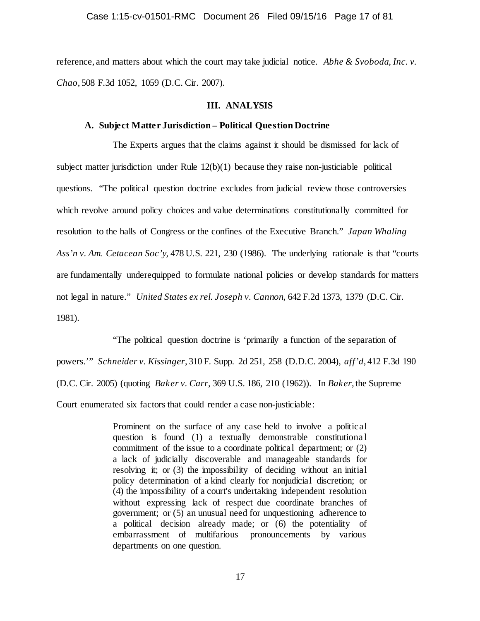reference, and matters about which the court may take judicial notice. *Abhe & Svoboda, Inc. v. Chao*, 508 F.3d 1052, 1059 (D.C. Cir. 2007).

### **III. ANALYSIS**

## **A. Subject Matter Jurisdiction – Political Question Doctrine**

The Experts argues that the claims against it should be dismissed for lack of subject matter jurisdiction under Rule  $12(b)(1)$  because they raise non-justiciable political questions. "The political question doctrine excludes from judicial review those controversies which revolve around policy choices and value determinations constitutionally committed for resolution to the halls of Congress or the confines of the Executive Branch." *Japan Whaling Ass'n v. Am. Cetacean Soc'y,* 478 U.S. 221, 230 (1986). The underlying rationale is that "courts are fundamentally underequipped to formulate national policies or develop standards for matters not legal in nature." *United States ex rel. Joseph v. Cannon,* 642 F.2d 1373, 1379 (D.C. Cir. 1981).

"The political question doctrine is 'primarily a function of the separation of powers.'" *Schneider v. Kissinger*, 310 F. Supp. 2d 251, 258 (D.D.C. 2004), *aff'd*, 412 F.3d 190 (D.C. Cir. 2005) (quoting *Baker v. Carr,* 369 U.S. 186, 210 (1962)). In *Baker*, the Supreme Court enumerated six factors that could render a case non-justiciable:

> Prominent on the surface of any case held to involve a political question is found (1) a textually demonstrable constitutiona l commitment of the issue to a coordinate political department; or (2) a lack of judicially discoverable and manageable standards for resolving it; or (3) the impossibility of deciding without an initial policy determination of a kind clearly for nonjudicial discretion; or (4) the impossibility of a court's undertaking independent resolution without expressing lack of respect due coordinate branches of government; or (5) an unusual need for unquestioning adherence to a political decision already made; or (6) the potentiality of embarrassment of multifarious pronouncements by various departments on one question.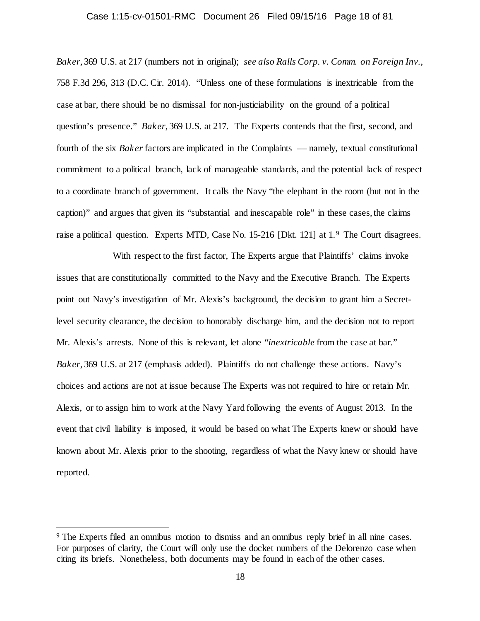#### Case 1:15-cv-01501-RMC Document 26 Filed 09/15/16 Page 18 of 81

*Baker*, 369 U.S. at 217 (numbers not in original); *see also Ralls Corp. v. Comm. on Foreign Inv.*, 758 F.3d 296, 313 (D.C. Cir. 2014). "Unless one of these formulations is inextricable from the case at bar, there should be no dismissal for non-justiciability on the ground of a political question's presence." *Baker*, 369 U.S. at 217. The Experts contends that the first, second, and fourth of the six *Baker* factors are implicated in the Complaints –– namely, textual constitutional commitment to a political branch, lack of manageable standards, and the potential lack of respect to a coordinate branch of government. It calls the Navy "the elephant in the room (but not in the caption)" and argues that given its "substantial and inescapable role" in these cases, the claims raise a political question. Experts MTD, Case No. 15-216 [Dkt. 121] at 1.<sup>[9](#page-17-0)</sup> The Court disagrees.

With respect to the first factor, The Experts argue that Plaintiffs' claims invoke issues that are constitutionally committed to the Navy and the Executive Branch. The Experts point out Navy's investigation of Mr. Alexis's background, the decision to grant him a Secretlevel security clearance, the decision to honorably discharge him, and the decision not to report Mr. Alexis's arrests. None of this is relevant, let alone "*inextricable* from the case at bar." *Baker*, 369 U.S. at 217 (emphasis added). Plaintiffs do not challenge these actions. Navy's choices and actions are not at issue because The Experts was not required to hire or retain Mr. Alexis, or to assign him to work at the Navy Yard following the events of August 2013. In the event that civil liability is imposed, it would be based on what The Experts knew or should have known about Mr. Alexis prior to the shooting, regardless of what the Navy knew or should have reported.

<span id="page-17-0"></span> <sup>9</sup> The Experts filed an omnibus motion to dismiss and an omnibus reply brief in all nine cases. For purposes of clarity, the Court will only use the docket numbers of the Delorenzo case when citing its briefs. Nonetheless, both documents may be found in each of the other cases.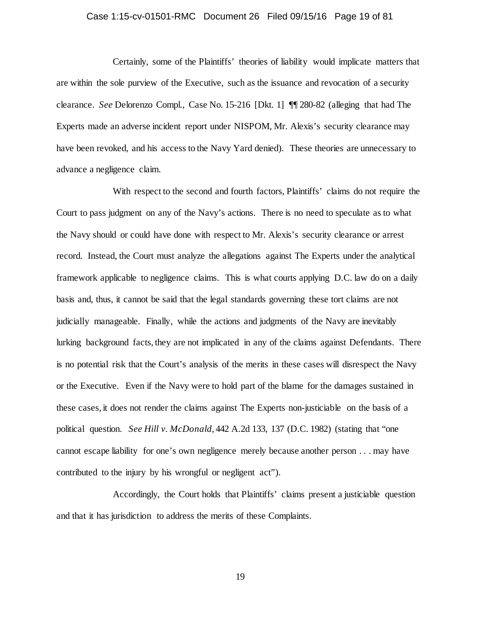## Case 1:15-cv-01501-RMC Document 26 Filed 09/15/16 Page 19 of 81

Certainly, some of the Plaintiffs' theories of liability would implicate matters that are within the sole purview of the Executive, such as the issuance and revocation of a security clearance. *See* Delorenzo Compl., Case No. 15-216 [Dkt. 1] ¶¶ 280-82 (alleging that had The Experts made an adverse incident report under NISPOM, Mr. Alexis's security clearance may have been revoked, and his access to the Navy Yard denied). These theories are unnecessary to advance a negligence claim.

With respect to the second and fourth factors, Plaintiffs' claims do not require the Court to pass judgment on any of the Navy's actions. There is no need to speculate as to what the Navy should or could have done with respect to Mr. Alexis's security clearance or arrest record. Instead, the Court must analyze the allegations against The Experts under the analytical framework applicable to negligence claims. This is what courts applying D.C. law do on a daily basis and, thus, it cannot be said that the legal standards governing these tort claims are not judicially manageable. Finally, while the actions and judgments of the Navy are inevitably lurking background facts, they are not implicated in any of the claims against Defendants. There is no potential risk that the Court's analysis of the merits in these cases will disrespect the Navy or the Executive. Even if the Navy were to hold part of the blame for the damages sustained in these cases, it does not render the claims against The Experts non-justiciable on the basis of a political question. *See Hill v. McDonald*, 442 A.2d 133, 137 (D.C. 1982) (stating that "one cannot escape liability for one's own negligence merely because another person . . . may have contributed to the injury by his wrongful or negligent act").

Accordingly, the Court holds that Plaintiffs' claims present a justiciable question and that it has jurisdiction to address the merits of these Complaints.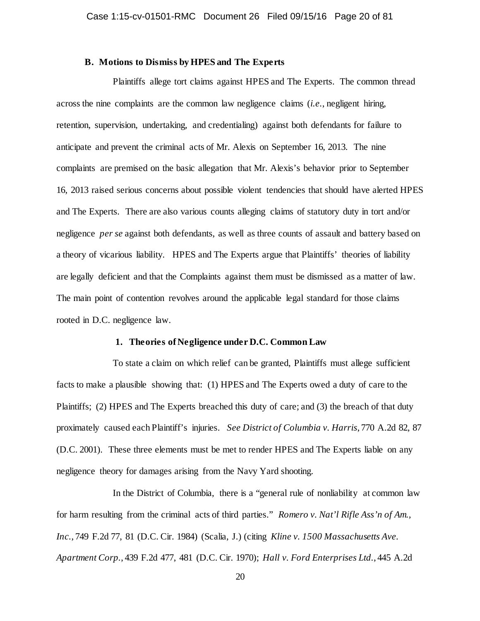## **B. Motions to Dismiss by HPES and The Experts**

Plaintiffs allege tort claims against HPES and The Experts. The common thread across the nine complaints are the common law negligence claims (*i.e.*, negligent hiring, retention, supervision, undertaking, and credentialing) against both defendants for failure to anticipate and prevent the criminal acts of Mr. Alexis on September 16, 2013. The nine complaints are premised on the basic allegation that Mr. Alexis's behavior prior to September 16, 2013 raised serious concerns about possible violent tendencies that should have alerted HPES and The Experts. There are also various counts alleging claims of statutory duty in tort and/or negligence *per se* against both defendants, as well as three counts of assault and battery based on a theory of vicarious liability. HPES and The Experts argue that Plaintiffs' theories of liability are legally deficient and that the Complaints against them must be dismissed as a matter of law. The main point of contention revolves around the applicable legal standard for those claims rooted in D.C. negligence law.

## **1. Theories of Negligence under D.C. Common Law**

To state a claim on which relief can be granted, Plaintiffs must allege sufficient facts to make a plausible showing that: (1) HPES and The Experts owed a duty of care to the Plaintiffs; (2) HPES and The Experts breached this duty of care; and (3) the breach of that duty proximately caused each Plaintiff's injuries. *See District of Columbia v. Harris*, 770 A.2d 82, 87 (D.C. 2001). These three elements must be met to render HPES and The Experts liable on any negligence theory for damages arising from the Navy Yard shooting.

In the District of Columbia, there is a "general rule of nonliability at common law for harm resulting from the criminal acts of third parties." *Romero v. Nat'l Rifle Ass'n of Am., Inc.*, 749 F.2d 77, 81 (D.C. Cir. 1984) (Scalia, J.) (citing *Kline v. 1500 Massachusetts Ave. Apartment Corp.*, 439 F.2d 477, 481 (D.C. Cir. 1970); *Hall v. Ford Enterprises Ltd.*, 445 A.2d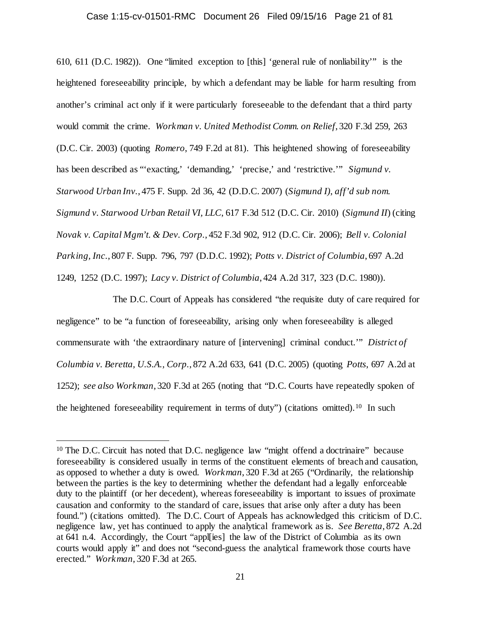## Case 1:15-cv-01501-RMC Document 26 Filed 09/15/16 Page 21 of 81

610, 611 (D.C. 1982)). One "limited exception to [this] 'general rule of nonliability'" is the heightened foreseeability principle, by which a defendant may be liable for harm resulting from another's criminal act only if it were particularly foreseeable to the defendant that a third party would commit the crime. *Workman v. United Methodist Comm. on Relief*, 320 F.3d 259, 263 (D.C. Cir. 2003) (quoting *Romero*, 749 F.2d at 81). This heightened showing of foreseeability has been described as "'exacting,' 'demanding,' 'precise,' and 'restrictive.'" *Sigmund v. Starwood Urban Inv.*, 475 F. Supp. 2d 36, 42 (D.D.C. 2007) (*Sigmund I)*, *aff'd sub nom. Sigmund v. Starwood Urban Retail VI, LLC*, 617 F.3d 512 (D.C. Cir. 2010) (*Sigmund II*) (citing *Novak v. Capital Mgm't. & Dev. Corp.*, 452 F.3d 902, 912 (D.C. Cir. 2006); *Bell v. Colonial Parking, Inc.*, 807 F. Supp. 796, 797 (D.D.C. 1992); *Potts v. District of Columbia*, 697 A.2d 1249, 1252 (D.C. 1997); *Lacy v. District of Columbia*, 424 A.2d 317, 323 (D.C. 1980)).

The D.C. Court of Appeals has considered "the requisite duty of care required for negligence" to be "a function of foreseeability, arising only when foreseeability is alleged commensurate with 'the extraordinary nature of [intervening] criminal conduct.'" *District of Columbia v. Beretta, U.S.A., Corp.*, 872 A.2d 633, 641 (D.C. 2005) (quoting *Potts*, 697 A.2d at 1252); *see also Workman*, 320 F.3d at 265 (noting that "D.C. Courts have repeatedly spoken of the heightened foreseeability requirement in terms of duty") (citations omitted).[10](#page-20-0) In such

<span id="page-20-0"></span> <sup>10</sup> The D.C. Circuit has noted that D.C. negligence law "might offend a doctrinaire" because foreseeability is considered usually in terms of the constituent elements of breach and causation, as opposed to whether a duty is owed. *Workman*, 320 F.3d at 265 ("Ordinarily, the relationship between the parties is the key to determining whether the defendant had a legally enforceable duty to the plaintiff (or her decedent), whereas foreseeability is important to issues of proximate causation and conformity to the standard of care, issues that arise only after a duty has been found.") (citations omitted). The D.C. Court of Appeals has acknowledged this criticism of D.C. negligence law, yet has continued to apply the analytical framework as is. *See Beretta*, 872 A.2d at 641 n.4. Accordingly, the Court "appl[ies] the law of the District of Columbia as its own courts would apply it" and does not "second-guess the analytical framework those courts have erected." *Workman*, 320 F.3d at 265.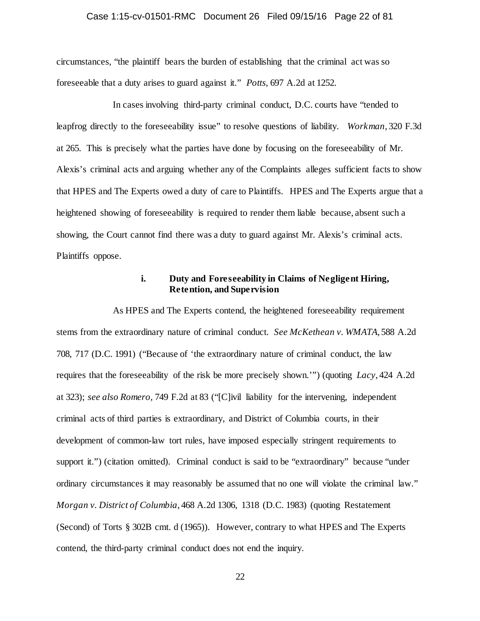## Case 1:15-cv-01501-RMC Document 26 Filed 09/15/16 Page 22 of 81

circumstances, "the plaintiff bears the burden of establishing that the criminal act was so foreseeable that a duty arises to guard against it." *Potts*, 697 A.2d at 1252.

In cases involving third-party criminal conduct, D.C. courts have "tended to leapfrog directly to the foreseeability issue" to resolve questions of liability. *Workman*, 320 F.3d at 265. This is precisely what the parties have done by focusing on the foreseeability of Mr. Alexis's criminal acts and arguing whether any of the Complaints alleges sufficient facts to show that HPES and The Experts owed a duty of care to Plaintiffs. HPES and The Experts argue that a heightened showing of foreseeability is required to render them liable because, absent such a showing, the Court cannot find there was a duty to guard against Mr. Alexis's criminal acts. Plaintiffs oppose.

## **i. Duty and Foreseeability in Claims of Negligent Hiring, Retention, and Supervision**

As HPES and The Experts contend, the heightened foreseeability requirement stems from the extraordinary nature of criminal conduct. *See McKethean v. WMATA*, 588 A.2d 708, 717 (D.C. 1991) ("Because of 'the extraordinary nature of criminal conduct, the law requires that the foreseeability of the risk be more precisely shown.'") (quoting *Lacy*, 424 A.2d at 323); *see also Romero*, 749 F.2d at 83 ("[C]ivil liability for the intervening, independent criminal acts of third parties is extraordinary, and District of Columbia courts, in their development of common-law tort rules, have imposed especially stringent requirements to support it.") (citation omitted). Criminal conduct is said to be "extraordinary" because "under ordinary circumstances it may reasonably be assumed that no one will violate the criminal law." *Morgan v. District of Columbia*, 468 A.2d 1306, 1318 (D.C. 1983) (quoting Restatement (Second) of Torts § 302B cmt. d (1965)). However, contrary to what HPES and The Experts contend, the third-party criminal conduct does not end the inquiry.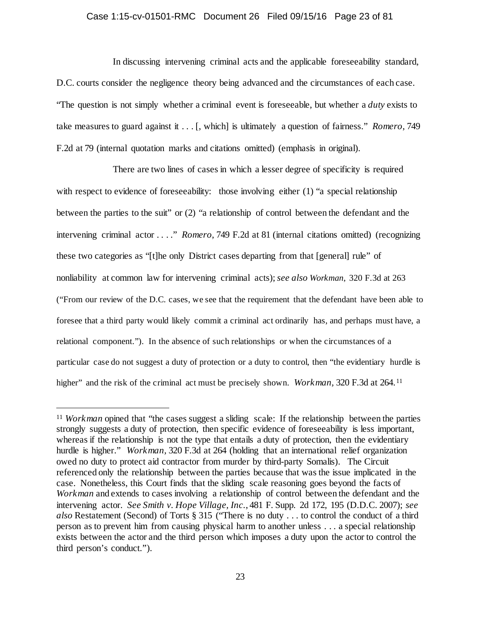## Case 1:15-cv-01501-RMC Document 26 Filed 09/15/16 Page 23 of 81

In discussing intervening criminal acts and the applicable foreseeability standard, D.C. courts consider the negligence theory being advanced and the circumstances of each case. "The question is not simply whether a criminal event is foreseeable, but whether a *duty* exists to take measures to guard against it . . . [, which] is ultimately a question of fairness." *Romero*, 749 F.2d at 79 (internal quotation marks and citations omitted) (emphasis in original).

There are two lines of cases in which a lesser degree of specificity is required with respect to evidence of foreseeability: those involving either (1) "a special relationship between the parties to the suit" or (2) "a relationship of control between the defendant and the intervening criminal actor . . . ." *Romero*, 749 F.2d at 81 (internal citations omitted) (recognizing these two categories as "[t]he only District cases departing from that [general] rule" of nonliability at common law for intervening criminal acts); *see also Workman*, 320 F.3d at 263 ("From our review of the D.C. cases, we see that the requirement that the defendant have been able to foresee that a third party would likely commit a criminal act ordinarily has, and perhaps must have, a relational component."). In the absence of such relationships or when the circumstances of a particular case do not suggest a duty of protection or a duty to control, then "the evidentiary hurdle is higher" and the risk of the criminal act must be precisely shown. *Workman*, 320 F.3d at 264.<sup>[11](#page-22-0)</sup>

<span id="page-22-0"></span><sup>&</sup>lt;sup>11</sup> *Workman* opined that "the cases suggest a sliding scale: If the relationship between the parties strongly suggests a duty of protection, then specific evidence of foreseeability is less important, whereas if the relationship is not the type that entails a duty of protection, then the evidentiary hurdle is higher." *Workman,* 320 F.3d at 264 (holding that an international relief organization owed no duty to protect aid contractor from murder by third-party Somalis). The Circuit referenced only the relationship between the parties because that was the issue implicated in the case. Nonetheless, this Court finds that the sliding scale reasoning goes beyond the facts of *Workman* and extends to cases involving a relationship of control between the defendant and the intervening actor. *See Smith v. Hope Village, Inc.*, 481 F. Supp. 2d 172, 195 (D.D.C. 2007); *see also* Restatement (Second) of Torts § 315 ("There is no duty . . . to control the conduct of a third person as to prevent him from causing physical harm to another unless . . . a special relationship exists between the actor and the third person which imposes a duty upon the actor to control the third person's conduct.").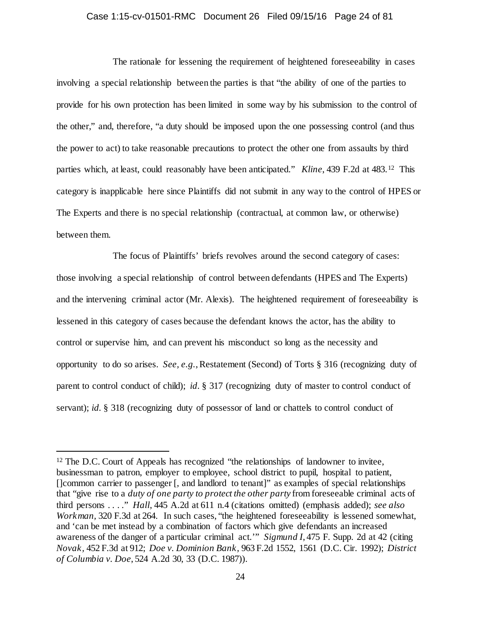# Case 1:15-cv-01501-RMC Document 26 Filed 09/15/16 Page 24 of 81

The rationale for lessening the requirement of heightened foreseeability in cases involving a special relationship between the parties is that "the ability of one of the parties to provide for his own protection has been limited in some way by his submission to the control of the other," and, therefore, "a duty should be imposed upon the one possessing control (and thus the power to act) to take reasonable precautions to protect the other one from assaults by third parties which, at least, could reasonably have been anticipated." *Kline*, 439 F.2d at 483.[12](#page-23-0) This category is inapplicable here since Plaintiffs did not submit in any way to the control of HPES or The Experts and there is no special relationship (contractual, at common law, or otherwise) between them.

The focus of Plaintiffs' briefs revolves around the second category of cases: those involving a special relationship of control between defendants (HPES and The Experts) and the intervening criminal actor (Mr. Alexis). The heightened requirement of foreseeability is lessened in this category of cases because the defendant knows the actor, has the ability to control or supervise him, and can prevent his misconduct so long as the necessity and opportunity to do so arises. *See, e.g.*, Restatement (Second) of Torts § 316 (recognizing duty of parent to control conduct of child); *id.* § 317 (recognizing duty of master to control conduct of servant); *id.* § 318 (recognizing duty of possessor of land or chattels to control conduct of

<span id="page-23-0"></span><sup>&</sup>lt;sup>12</sup> The D.C. Court of Appeals has recognized "the relationships of landowner to invitee, businessman to patron, employer to employee, school district to pupil, hospital to patient, []common carrier to passenger [, and landlord to tenant]" as examples of special relationships that "give rise to a *duty of one party to protect the other party* from foreseeable criminal acts of third persons . . . ." *Hall*, 445 A.2d at 611 n.4 (citations omitted) (emphasis added); *see also Workman,* 320 F.3d at 264. In such cases, "the heightened foreseeability is lessened somewhat, and 'can be met instead by a combination of factors which give defendants an increased awareness of the danger of a particular criminal act.'" *Sigmund I*, 475 F. Supp. 2d at 42 (citing *Novak,* 452 F.3d at 912; *Doe v. Dominion Bank,* 963 F.2d 1552, 1561 (D.C. Cir. 1992); *District of Columbia v. Doe*, 524 A.2d 30, 33 (D.C. 1987)).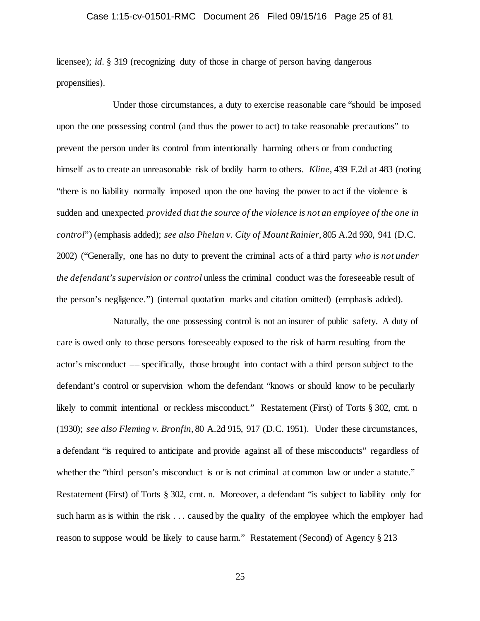## Case 1:15-cv-01501-RMC Document 26 Filed 09/15/16 Page 25 of 81

licensee); *id.* § 319 (recognizing duty of those in charge of person having dangerous propensities).

Under those circumstances, a duty to exercise reasonable care "should be imposed upon the one possessing control (and thus the power to act) to take reasonable precautions" to prevent the person under its control from intentionally harming others or from conducting himself as to create an unreasonable risk of bodily harm to others. *Kline*, 439 F.2d at 483 (noting "there is no liability normally imposed upon the one having the power to act if the violence is sudden and unexpected *provided that the source of the violence is not an employee of the one in control*") (emphasis added); *see also Phelan v. City of Mount Rainier*, 805 A.2d 930, 941 (D.C. 2002) ("Generally, one has no duty to prevent the criminal acts of a third party *who is not under the defendant's supervision or control* unless the criminal conduct was the foreseeable result of the person's negligence.") (internal quotation marks and citation omitted) (emphasis added).

Naturally, the one possessing control is not an insurer of public safety. A duty of care is owed only to those persons foreseeably exposed to the risk of harm resulting from the actor's misconduct –– specifically, those brought into contact with a third person subject to the defendant's control or supervision whom the defendant "knows or should know to be peculiarly likely to commit intentional or reckless misconduct." Restatement (First) of Torts § 302, cmt. n (1930); *see also Fleming v. Bronfin*, 80 A.2d 915, 917 (D.C. 1951). Under these circumstances, a defendant "is required to anticipate and provide against all of these misconducts" regardless of whether the "third person's misconduct is or is not criminal at common law or under a statute." Restatement (First) of Torts § 302, cmt. n. Moreover, a defendant "is subject to liability only for such harm as is within the risk . . . caused by the quality of the employee which the employer had reason to suppose would be likely to cause harm." Restatement (Second) of Agency § 213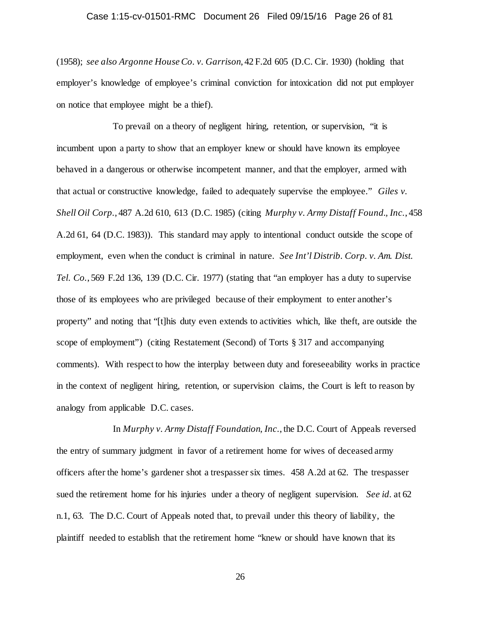## Case 1:15-cv-01501-RMC Document 26 Filed 09/15/16 Page 26 of 81

(1958); *see also Argonne House Co. v. Garrison*, 42 F.2d 605 (D.C. Cir. 1930) (holding that employer's knowledge of employee's criminal conviction for intoxication did not put employer on notice that employee might be a thief).

To prevail on a theory of negligent hiring, retention, or supervision, "it is incumbent upon a party to show that an employer knew or should have known its employee behaved in a dangerous or otherwise incompetent manner, and that the employer, armed with that actual or constructive knowledge, failed to adequately supervise the employee." *Giles v. Shell Oil Corp.*, 487 A.2d 610, 613 (D.C. 1985) (citing *Murphy v. Army Distaff Found., Inc.*, 458 A.2d 61, 64 (D.C. 1983)). This standard may apply to intentional conduct outside the scope of employment, even when the conduct is criminal in nature. *See Int'l Distrib. Corp. v. Am. Dist. Tel. Co.*, 569 F.2d 136, 139 (D.C. Cir. 1977) (stating that "an employer has a duty to supervise those of its employees who are privileged because of their employment to enter another's property" and noting that "[t]his duty even extends to activities which, like theft, are outside the scope of employment") (citing Restatement (Second) of Torts § 317 and accompanying comments). With respect to how the interplay between duty and foreseeability works in practice in the context of negligent hiring, retention, or supervision claims, the Court is left to reason by analogy from applicable D.C. cases.

In *Murphy v. Army Distaff Foundation, Inc.*, the D.C. Court of Appeals reversed the entry of summary judgment in favor of a retirement home for wives of deceased army officers after the home's gardener shot a trespasser six times. 458 A.2d at 62. The trespasser sued the retirement home for his injuries under a theory of negligent supervision. *See id.* at 62 n.1, 63. The D.C. Court of Appeals noted that, to prevail under this theory of liability, the plaintiff needed to establish that the retirement home "knew or should have known that its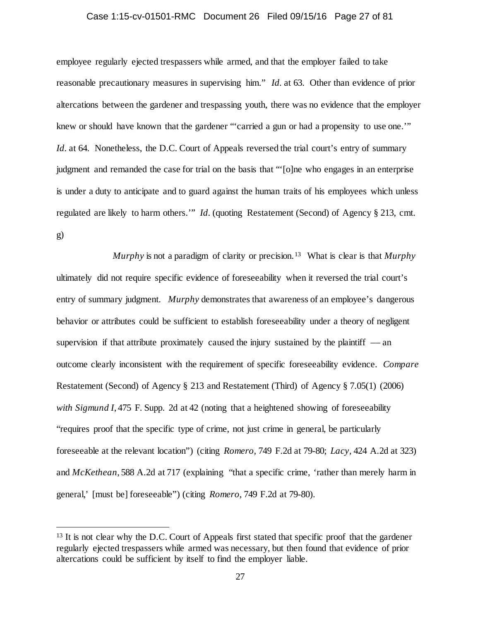## Case 1:15-cv-01501-RMC Document 26 Filed 09/15/16 Page 27 of 81

employee regularly ejected trespassers while armed, and that the employer failed to take reasonable precautionary measures in supervising him." *Id.* at 63. Other than evidence of prior altercations between the gardener and trespassing youth, there was no evidence that the employer knew or should have known that the gardener "'carried a gun or had a propensity to use one.'" *Id.* at 64. Nonetheless, the D.C. Court of Appeals reversed the trial court's entry of summary judgment and remanded the case for trial on the basis that "'[o]ne who engages in an enterprise is under a duty to anticipate and to guard against the human traits of his employees which unless regulated are likely to harm others.'" *Id.* (quoting Restatement (Second) of Agency § 213, cmt. g)

*Murphy* is not a paradigm of clarity or precision.[13](#page-26-0) What is clear is that *Murphy* ultimately did not require specific evidence of foreseeability when it reversed the trial court's entry of summary judgment. *Murphy* demonstrates that awareness of an employee's dangerous behavior or attributes could be sufficient to establish foreseeability under a theory of negligent supervision if that attribute proximately caused the injury sustained by the plaintiff  $-$  an outcome clearly inconsistent with the requirement of specific foreseeability evidence. *Compare*  Restatement (Second) of Agency § 213 and Restatement (Third) of Agency § 7.05(1) (2006) *with Sigmund I*, 475 F. Supp. 2d at 42 (noting that a heightened showing of foreseeability "requires proof that the specific type of crime, not just crime in general, be particularly foreseeable at the relevant location") (citing *Romero,* 749 F.2d at 79-80; *Lacy,* 424 A.2d at 323) and *McKethean*, 588 A.2d at 717 (explaining "that a specific crime, 'rather than merely harm in general,' [must be] foreseeable") (citing *Romero*, 749 F.2d at 79-80).

<span id="page-26-0"></span><sup>&</sup>lt;sup>13</sup> It is not clear why the D.C. Court of Appeals first stated that specific proof that the gardener regularly ejected trespassers while armed was necessary, but then found that evidence of prior altercations could be sufficient by itself to find the employer liable.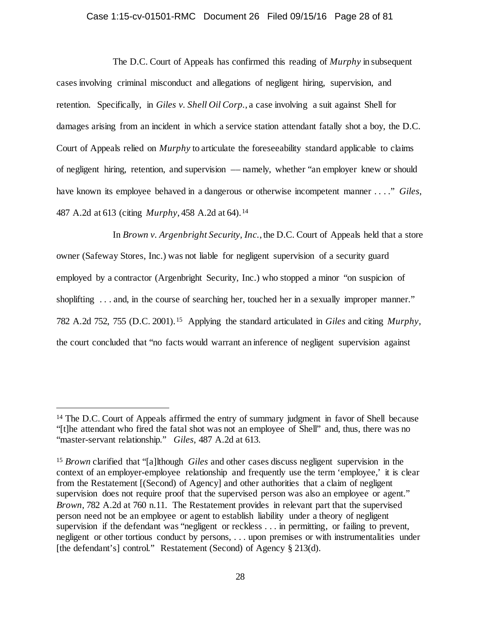## Case 1:15-cv-01501-RMC Document 26 Filed 09/15/16 Page 28 of 81

The D.C. Court of Appeals has confirmed this reading of *Murphy* in subsequent cases involving criminal misconduct and allegations of negligent hiring, supervision, and retention. Specifically, in *Giles v. Shell Oil Corp.*, a case involving a suit against Shell for damages arising from an incident in which a service station attendant fatally shot a boy, the D.C. Court of Appeals relied on *Murphy* to articulate the foreseeability standard applicable to claims of negligent hiring, retention, and supervision –– namely, whether "an employer knew or should have known its employee behaved in a dangerous or otherwise incompetent manner . . . ." *Giles*, 487 A.2d at 613 (citing *Murphy*, 458 A.2d at 64).[14](#page-27-0) 

In *Brown v. Argenbright Security, Inc.*, the D.C. Court of Appeals held that a store owner (Safeway Stores, Inc.) was not liable for negligent supervision of a security guard employed by a contractor (Argenbright Security, Inc.) who stopped a minor "on suspicion of shoplifting ... and, in the course of searching her, touched her in a sexually improper manner." 782 A.2d 752, 755 (D.C. 2001).[15](#page-27-1) Applying the standard articulated in *Giles* and citing *Murphy*, the court concluded that "no facts would warrant an inference of negligent supervision against

<span id="page-27-0"></span><sup>&</sup>lt;sup>14</sup> The D.C. Court of Appeals affirmed the entry of summary judgment in favor of Shell because "[t]he attendant who fired the fatal shot was not an employee of Shell" and, thus, there was no "master-servant relationship." *Giles*, 487 A.2d at 613.

<span id="page-27-1"></span><sup>15</sup> *Brown* clarified that "[a]lthough *Giles* and other cases discuss negligent supervision in the context of an employer-employee relationship and frequently use the term 'employee,' it is clear from the Restatement [(Second) of Agency] and other authorities that a claim of negligent supervision does not require proof that the supervised person was also an employee or agent." *Brown*, 782 A.2d at 760 n.11. The Restatement provides in relevant part that the supervised person need not be an employee or agent to establish liability under a theory of negligent supervision if the defendant was "negligent or reckless . . . in permitting, or failing to prevent, negligent or other tortious conduct by persons, . . . upon premises or with instrumentalities under [the defendant's] control." Restatement (Second) of Agency § 213(d).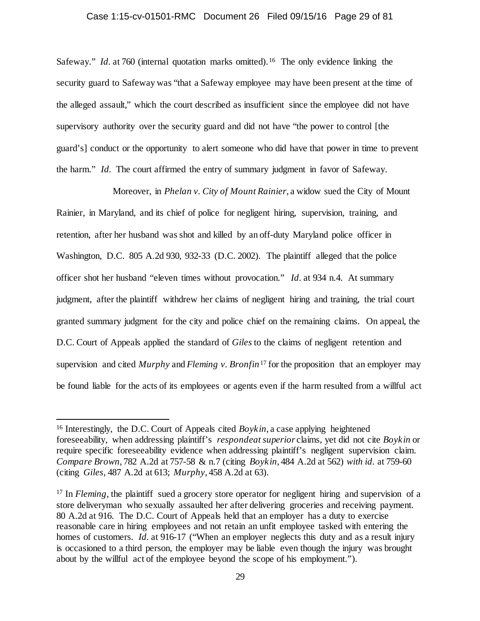### Case 1:15-cv-01501-RMC Document 26 Filed 09/15/16 Page 29 of 81

Safeway." *Id.* at 760 (internal quotation marks omitted).<sup>[16](#page-28-0)</sup> The only evidence linking the security guard to Safeway was "that a Safeway employee may have been present at the time of the alleged assault," which the court described as insufficient since the employee did not have supervisory authority over the security guard and did not have "the power to control [the guard's] conduct or the opportunity to alert someone who did have that power in time to prevent the harm." *Id.* The court affirmed the entry of summary judgment in favor of Safeway.

Moreover, in *Phelan v. City of Mount Rainier*, a widow sued the City of Mount Rainier, in Maryland, and its chief of police for negligent hiring, supervision, training, and retention, after her husband was shot and killed by an off-duty Maryland police officer in Washington, D.C. 805 A.2d 930, 932-33 (D.C. 2002). The plaintiff alleged that the police officer shot her husband "eleven times without provocation." *Id.* at 934 n.4. At summary judgment, after the plaintiff withdrew her claims of negligent hiring and training, the trial court granted summary judgment for the city and police chief on the remaining claims. On appeal, the D.C. Court of Appeals applied the standard of *Giles* to the claims of negligent retention and supervision and cited *Murphy* and *Fleming v. Bronfin*[17](#page-28-1) for the proposition that an employer may be found liable for the acts of its employees or agents even if the harm resulted from a willful act

<span id="page-28-0"></span><sup>&</sup>lt;sup>16</sup> Interestingly, the D.C. Court of Appeals cited *Boykin*, a case applying heightened foreseeability, when addressing plaintiff's *respondeat superior* claims, yet did not cite *Boykin* or require specific foreseeability evidence when addressing plaintiff's negligent supervision claim. *Compare Brown*, 782 A.2d at 757-58 & n.7 (citing *Boykin*, 484 A.2d at 562) *with id.* at 759-60 (citing *Giles*, 487 A.2d at 613; *Murphy*, 458 A.2d at 63).

<span id="page-28-1"></span><sup>&</sup>lt;sup>17</sup> In *Fleming*, the plaintiff sued a grocery store operator for negligent hiring and supervision of a store deliveryman who sexually assaulted her after delivering groceries and receiving payment. 80 A.2d at 916. The D.C. Court of Appeals held that an employer has a duty to exercise reasonable care in hiring employees and not retain an unfit employee tasked with entering the homes of customers. *Id.* at 916-17 ("When an employer neglects this duty and as a result injury is occasioned to a third person, the employer may be liable even though the injury was brought about by the willful act of the employee beyond the scope of his employment.").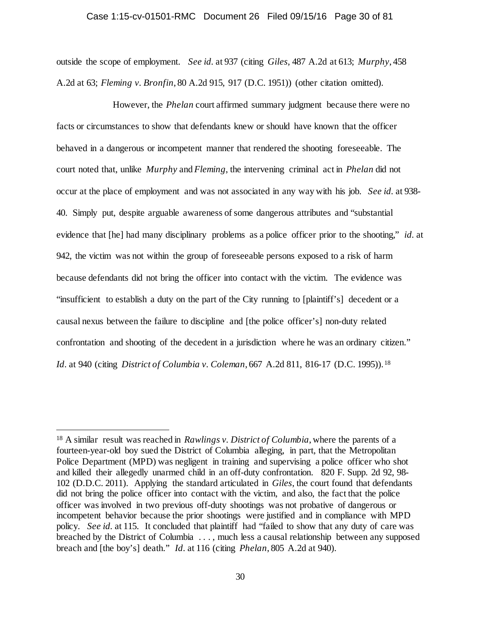# Case 1:15-cv-01501-RMC Document 26 Filed 09/15/16 Page 30 of 81

outside the scope of employment. *See id.* at 937 (citing *Giles*, 487 A.2d at 613; *Murphy*, 458 A.2d at 63; *Fleming v. Bronfin*, 80 A.2d 915, 917 (D.C. 1951)) (other citation omitted).

However, the *Phelan* court affirmed summary judgment because there were no facts or circumstances to show that defendants knew or should have known that the officer behaved in a dangerous or incompetent manner that rendered the shooting foreseeable. The court noted that, unlike *Murphy* and *Fleming*, the intervening criminal act in *Phelan* did not occur at the place of employment and was not associated in any way with his job. *See id.* at 938- 40. Simply put, despite arguable awareness of some dangerous attributes and "substantial evidence that [he] had many disciplinary problems as a police officer prior to the shooting," *id.* at 942, the victim was not within the group of foreseeable persons exposed to a risk of harm because defendants did not bring the officer into contact with the victim. The evidence was "insufficient to establish a duty on the part of the City running to [plaintiff's] decedent or a causal nexus between the failure to discipline and [the police officer's] non-duty related confrontation and shooting of the decedent in a jurisdiction where he was an ordinary citizen." *Id.* at 940 (citing *District of Columbia v. Coleman*, 667 A.2d 811, 816-17 (D.C. 1995)). [18](#page-29-0)

<span id="page-29-0"></span> <sup>18</sup> A similar result was reached in *Rawlings v. District of Columbia*, where the parents of a fourteen-year-old boy sued the District of Columbia alleging, in part, that the Metropolitan Police Department (MPD) was negligent in training and supervising a police officer who shot and killed their allegedly unarmed child in an off-duty confrontation. 820 F. Supp. 2d 92, 98- 102 (D.D.C. 2011). Applying the standard articulated in *Giles*, the court found that defendants did not bring the police officer into contact with the victim, and also, the fact that the police officer was involved in two previous off-duty shootings was not probative of dangerous or incompetent behavior because the prior shootings were justified and in compliance with MPD policy. *See id.* at 115. It concluded that plaintiff had "failed to show that any duty of care was breached by the District of Columbia . . . , much less a causal relationship between any supposed breach and [the boy's] death." *Id.* at 116 (citing *Phelan*, 805 A.2d at 940).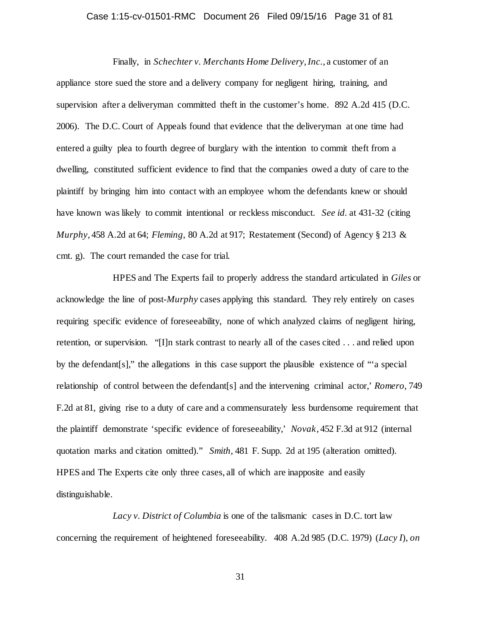## Case 1:15-cv-01501-RMC Document 26 Filed 09/15/16 Page 31 of 81

Finally, in *Schechter v. Merchants Home Delivery, Inc.*, a customer of an appliance store sued the store and a delivery company for negligent hiring, training, and supervision after a deliveryman committed theft in the customer's home. 892 A.2d 415 (D.C. 2006). The D.C. Court of Appeals found that evidence that the deliveryman at one time had entered a guilty plea to fourth degree of burglary with the intention to commit theft from a dwelling, constituted sufficient evidence to find that the companies owed a duty of care to the plaintiff by bringing him into contact with an employee whom the defendants knew or should have known was likely to commit intentional or reckless misconduct. *See id.* at 431-32 (citing *Murphy*, 458 A.2d at 64; *Fleming*, 80 A.2d at 917; Restatement (Second) of Agency § 213 & cmt. g). The court remanded the case for trial.

HPES and The Experts fail to properly address the standard articulated in *Giles* or acknowledge the line of post-*Murphy* cases applying this standard. They rely entirely on cases requiring specific evidence of foreseeability, none of which analyzed claims of negligent hiring, retention, or supervision. "[I]n stark contrast to nearly all of the cases cited . . . and relied upon by the defendant[s]," the allegations in this case support the plausible existence of "'a special relationship of control between the defendant[s] and the intervening criminal actor,' *Romero*, 749 F.2d at 81, giving rise to a duty of care and a commensurately less burdensome requirement that the plaintiff demonstrate 'specific evidence of foreseeability,' *Novak*, 452 F.3d at 912 (internal quotation marks and citation omitted)." *Smith*, 481 F. Supp. 2d at 195 (alteration omitted). HPES and The Experts cite only three cases, all of which are inapposite and easily distinguishable.

*Lacy v. District of Columbia* is one of the talismanic cases in D.C. tort law concerning the requirement of heightened foreseeability. 408 A.2d 985 (D.C. 1979) (*Lacy I*), *on*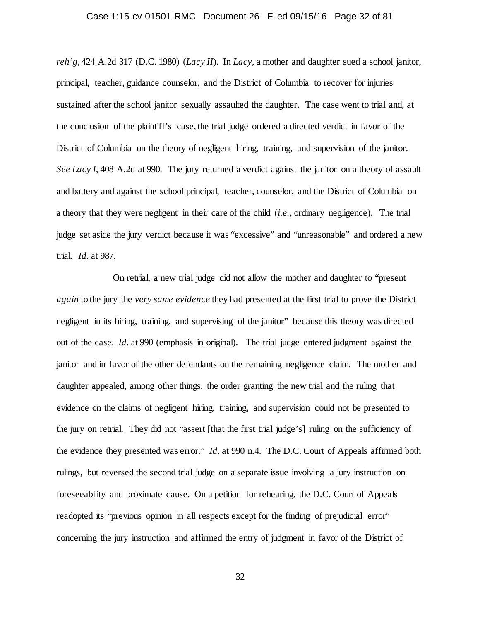## Case 1:15-cv-01501-RMC Document 26 Filed 09/15/16 Page 32 of 81

*reh'g*, 424 A.2d 317 (D.C. 1980) (*Lacy II*). In *Lacy*, a mother and daughter sued a school janitor, principal, teacher, guidance counselor, and the District of Columbia to recover for injuries sustained after the school janitor sexually assaulted the daughter. The case went to trial and, at the conclusion of the plaintiff's case, the trial judge ordered a directed verdict in favor of the District of Columbia on the theory of negligent hiring, training, and supervision of the janitor. *See Lacy I*, 408 A.2d at 990. The jury returned a verdict against the janitor on a theory of assault and battery and against the school principal, teacher, counselor, and the District of Columbia on a theory that they were negligent in their care of the child (*i.e.*, ordinary negligence). The trial judge set aside the jury verdict because it was "excessive" and "unreasonable" and ordered a new trial. *Id.* at 987.

On retrial, a new trial judge did not allow the mother and daughter to "present *again* to the jury the *very same evidence* they had presented at the first trial to prove the District negligent in its hiring, training, and supervising of the janitor" because this theory was directed out of the case. *Id.* at 990 (emphasis in original). The trial judge entered judgment against the janitor and in favor of the other defendants on the remaining negligence claim. The mother and daughter appealed, among other things, the order granting the new trial and the ruling that evidence on the claims of negligent hiring, training, and supervision could not be presented to the jury on retrial. They did not "assert [that the first trial judge's] ruling on the sufficiency of the evidence they presented was error." *Id.* at 990 n.4. The D.C. Court of Appeals affirmed both rulings, but reversed the second trial judge on a separate issue involving a jury instruction on foreseeability and proximate cause. On a petition for rehearing, the D.C. Court of Appeals readopted its "previous opinion in all respects except for the finding of prejudicial error" concerning the jury instruction and affirmed the entry of judgment in favor of the District of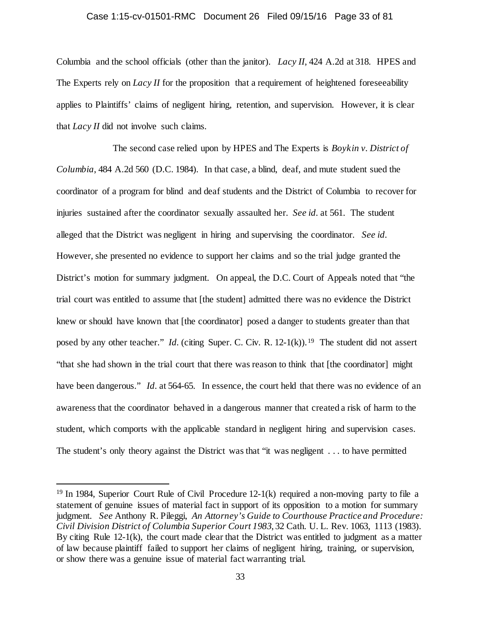### Case 1:15-cv-01501-RMC Document 26 Filed 09/15/16 Page 33 of 81

Columbia and the school officials (other than the janitor). *Lacy II*, 424 A.2d at 318. HPES and The Experts rely on *Lacy II* for the proposition that a requirement of heightened foreseeability applies to Plaintiffs' claims of negligent hiring, retention, and supervision. However, it is clear that *Lacy II* did not involve such claims.

The second case relied upon by HPES and The Experts is *Boykin v. District of Columbia*, 484 A.2d 560 (D.C. 1984). In that case, a blind, deaf, and mute student sued the coordinator of a program for blind and deaf students and the District of Columbia to recover for injuries sustained after the coordinator sexually assaulted her. *See id.* at 561. The student alleged that the District was negligent in hiring and supervising the coordinator. *See id.* However, she presented no evidence to support her claims and so the trial judge granted the District's motion for summary judgment. On appeal, the D.C. Court of Appeals noted that "the trial court was entitled to assume that [the student] admitted there was no evidence the District knew or should have known that [the coordinator] posed a danger to students greater than that posed by any other teacher." *Id.* (citing Super. C. Civ. R. 12-1(k)).<sup>19</sup> The student did not assert "that she had shown in the trial court that there was reason to think that [the coordinator] might have been dangerous." *Id.* at 564-65. In essence, the court held that there was no evidence of an awareness that the coordinator behaved in a dangerous manner that created a risk of harm to the student, which comports with the applicable standard in negligent hiring and supervision cases. The student's only theory against the District was that "it was negligent . . . to have permitted

<span id="page-32-0"></span> <sup>19</sup> In 1984, Superior Court Rule of Civil Procedure 12-1(k) required a non-moving party to file a statement of genuine issues of material fact in support of its opposition to a motion for summary judgment. *See* Anthony R. Pileggi, *An Attorney's Guide to Courthouse Practice and Procedure: Civil Division District of Columbia Superior Court 1983*, 32 Cath. U. L. Rev. 1063, 1113 (1983). By citing Rule 12-1(k), the court made clear that the District was entitled to judgment as a matter of law because plaintiff failed to support her claims of negligent hiring, training, or supervision, or show there was a genuine issue of material fact warranting trial.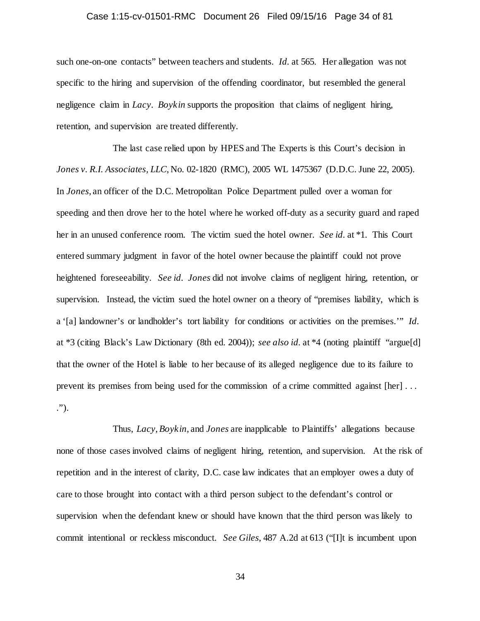## Case 1:15-cv-01501-RMC Document 26 Filed 09/15/16 Page 34 of 81

such one-on-one contacts" between teachers and students. *Id.* at 565. Her allegation was not specific to the hiring and supervision of the offending coordinator, but resembled the general negligence claim in *Lacy*. *Boykin* supports the proposition that claims of negligent hiring, retention, and supervision are treated differently.

The last case relied upon by HPES and The Experts is this Court's decision in *Jones v. R.I. Associates, LLC*, No. 02-1820 (RMC), 2005 WL 1475367 (D.D.C. June 22, 2005). In *Jones*, an officer of the D.C. Metropolitan Police Department pulled over a woman for speeding and then drove her to the hotel where he worked off-duty as a security guard and raped her in an unused conference room. The victim sued the hotel owner. *See id.* at \*1. This Court entered summary judgment in favor of the hotel owner because the plaintiff could not prove heightened foreseeability. *See id. Jones* did not involve claims of negligent hiring, retention, or supervision. Instead, the victim sued the hotel owner on a theory of "premises liability, which is a '[a] landowner's or landholder's tort liability for conditions or activities on the premises.'" *Id.* at \*3 (citing Black's Law Dictionary (8th ed. 2004)); *see also id.* at \*4 (noting plaintiff "argue[d] that the owner of the Hotel is liable to her because of its alleged negligence due to its failure to prevent its premises from being used for the commission of a crime committed against [her] . . . .").

Thus, *Lacy*, *Boykin*, and *Jones* are inapplicable to Plaintiffs' allegations because none of those cases involved claims of negligent hiring, retention, and supervision. At the risk of repetition and in the interest of clarity, D.C. case law indicates that an employer owes a duty of care to those brought into contact with a third person subject to the defendant's control or supervision when the defendant knew or should have known that the third person was likely to commit intentional or reckless misconduct. *See Giles*, 487 A.2d at 613 ("[I]t is incumbent upon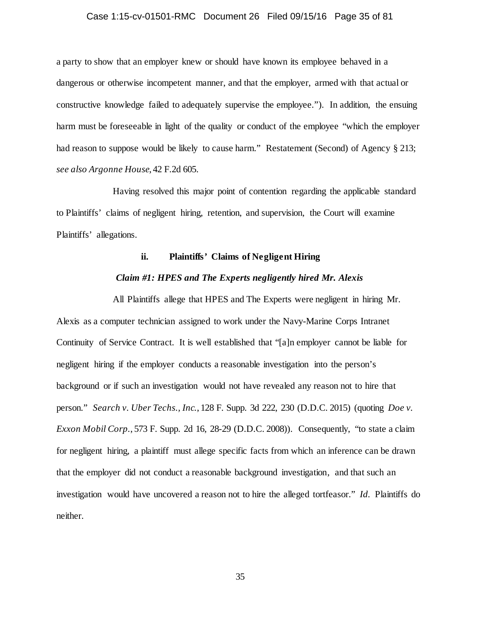## Case 1:15-cv-01501-RMC Document 26 Filed 09/15/16 Page 35 of 81

a party to show that an employer knew or should have known its employee behaved in a dangerous or otherwise incompetent manner, and that the employer, armed with that actual or constructive knowledge failed to adequately supervise the employee."). In addition, the ensuing harm must be foreseeable in light of the quality or conduct of the employee "which the employer had reason to suppose would be likely to cause harm." Restatement (Second) of Agency § 213; *see also Argonne House*, 42 F.2d 605.

Having resolved this major point of contention regarding the applicable standard to Plaintiffs' claims of negligent hiring, retention, and supervision, the Court will examine Plaintiffs' allegations.

## **ii. Plaintiffs' Claims of Negligent Hiring**

## *Claim #1: HPES and The Experts negligently hired Mr. Alexis*

All Plaintiffs allege that HPES and The Experts were negligent in hiring Mr. Alexis as a computer technician assigned to work under the Navy-Marine Corps Intranet Continuity of Service Contract. It is well established that "[a]n employer cannot be liable for negligent hiring if the employer conducts a reasonable investigation into the person's background or if such an investigation would not have revealed any reason not to hire that person." *Search v. Uber Techs., Inc.*, 128 F. Supp. 3d 222, 230 (D.D.C. 2015) (quoting *Doe v. Exxon Mobil Corp.*, 573 F. Supp. 2d 16, 28-29 (D.D.C. 2008)). Consequently, "to state a claim for negligent hiring, a plaintiff must allege specific facts from which an inference can be drawn that the employer did not conduct a reasonable background investigation, and that such an investigation would have uncovered a reason not to hire the alleged tortfeasor." *Id.* Plaintiffs do neither.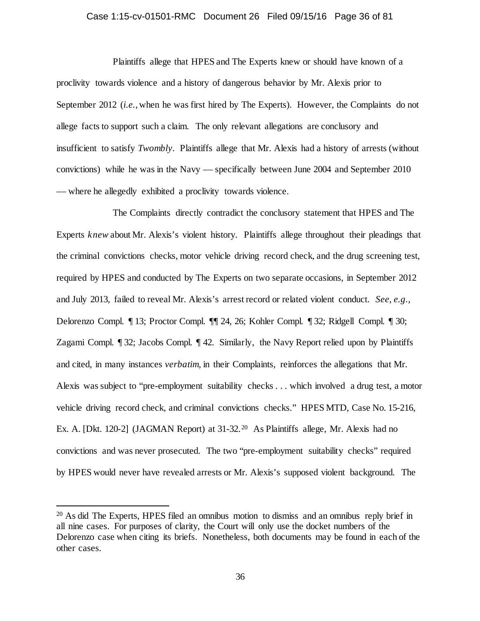## Case 1:15-cv-01501-RMC Document 26 Filed 09/15/16 Page 36 of 81

Plaintiffs allege that HPES and The Experts knew or should have known of a proclivity towards violence and a history of dangerous behavior by Mr. Alexis prior to September 2012 (*i.e.*, when he was first hired by The Experts). However, the Complaints do not allege facts to support such a claim. The only relevant allegations are conclusory and insufficient to satisfy *Twombly*. Plaintiffs allege that Mr. Alexis had a history of arrests (without convictions) while he was in the Navy –– specifically between June 2004 and September 2010 –– where he allegedly exhibited a proclivity towards violence.

The Complaints directly contradict the conclusory statement that HPES and The Experts *knew* about Mr. Alexis's violent history. Plaintiffs allege throughout their pleadings that the criminal convictions checks, motor vehicle driving record check, and the drug screening test, required by HPES and conducted by The Experts on two separate occasions, in September 2012 and July 2013, failed to reveal Mr. Alexis's arrest record or related violent conduct. *See, e.g.*, Delorenzo Compl. ¶ 13; Proctor Compl. ¶¶ 24, 26; Kohler Compl. ¶ 32; Ridgell Compl. ¶ 30; Zagami Compl. ¶ 32; Jacobs Compl. ¶ 42. Similarly, the Navy Report relied upon by Plaintiffs and cited, in many instances *verbatim*, in their Complaints, reinforces the allegations that Mr. Alexis was subject to "pre-employment suitability checks . . . which involved a drug test, a motor vehicle driving record check, and criminal convictions checks." HPES MTD, Case No. 15-216, Ex. A. [Dkt. 1[20](#page-35-0)-2] (JAGMAN Report) at 31-32.<sup>20</sup> As Plaintiffs allege, Mr. Alexis had no convictions and was never prosecuted. The two "pre-employment suitability checks" required by HPES would never have revealed arrests or Mr. Alexis's supposed violent background. The

<span id="page-35-0"></span> <sup>20</sup> As did The Experts, HPES filed an omnibus motion to dismiss and an omnibus reply brief in all nine cases. For purposes of clarity, the Court will only use the docket numbers of the Delorenzo case when citing its briefs. Nonetheless, both documents may be found in each of the other cases.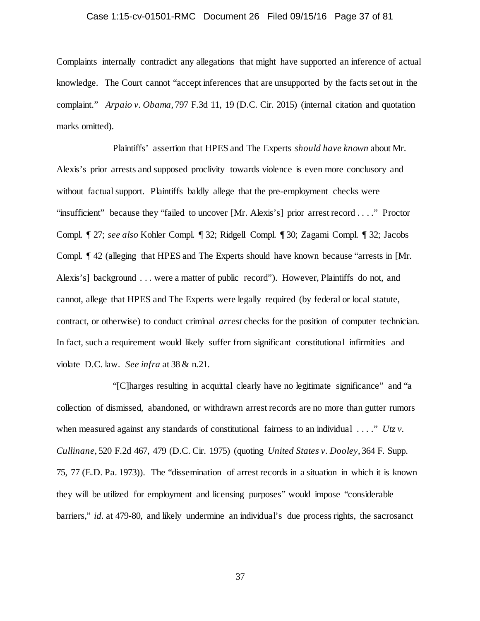## Case 1:15-cv-01501-RMC Document 26 Filed 09/15/16 Page 37 of 81

Complaints internally contradict any allegations that might have supported an inference of actual knowledge. The Court cannot "accept inferences that are unsupported by the facts set out in the complaint." *Arpaio v. Obama*, 797 F.3d 11, 19 (D.C. Cir. 2015) (internal citation and quotation marks omitted).

Plaintiffs' assertion that HPES and The Experts *should have known* about Mr. Alexis's prior arrests and supposed proclivity towards violence is even more conclusory and without factual support. Plaintiffs baldly allege that the pre-employment checks were "insufficient" because they "failed to uncover [Mr. Alexis's] prior arrest record . . . ." Proctor Compl. ¶ 27; *see also* Kohler Compl. ¶ 32; Ridgell Compl. ¶ 30; Zagami Compl. ¶ 32; Jacobs Compl. ¶ 42 (alleging that HPES and The Experts should have known because "arrests in [Mr. Alexis's] background . . . were a matter of public record"). However, Plaintiffs do not, and cannot, allege that HPES and The Experts were legally required (by federal or local statute, contract, or otherwise) to conduct criminal *arrest* checks for the position of computer technician. In fact, such a requirement would likely suffer from significant constitutional infirmities and violate D.C. law. *See infra* at 38 & n.21.

"[C]harges resulting in acquittal clearly have no legitimate significance" and "a collection of dismissed, abandoned, or withdrawn arrest records are no more than gutter rumors when measured against any standards of constitutional fairness to an individual . . . ." *Utz v*. *Cullinane*, 520 F.2d 467, 479 (D.C. Cir. 1975) (quoting *United States v. Dooley*, 364 F. Supp. 75, 77 (E.D. Pa. 1973)). The "dissemination of arrest records in a situation in which it is known they will be utilized for employment and licensing purposes" would impose "considerable barriers," *id.* at 479-80, and likely undermine an individual's due process rights, the sacrosanct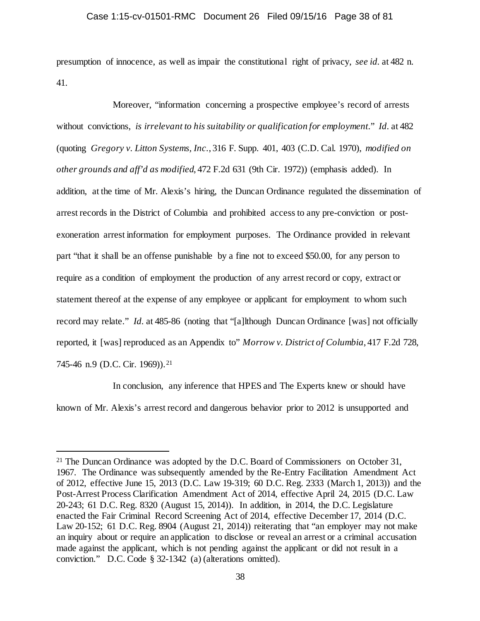presumption of innocence, as well as impair the constitutional right of privacy, *see id.* at 482 n. 41.

Moreover, "information concerning a prospective employee's record of arrests without convictions, *is irrelevant to his suitability or qualification for employment*." *Id.* at 482 (quoting *Gregory v. Litton Systems, Inc.*, 316 F. Supp. 401, 403 (C.D. Cal. 1970), *modified on other grounds and aff'd as modified*, 472 F.2d 631 (9th Cir. 1972)) (emphasis added). In addition, at the time of Mr. Alexis's hiring, the Duncan Ordinance regulated the dissemination of arrest records in the District of Columbia and prohibited access to any pre-conviction or postexoneration arrest information for employment purposes. The Ordinance provided in relevant part "that it shall be an offense punishable by a fine not to exceed \$50.00, for any person to require as a condition of employment the production of any arrest record or copy, extract or statement thereof at the expense of any employee or applicant for employment to whom such record may relate." *Id.* at 485-86 (noting that "[a]lthough Duncan Ordinance [was] not officially reported, it [was] reproduced as an Appendix to" *Morrow v. District of Columbia*, 417 F.2d 728, 745-46 n.9 (D.C. Cir. 1969)).<sup>[21](#page-37-0)</sup>

In conclusion, any inference that HPES and The Experts knew or should have known of Mr. Alexis's arrest record and dangerous behavior prior to 2012 is unsupported and

<span id="page-37-0"></span><sup>&</sup>lt;sup>21</sup> The Duncan Ordinance was adopted by the D.C. Board of Commissioners on October 31, 1967. The Ordinance was subsequently amended by the Re-Entry Facilitation Amendment Act of 2012, effective June 15, 2013 (D.C. Law 19-319; 60 D.C. Reg. 2333 (March 1, 2013)) and the Post-Arrest Process Clarification Amendment Act of 2014, effective April 24, 2015 (D.C. Law 20-243; 61 D.C. Reg. 8320 (August 15, 2014)). In addition, in 2014, the D.C. Legislature enacted the Fair Criminal Record Screening Act of 2014, effective December 17, 2014 (D.C. Law 20-152; 61 D.C. Reg. 8904 (August 21, 2014)) reiterating that "an employer may not make an inquiry about or require an application to disclose or reveal an arrest or a criminal accusation made against the applicant, which is not pending against the applicant or did not result in a conviction." D.C. Code § 32-1342 (a) (alterations omitted).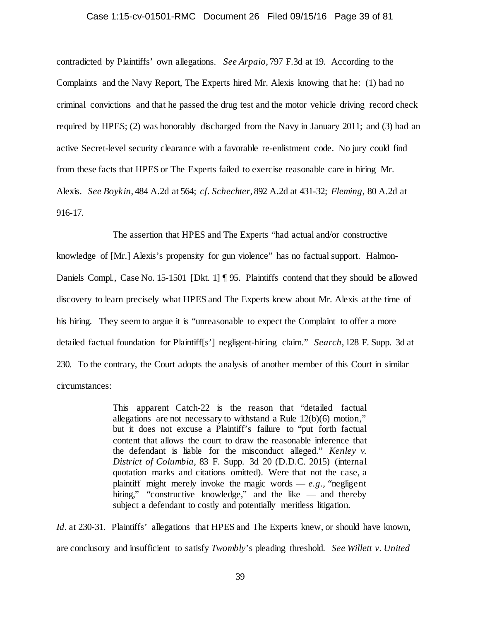#### Case 1:15-cv-01501-RMC Document 26 Filed 09/15/16 Page 39 of 81

contradicted by Plaintiffs' own allegations. *See Arpaio*, 797 F.3d at 19. According to the Complaints and the Navy Report, The Experts hired Mr. Alexis knowing that he: (1) had no criminal convictions and that he passed the drug test and the motor vehicle driving record check required by HPES; (2) was honorably discharged from the Navy in January 2011; and (3) had an active Secret-level security clearance with a favorable re-enlistment code. No jury could find from these facts that HPES or The Experts failed to exercise reasonable care in hiring Mr. Alexis. *See Boykin*, 484 A.2d at 564; *cf. Schechter*, 892 A.2d at 431-32; *Fleming*, 80 A.2d at 916-17.

The assertion that HPES and The Experts "had actual and/or constructive knowledge of [Mr.] Alexis's propensity for gun violence" has no factual support. Halmon-Daniels Compl., Case No. 15-1501 [Dkt. 1] ¶ 95. Plaintiffs contend that they should be allowed discovery to learn precisely what HPES and The Experts knew about Mr. Alexis at the time of his hiring. They seem to argue it is "unreasonable to expect the Complaint to offer a more detailed factual foundation for Plaintiff[s'] negligent-hiring claim." *Search*, 128 F. Supp. 3d at 230. To the contrary, the Court adopts the analysis of another member of this Court in similar circumstances:

> This apparent Catch-22 is the reason that "detailed factual allegations are not necessary to withstand a Rule 12(b)(6) motion," but it does not excuse a Plaintiff's failure to "put forth factual content that allows the court to draw the reasonable inference that the defendant is liable for the misconduct alleged." *Kenley v. District of Columbia,* 83 F. Supp. 3d 20 (D.D.C. 2015) (internal quotation marks and citations omitted). Were that not the case, a plaintiff might merely invoke the magic words  $-e.g.,$  "negligent" hiring," "constructive knowledge," and the like — and thereby subject a defendant to costly and potentially meritless litigation.

*Id.* at 230-31. Plaintiffs' allegations that HPES and The Experts knew, or should have known, are conclusory and insufficient to satisfy *Twombly*'s pleading threshold. *See Willett v. United*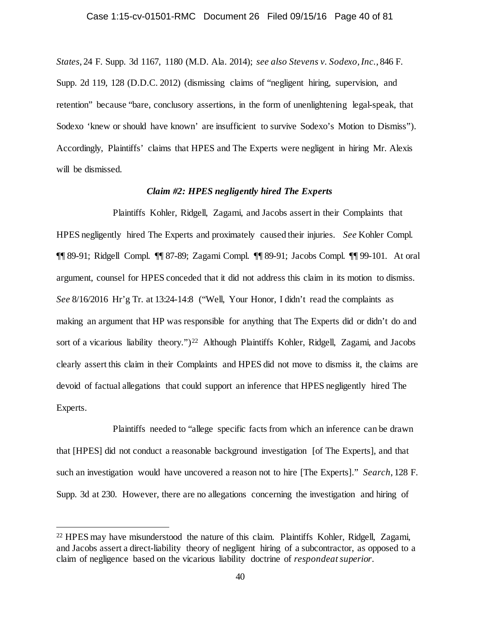*States*, 24 F. Supp. 3d 1167, 1180 (M.D. Ala. 2014); *see also Stevens v. Sodexo, Inc.*, 846 F. Supp. 2d 119, 128 (D.D.C. 2012) (dismissing claims of "negligent hiring, supervision, and retention" because "bare, conclusory assertions, in the form of unenlightening legal-speak, that Sodexo 'knew or should have known' are insufficient to survive Sodexo's Motion to Dismiss"). Accordingly, Plaintiffs' claims that HPES and The Experts were negligent in hiring Mr. Alexis will be dismissed.

## *Claim #2: HPES negligently hired The Experts*

Plaintiffs Kohler, Ridgell, Zagami, and Jacobs assert in their Complaints that HPES negligently hired The Experts and proximately caused their injuries. *See* Kohler Compl. ¶¶ 89-91; Ridgell Compl. ¶¶ 87-89; Zagami Compl. ¶¶ 89-91; Jacobs Compl. ¶¶ 99-101. At oral argument, counsel for HPES conceded that it did not address this claim in its motion to dismiss. *See* 8/16/2016 Hr'g Tr. at 13:24-14:8 ("Well, Your Honor, I didn't read the complaints as making an argument that HP was responsible for anything that The Experts did or didn't do and sort of a vicarious liability theory.")<sup>22</sup> Although Plaintiffs Kohler, Ridgell, Zagami, and Jacobs clearly assert this claim in their Complaints and HPES did not move to dismiss it, the claims are devoid of factual allegations that could support an inference that HPES negligently hired The Experts.

Plaintiffs needed to "allege specific facts from which an inference can be drawn that [HPES] did not conduct a reasonable background investigation [of The Experts], and that such an investigation would have uncovered a reason not to hire [The Experts]." *Search*, 128 F. Supp. 3d at 230. However, there are no allegations concerning the investigation and hiring of

<span id="page-39-0"></span> <sup>22</sup> HPES may have misunderstood the nature of this claim. Plaintiffs Kohler, Ridgell, Zagami, and Jacobs assert a direct-liability theory of negligent hiring of a subcontractor, as opposed to a claim of negligence based on the vicarious liability doctrine of *respondeat superior*.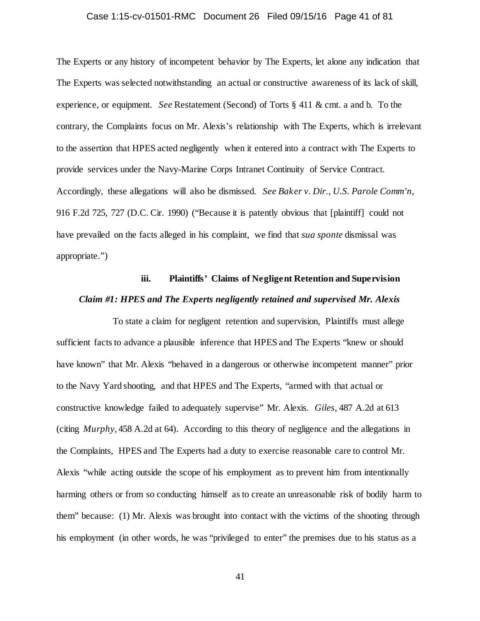## Case 1:15-cv-01501-RMC Document 26 Filed 09/15/16 Page 41 of 81

The Experts or any history of incompetent behavior by The Experts, let alone any indication that The Experts was selected notwithstanding an actual or constructive awareness of its lack of skill, experience, or equipment. *See* Restatement (Second) of Torts § 411 & cmt. a and b. To the contrary, the Complaints focus on Mr. Alexis's relationship with The Experts, which is irrelevant to the assertion that HPES acted negligently when it entered into a contract with The Experts to provide services under the Navy-Marine Corps Intranet Continuity of Service Contract. Accordingly, these allegations will also be dismissed. *See Baker v. Dir., U.S. Parole Comm'n*, 916 F.2d 725, 727 (D.C. Cir. 1990) ("Because it is patently obvious that [plaintiff] could not have prevailed on the facts alleged in his complaint, we find that *sua sponte* dismissal was appropriate.")

# **iii. Plaintiffs' Claims of Negligent Retention and Supervision** *Claim #1: HPES and The Experts negligently retained and supervised Mr. Alexis*

To state a claim for negligent retention and supervision, Plaintiffs must allege sufficient facts to advance a plausible inference that HPES and The Experts "knew or should have known" that Mr. Alexis "behaved in a dangerous or otherwise incompetent manner" prior to the Navy Yard shooting, and that HPES and The Experts, "armed with that actual or constructive knowledge failed to adequately supervise" Mr. Alexis. *Giles*, 487 A.2d at 613 (citing *Murphy*, 458 A.2d at 64). According to this theory of negligence and the allegations in the Complaints, HPES and The Experts had a duty to exercise reasonable care to control Mr. Alexis "while acting outside the scope of his employment as to prevent him from intentionally harming others or from so conducting himself as to create an unreasonable risk of bodily harm to them" because: (1) Mr. Alexis was brought into contact with the victims of the shooting through his employment (in other words, he was "privileged to enter" the premises due to his status as a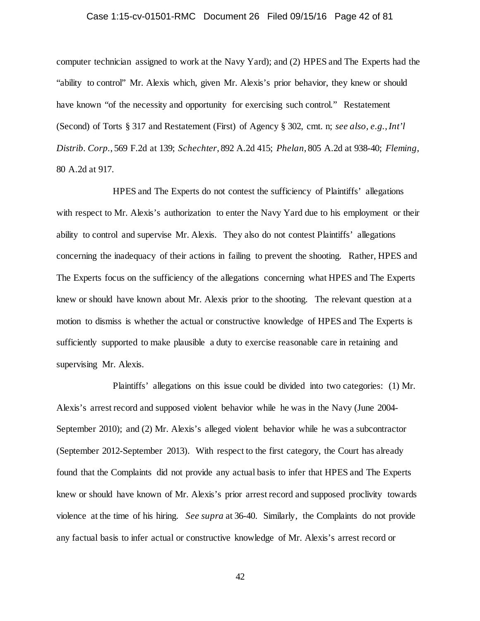## Case 1:15-cv-01501-RMC Document 26 Filed 09/15/16 Page 42 of 81

computer technician assigned to work at the Navy Yard); and (2) HPES and The Experts had the "ability to control" Mr. Alexis which, given Mr. Alexis's prior behavior, they knew or should have known "of the necessity and opportunity for exercising such control." Restatement (Second) of Torts § 317 and Restatement (First) of Agency § 302, cmt. n; *see also, e.g.*,*Int'l Distrib. Corp.*, 569 F.2d at 139; *Schechter*, 892 A.2d 415; *Phelan*, 805 A.2d at 938-40; *Fleming*, 80 A.2d at 917.

HPES and The Experts do not contest the sufficiency of Plaintiffs' allegations with respect to Mr. Alexis's authorization to enter the Navy Yard due to his employment or their ability to control and supervise Mr. Alexis. They also do not contest Plaintiffs' allegations concerning the inadequacy of their actions in failing to prevent the shooting. Rather, HPES and The Experts focus on the sufficiency of the allegations concerning what HPES and The Experts knew or should have known about Mr. Alexis prior to the shooting. The relevant question at a motion to dismiss is whether the actual or constructive knowledge of HPES and The Experts is sufficiently supported to make plausible a duty to exercise reasonable care in retaining and supervising Mr. Alexis.

Plaintiffs' allegations on this issue could be divided into two categories: (1) Mr. Alexis's arrest record and supposed violent behavior while he was in the Navy (June 2004- September 2010); and (2) Mr. Alexis's alleged violent behavior while he was a subcontractor (September 2012-September 2013). With respect to the first category, the Court has already found that the Complaints did not provide any actual basis to infer that HPES and The Experts knew or should have known of Mr. Alexis's prior arrest record and supposed proclivity towards violence at the time of his hiring. *See supra* at 36-40. Similarly, the Complaints do not provide any factual basis to infer actual or constructive knowledge of Mr. Alexis's arrest record or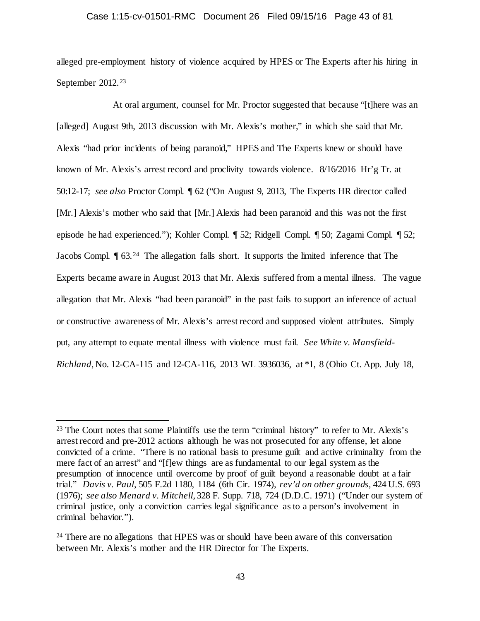## Case 1:15-cv-01501-RMC Document 26 Filed 09/15/16 Page 43 of 81

alleged pre-employment history of violence acquired by HPES or The Experts after his hiring in September 2012.<sup>[23](#page-42-0)</sup>

At oral argument, counsel for Mr. Proctor suggested that because "[t]here was an [alleged] August 9th, 2013 discussion with Mr. Alexis's mother," in which she said that Mr. Alexis "had prior incidents of being paranoid," HPES and The Experts knew or should have known of Mr. Alexis's arrest record and proclivity towards violence. 8/16/2016 Hr'g Tr. at 50:12-17; *see also* Proctor Compl. ¶ 62 ("On August 9, 2013, The Experts HR director called [Mr.] Alexis's mother who said that [Mr.] Alexis had been paranoid and this was not the first episode he had experienced."); Kohler Compl. ¶ 52; Ridgell Compl. ¶ 50; Zagami Compl. ¶ 52; Jacobs Compl. ¶ 63.[24](#page-42-1) The allegation falls short. It supports the limited inference that The Experts became aware in August 2013 that Mr. Alexis suffered from a mental illness. The vague allegation that Mr. Alexis "had been paranoid" in the past fails to support an inference of actual or constructive awareness of Mr. Alexis's arrest record and supposed violent attributes. Simply put, any attempt to equate mental illness with violence must fail. *See White v. Mansfield-Richland*, No. 12-CA-115 and 12-CA-116, 2013 WL 3936036, at \*1, 8 (Ohio Ct. App. July 18,

<span id="page-42-0"></span><sup>&</sup>lt;sup>23</sup> The Court notes that some Plaintiffs use the term "criminal history" to refer to Mr. Alexis's arrest record and pre-2012 actions although he was not prosecuted for any offense, let alone convicted of a crime. "There is no rational basis to presume guilt and active criminality from the mere fact of an arrest" and "[f]ew things are as fundamental to our legal system as the presumption of innocence until overcome by proof of guilt beyond a reasonable doubt at a fair trial." *Davis v. Paul*, 505 F.2d 1180, 1184 (6th Cir. 1974), *rev'd on other grounds,* 424 U.S. 693 (1976); *see also Menard v. Mitchell*, 328 F. Supp. 718, 724 (D.D.C. 1971) ("Under our system of criminal justice, only a conviction carries legal significance as to a person's involvement in criminal behavior.").

<span id="page-42-1"></span><sup>&</sup>lt;sup>24</sup> There are no allegations that HPES was or should have been aware of this conversation between Mr. Alexis's mother and the HR Director for The Experts.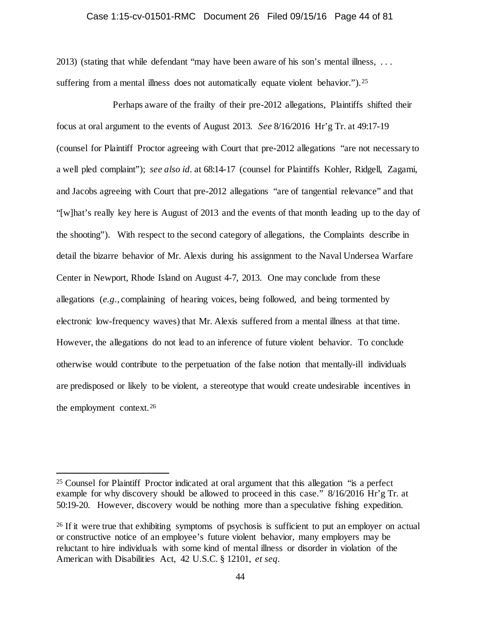## Case 1:15-cv-01501-RMC Document 26 Filed 09/15/16 Page 44 of 81

2013) (stating that while defendant "may have been aware of his son's mental illness, . . . suffering from a mental illness does not automatically equate violent behavior."). <sup>25</sup>

Perhaps aware of the frailty of their pre-2012 allegations, Plaintiffs shifted their focus at oral argument to the events of August 2013. *See* 8/16/2016 Hr'g Tr. at 49:17-19 (counsel for Plaintiff Proctor agreeing with Court that pre-2012 allegations "are not necessary to a well pled complaint"); *see also id.* at 68:14-17 (counsel for Plaintiffs Kohler, Ridgell, Zagami, and Jacobs agreeing with Court that pre-2012 allegations "are of tangential relevance" and that "[w]hat's really key here is August of 2013 and the events of that month leading up to the day of the shooting"). With respect to the second category of allegations, the Complaints describe in detail the bizarre behavior of Mr. Alexis during his assignment to the Naval Undersea Warfare Center in Newport, Rhode Island on August 4-7, 2013. One may conclude from these allegations (*e.g.*, complaining of hearing voices, being followed, and being tormented by electronic low-frequency waves) that Mr. Alexis suffered from a mental illness at that time. However, the allegations do not lead to an inference of future violent behavior. To conclude otherwise would contribute to the perpetuation of the false notion that mentally-ill individuals are predisposed or likely to be violent, a stereotype that would create undesirable incentives in the employment context.[26](#page-43-1)

<span id="page-43-0"></span> <sup>25</sup> Counsel for Plaintiff Proctor indicated at oral argument that this allegation "is a perfect example for why discovery should be allowed to proceed in this case." 8/16/2016 Hr'g Tr. at 50:19-20. However, discovery would be nothing more than a speculative fishing expedition.

<span id="page-43-1"></span><sup>&</sup>lt;sup>26</sup> If it were true that exhibiting symptoms of psychosis is sufficient to put an employer on actual or constructive notice of an employee's future violent behavior, many employers may be reluctant to hire individuals with some kind of mental illness or disorder in violation of the American with Disabilities Act, 42 U.S.C. § 12101, *et seq.*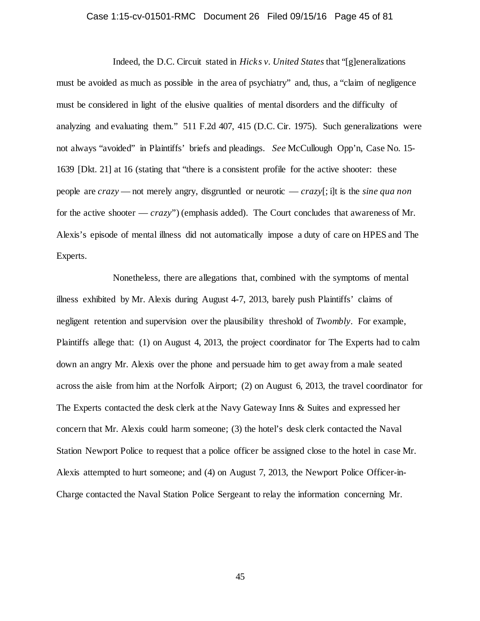## Case 1:15-cv-01501-RMC Document 26 Filed 09/15/16 Page 45 of 81

Indeed, the D.C. Circuit stated in *Hicks v. United States* that "[g]eneralizations must be avoided as much as possible in the area of psychiatry" and, thus, a "claim of negligence must be considered in light of the elusive qualities of mental disorders and the difficulty of analyzing and evaluating them." 511 F.2d 407, 415 (D.C. Cir. 1975). Such generalizations were not always "avoided" in Plaintiffs' briefs and pleadings. *See* McCullough Opp'n, Case No. 15- 1639 [Dkt. 21] at 16 (stating that "there is a consistent profile for the active shooter: these people are *crazy* — not merely angry, disgruntled or neurotic — *crazy*[; i]t is the *sine qua non*  for the active shooter — *crazy*") (emphasis added). The Court concludes that awareness of Mr. Alexis's episode of mental illness did not automatically impose a duty of care on HPES and The Experts.

Nonetheless, there are allegations that, combined with the symptoms of mental illness exhibited by Mr. Alexis during August 4-7, 2013, barely push Plaintiffs' claims of negligent retention and supervision over the plausibility threshold of *Twombly*. For example, Plaintiffs allege that: (1) on August 4, 2013, the project coordinator for The Experts had to calm down an angry Mr. Alexis over the phone and persuade him to get away from a male seated across the aisle from him at the Norfolk Airport; (2) on August 6, 2013, the travel coordinator for The Experts contacted the desk clerk at the Navy Gateway Inns & Suites and expressed her concern that Mr. Alexis could harm someone; (3) the hotel's desk clerk contacted the Naval Station Newport Police to request that a police officer be assigned close to the hotel in case Mr. Alexis attempted to hurt someone; and (4) on August 7, 2013, the Newport Police Officer-in-Charge contacted the Naval Station Police Sergeant to relay the information concerning Mr.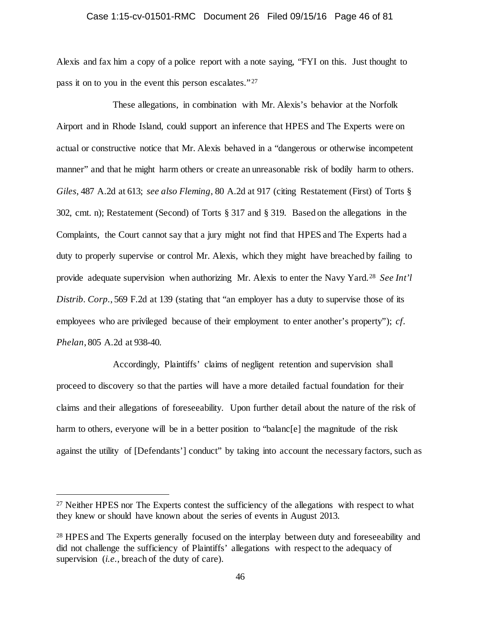## Case 1:15-cv-01501-RMC Document 26 Filed 09/15/16 Page 46 of 81

Alexis and fax him a copy of a police report with a note saying, "FYI on this. Just thought to pass it on to you in the event this person escalates."<sup>[27](#page-45-0)</sup>

These allegations, in combination with Mr. Alexis's behavior at the Norfolk Airport and in Rhode Island, could support an inference that HPES and The Experts were on actual or constructive notice that Mr. Alexis behaved in a "dangerous or otherwise incompetent manner" and that he might harm others or create an unreasonable risk of bodily harm to others. *Giles*, 487 A.2d at 613; *see also Fleming*, 80 A.2d at 917 (citing Restatement (First) of Torts § 302, cmt. n); Restatement (Second) of Torts § 317 and § 319. Based on the allegations in the Complaints, the Court cannot say that a jury might not find that HPES and The Experts had a duty to properly supervise or control Mr. Alexis, which they might have breached by failing to provide adequate supervision when authorizing Mr. Alexis to enter the Navy Yard.[28](#page-45-1) *See Int'l Distrib. Corp.*, 569 F.2d at 139 (stating that "an employer has a duty to supervise those of its employees who are privileged because of their employment to enter another's property"); *cf. Phelan*, 805 A.2d at 938-40.

Accordingly, Plaintiffs' claims of negligent retention and supervision shall proceed to discovery so that the parties will have a more detailed factual foundation for their claims and their allegations of foreseeability. Upon further detail about the nature of the risk of harm to others, everyone will be in a better position to "balanc[e] the magnitude of the risk against the utility of [Defendants'] conduct" by taking into account the necessary factors, such as

<span id="page-45-0"></span><sup>&</sup>lt;sup>27</sup> Neither HPES nor The Experts contest the sufficiency of the allegations with respect to what they knew or should have known about the series of events in August 2013.

<span id="page-45-1"></span><sup>&</sup>lt;sup>28</sup> HPES and The Experts generally focused on the interplay between duty and foreseeability and did not challenge the sufficiency of Plaintiffs' allegations with respect to the adequacy of supervision (*i.e.*, breach of the duty of care).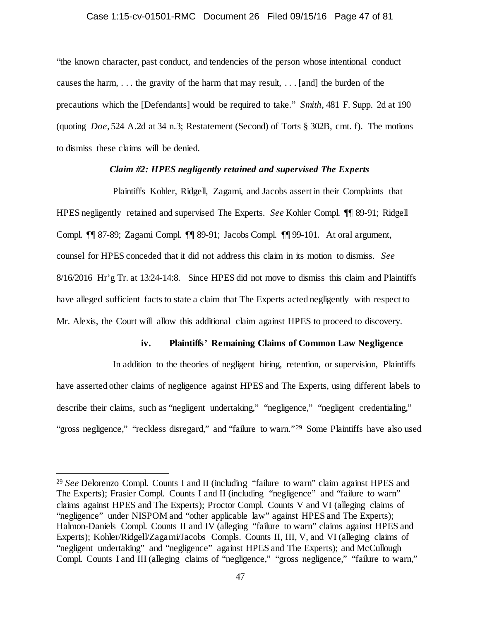## Case 1:15-cv-01501-RMC Document 26 Filed 09/15/16 Page 47 of 81

"the known character, past conduct, and tendencies of the person whose intentional conduct causes the harm, . . . the gravity of the harm that may result, . . . [and] the burden of the precautions which the [Defendants] would be required to take." *Smith*, 481 F. Supp. 2d at 190 (quoting *Doe*, 524 A.2d at 34 n.3; Restatement (Second) of Torts § 302B, cmt. f). The motions to dismiss these claims will be denied.

## *Claim #2: HPES negligently retained and supervised The Experts*

Plaintiffs Kohler, Ridgell, Zagami, and Jacobs assert in their Complaints that HPES negligently retained and supervised The Experts. *See* Kohler Compl. ¶¶ 89-91; Ridgell Compl. ¶¶ 87-89; Zagami Compl. ¶¶ 89-91; Jacobs Compl. ¶¶ 99-101. At oral argument, counsel for HPES conceded that it did not address this claim in its motion to dismiss. *See*  8/16/2016 Hr'g Tr. at 13:24-14:8. Since HPES did not move to dismiss this claim and Plaintiffs have alleged sufficient facts to state a claim that The Experts acted negligently with respect to Mr. Alexis, the Court will allow this additional claim against HPES to proceed to discovery.

## **iv. Plaintiffs' Remaining Claims of Common Law Negligence**

In addition to the theories of negligent hiring, retention, or supervision, Plaintiffs have asserted other claims of negligence against HPES and The Experts, using different labels to describe their claims, such as "negligent undertaking," "negligence," "negligent credentialing," "gross negligence," "reckless disregard," and "failure to warn."<sup>29</sup> Some Plaintiffs have also used

<span id="page-46-0"></span> <sup>29</sup> *See* Delorenzo Compl. Counts I and II (including "failure to warn" claim against HPES and The Experts); Frasier Compl. Counts I and II (including "negligence" and "failure to warn" claims against HPES and The Experts); Proctor Compl. Counts V and VI (alleging claims of "negligence" under NISPOM and "other applicable law" against HPES and The Experts); Halmon-Daniels Compl. Counts II and IV (alleging "failure to warn" claims against HPES and Experts); Kohler/Ridgell/Zagami/Jacobs Compls. Counts II, III, V, and VI (alleging claims of "negligent undertaking" and "negligence" against HPES and The Experts); and McCullough Compl. Counts I and III (alleging claims of "negligence," "gross negligence," "failure to warn,"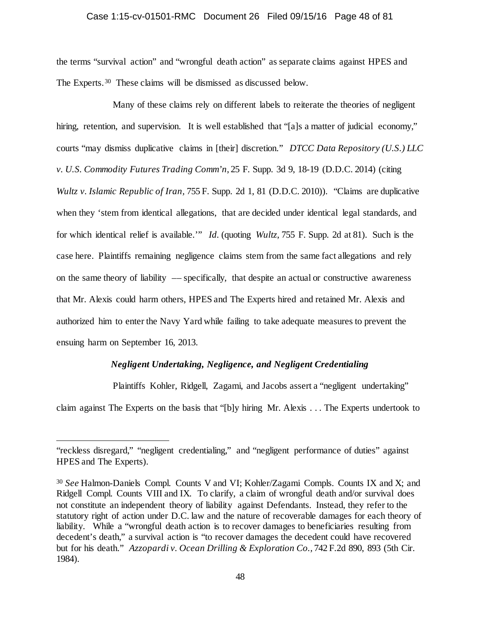## Case 1:15-cv-01501-RMC Document 26 Filed 09/15/16 Page 48 of 81

the terms "survival action" and "wrongful death action" as separate claims against HPES and The Experts.[30](#page-47-0) These claims will be dismissed as discussed below.

Many of these claims rely on different labels to reiterate the theories of negligent hiring, retention, and supervision. It is well established that "[a]s a matter of judicial economy," courts "may dismiss duplicative claims in [their] discretion." *DTCC Data Repository (U.S.) LLC v. U.S. Commodity Futures Trading Comm'n*, 25 F. Supp. 3d 9, 18-19 (D.D.C. 2014) (citing *Wultz v. Islamic Republic of Iran,* 755 F. Supp. 2d 1, 81 (D.D.C. 2010)). "Claims are duplicative when they 'stem from identical allegations, that are decided under identical legal standards, and for which identical relief is available.'" *Id.* (quoting *Wultz*, 755 F. Supp. 2d at 81). Such is the case here. Plaintiffs remaining negligence claims stem from the same fact allegations and rely on the same theory of liability –– specifically, that despite an actual or constructive awareness that Mr. Alexis could harm others, HPES and The Experts hired and retained Mr. Alexis and authorized him to enter the Navy Yard while failing to take adequate measures to prevent the ensuing harm on September 16, 2013.

## *Negligent Undertaking, Negligence, and Negligent Credentialing*

Plaintiffs Kohler, Ridgell, Zagami, and Jacobs assert a "negligent undertaking"

claim against The Experts on the basis that "[b]y hiring Mr. Alexis . . . The Experts undertook to

 $\overline{a}$ 

<sup>&</sup>quot;reckless disregard," "negligent credentialing," and "negligent performance of duties" against HPES and The Experts).

<span id="page-47-0"></span><sup>30</sup> *See* Halmon-Daniels Compl. Counts V and VI; Kohler/Zagami Compls. Counts IX and X; and Ridgell Compl. Counts VIII and IX. To clarify, a claim of wrongful death and/or survival does not constitute an independent theory of liability against Defendants. Instead, they refer to the statutory right of action under D.C. law and the nature of recoverable damages for each theory of liability. While a "wrongful death action is to recover damages to beneficiaries resulting from decedent's death," a survival action is "to recover damages the decedent could have recovered but for his death." *Azzopardi v. Ocean Drilling & Exploration Co.,* 742 F.2d 890, 893 (5th Cir. 1984).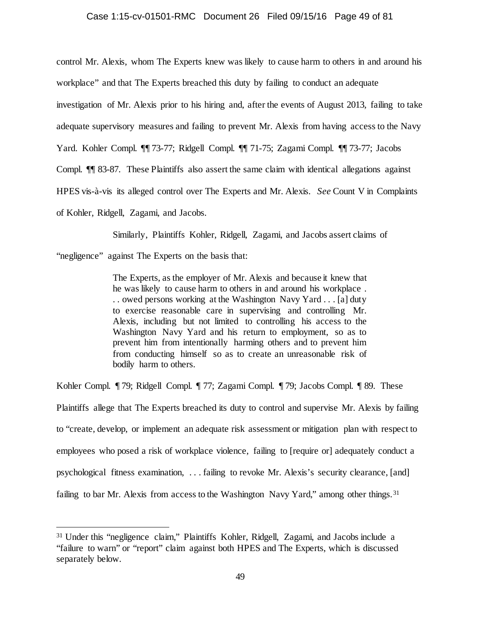## Case 1:15-cv-01501-RMC Document 26 Filed 09/15/16 Page 49 of 81

control Mr. Alexis, whom The Experts knew was likely to cause harm to others in and around his

workplace" and that The Experts breached this duty by failing to conduct an adequate

investigation of Mr. Alexis prior to his hiring and, after the events of August 2013, failing to take

adequate supervisory measures and failing to prevent Mr. Alexis from having access to the Navy

Yard. Kohler Compl. ¶¶ 73-77; Ridgell Compl. ¶¶ 71-75; Zagami Compl. ¶¶ 73-77; Jacobs

Compl. ¶¶ 83-87. These Plaintiffs also assert the same claim with identical allegations against

HPES vis-à-vis its alleged control over The Experts and Mr. Alexis. *See* Count V in Complaints

of Kohler, Ridgell, Zagami, and Jacobs.

Similarly, Plaintiffs Kohler, Ridgell, Zagami, and Jacobs assert claims of

"negligence" against The Experts on the basis that:

The Experts, as the employer of Mr. Alexis and because it knew that he was likely to cause harm to others in and around his workplace . . . owed persons working at the Washington Navy Yard . . . [a] duty to exercise reasonable care in supervising and controlling Mr. Alexis, including but not limited to controlling his access to the Washington Navy Yard and his return to employment, so as to prevent him from intentionally harming others and to prevent him from conducting himself so as to create an unreasonable risk of bodily harm to others.

Kohler Compl. ¶ 79; Ridgell Compl. ¶ 77; Zagami Compl. ¶ 79; Jacobs Compl. ¶ 89. These Plaintiffs allege that The Experts breached its duty to control and supervise Mr. Alexis by failing to "create, develop, or implement an adequate risk assessment or mitigation plan with respect to employees who posed a risk of workplace violence, failing to [require or] adequately conduct a psychological fitness examination, . . . failing to revoke Mr. Alexis's security clearance, [and] failing to bar Mr. Alexis from access to the Washington Navy Yard," among other things.<sup>31</sup>

<span id="page-48-0"></span> <sup>31</sup> Under this "negligence claim," Plaintiffs Kohler, Ridgell, Zagami, and Jacobs include a "failure to warn" or "report" claim against both HPES and The Experts, which is discussed separately below.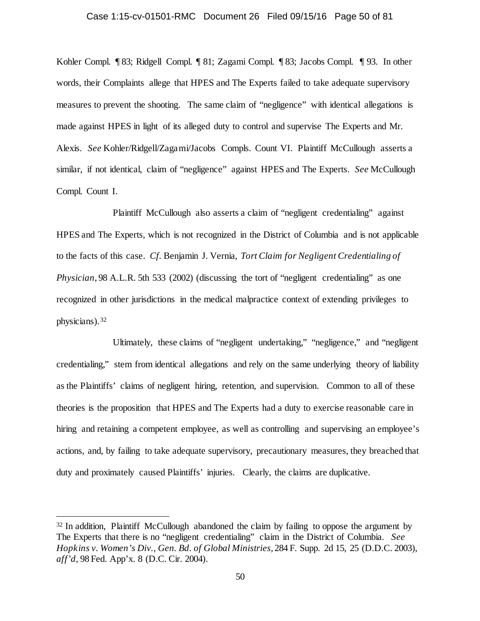## Case 1:15-cv-01501-RMC Document 26 Filed 09/15/16 Page 50 of 81

Kohler Compl. ¶ 83; Ridgell Compl. ¶ 81; Zagami Compl. ¶ 83; Jacobs Compl. ¶ 93. In other words, their Complaints allege that HPES and The Experts failed to take adequate supervisory measures to prevent the shooting. The same claim of "negligence" with identical allegations is made against HPES in light of its alleged duty to control and supervise The Experts and Mr. Alexis. *See* Kohler/Ridgell/Zagami/Jacobs Compls. Count VI. Plaintiff McCullough asserts a similar, if not identical, claim of "negligence" against HPES and The Experts. *See* McCullough Compl. Count I.

Plaintiff McCullough also asserts a claim of "negligent credentialing" against HPES and The Experts, which is not recognized in the District of Columbia and is not applicable to the facts of this case. *Cf.* Benjamin J. Vernia, *Tort Claim for Negligent Credentialing of Physician*, 98 A.L.R. 5th 533 (2002) (discussing the tort of "negligent credentialing" as one recognized in other jurisdictions in the medical malpractice context of extending privileges to physicians).[32](#page-49-0)

Ultimately, these claims of "negligent undertaking," "negligence," and "negligent credentialing," stem from identical allegations and rely on the same underlying theory of liability as the Plaintiffs' claims of negligent hiring, retention, and supervision. Common to all of these theories is the proposition that HPES and The Experts had a duty to exercise reasonable care in hiring and retaining a competent employee, as well as controlling and supervising an employee's actions, and, by failing to take adequate supervisory, precautionary measures, they breached that duty and proximately caused Plaintiffs' injuries. Clearly, the claims are duplicative.

<span id="page-49-0"></span><sup>&</sup>lt;sup>32</sup> In addition, Plaintiff McCullough abandoned the claim by failing to oppose the argument by The Experts that there is no "negligent credentialing" claim in the District of Columbia. *See Hopkins v. Women's Div., Gen. Bd. of Global Ministries*, 284 F. Supp. 2d 15, 25 (D.D.C. 2003), *aff'd,* 98 Fed. App'x. 8 (D.C. Cir. 2004).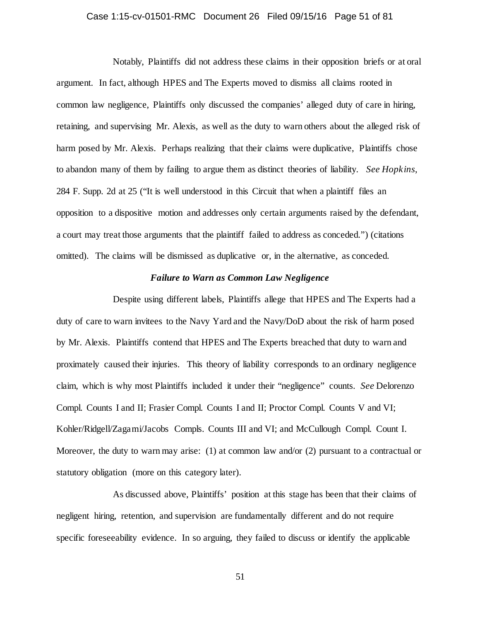## Case 1:15-cv-01501-RMC Document 26 Filed 09/15/16 Page 51 of 81

Notably, Plaintiffs did not address these claims in their opposition briefs or at oral argument. In fact, although HPES and The Experts moved to dismiss all claims rooted in common law negligence, Plaintiffs only discussed the companies' alleged duty of care in hiring, retaining, and supervising Mr. Alexis, as well as the duty to warn others about the alleged risk of harm posed by Mr. Alexis. Perhaps realizing that their claims were duplicative, Plaintiffs chose to abandon many of them by failing to argue them as distinct theories of liability. *See Hopkins*, 284 F. Supp. 2d at 25 ("It is well understood in this Circuit that when a plaintiff files an opposition to a dispositive motion and addresses only certain arguments raised by the defendant, a court may treat those arguments that the plaintiff failed to address as conceded.") (citations omitted). The claims will be dismissed as duplicative or, in the alternative, as conceded.

## *Failure to Warn as Common Law Negligence*

Despite using different labels, Plaintiffs allege that HPES and The Experts had a duty of care to warn invitees to the Navy Yard and the Navy/DoD about the risk of harm posed by Mr. Alexis. Plaintiffs contend that HPES and The Experts breached that duty to warn and proximately caused their injuries. This theory of liability corresponds to an ordinary negligence claim, which is why most Plaintiffs included it under their "negligence" counts. *See* Delorenzo Compl. Counts I and II; Frasier Compl. Counts I and II; Proctor Compl. Counts V and VI; Kohler/Ridgell/Zagami/Jacobs Compls. Counts III and VI; and McCullough Compl. Count I. Moreover, the duty to warn may arise: (1) at common law and/or (2) pursuant to a contractual or statutory obligation (more on this category later).

As discussed above, Plaintiffs' position at this stage has been that their claims of negligent hiring, retention, and supervision are fundamentally different and do not require specific foreseeability evidence. In so arguing, they failed to discuss or identify the applicable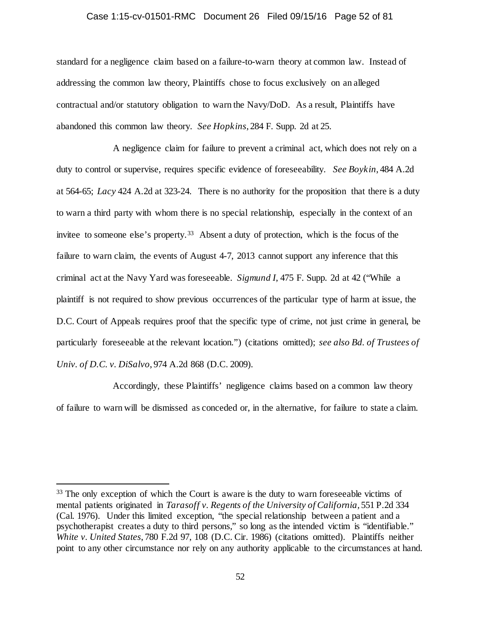# Case 1:15-cv-01501-RMC Document 26 Filed 09/15/16 Page 52 of 81

standard for a negligence claim based on a failure-to-warn theory at common law. Instead of addressing the common law theory, Plaintiffs chose to focus exclusively on an alleged contractual and/or statutory obligation to warn the Navy/DoD. As a result, Plaintiffs have abandoned this common law theory. *See Hopkins*, 284 F. Supp. 2d at 25.

A negligence claim for failure to prevent a criminal act, which does not rely on a duty to control or supervise, requires specific evidence of foreseeability. *See Boykin*, 484 A.2d at 564-65; *Lacy* 424 A.2d at 323-24. There is no authority for the proposition that there is a duty to warn a third party with whom there is no special relationship, especially in the context of an invitee to someone else's property.<sup>[33](#page-51-0)</sup> Absent a duty of protection, which is the focus of the failure to warn claim, the events of August 4-7, 2013 cannot support any inference that this criminal act at the Navy Yard was foreseeable. *Sigmund I*, 475 F. Supp. 2d at 42 ("While a plaintiff is not required to show previous occurrences of the particular type of harm at issue, the D.C. Court of Appeals requires proof that the specific type of crime, not just crime in general, be particularly foreseeable at the relevant location.") (citations omitted); *see also Bd. of Trustees of Univ. of D.C. v. DiSalvo*, 974 A.2d 868 (D.C. 2009).

Accordingly, these Plaintiffs' negligence claims based on a common law theory of failure to warn will be dismissed as conceded or, in the alternative, for failure to state a claim.

<span id="page-51-0"></span><sup>&</sup>lt;sup>33</sup> The only exception of which the Court is aware is the duty to warn foreseeable victims of mental patients originated in *Tarasoff v. Regents of the University of California*, 551 P.2d 334 (Cal. 1976). Under this limited exception, "the special relationship between a patient and a psychotherapist creates a duty to third persons," so long as the intended victim is "identifiable." *White v. United States*, 780 F.2d 97, 108 (D.C. Cir. 1986) (citations omitted). Plaintiffs neither point to any other circumstance nor rely on any authority applicable to the circumstances at hand.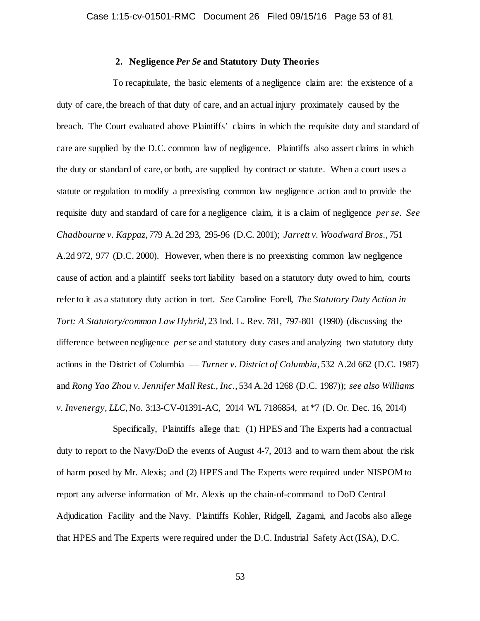## **2. Negligence** *Per Se* **and Statutory Duty Theories**

To recapitulate, the basic elements of a negligence claim are: the existence of a duty of care, the breach of that duty of care, and an actual injury proximately caused by the breach. The Court evaluated above Plaintiffs' claims in which the requisite duty and standard of care are supplied by the D.C. common law of negligence. Plaintiffs also assert claims in which the duty or standard of care, or both, are supplied by contract or statute. When a court uses a statute or regulation to modify a preexisting common law negligence action and to provide the requisite duty and standard of care for a negligence claim, it is a claim of negligence *per se*. *See Chadbourne v. Kappaz*, 779 A.2d 293, 295-96 (D.C. 2001); *Jarrett v. Woodward Bros.*, 751 A.2d 972, 977 (D.C. 2000). However, when there is no preexisting common law negligence cause of action and a plaintiff seeks tort liability based on a statutory duty owed to him, courts refer to it as a statutory duty action in tort. *See* Caroline Forell, *The Statutory Duty Action in Tort: A Statutory/common Law Hybrid*, 23 Ind. L. Rev. 781, 797-801 (1990) (discussing the difference between negligence *per se* and statutory duty cases and analyzing two statutory duty actions in the District of Columbia –– *Turner v. District of Columbia*, 532 A.2d 662 (D.C. 1987) and *Rong Yao Zhou v. Jennifer Mall Rest., Inc.*, 534 A.2d 1268 (D.C. 1987)); *see also Williams v. Invenergy, LLC*, No. 3:13-CV-01391-AC, 2014 WL 7186854, at \*7 (D. Or. Dec. 16, 2014)

Specifically, Plaintiffs allege that: (1) HPES and The Experts had a contractual duty to report to the Navy/DoD the events of August 4-7, 2013 and to warn them about the risk of harm posed by Mr. Alexis; and (2) HPES and The Experts were required under NISPOM to report any adverse information of Mr. Alexis up the chain-of-command to DoD Central Adjudication Facility and the Navy. Plaintiffs Kohler, Ridgell, Zagami, and Jacobs also allege that HPES and The Experts were required under the D.C. Industrial Safety Act (ISA), D.C.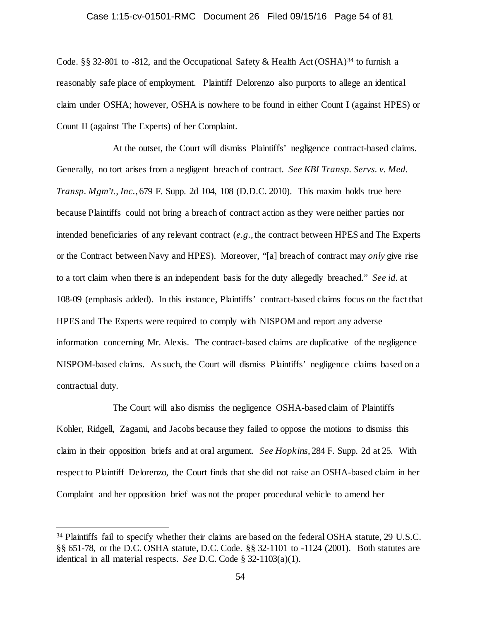## Case 1:15-cv-01501-RMC Document 26 Filed 09/15/16 Page 54 of 81

Code. §§ 32-801 to -812, and the Occupational Safety & Health Act (OSHA)<sup>[34](#page-53-0)</sup> to furnish a reasonably safe place of employment. Plaintiff Delorenzo also purports to allege an identical claim under OSHA; however, OSHA is nowhere to be found in either Count I (against HPES) or Count II (against The Experts) of her Complaint.

At the outset, the Court will dismiss Plaintiffs' negligence contract-based claims. Generally, no tort arises from a negligent breach of contract. *See KBI Transp. Servs. v. Med. Transp. Mgm't., Inc.*, 679 F. Supp. 2d 104, 108 (D.D.C. 2010). This maxim holds true here because Plaintiffs could not bring a breach of contract action as they were neither parties nor intended beneficiaries of any relevant contract (*e.g.*, the contract between HPES and The Experts or the Contract between Navy and HPES). Moreover, "[a] breach of contract may *only* give rise to a tort claim when there is an independent basis for the duty allegedly breached." *See id.* at 108-09 (emphasis added). In this instance, Plaintiffs' contract-based claims focus on the fact that HPES and The Experts were required to comply with NISPOM and report any adverse information concerning Mr. Alexis. The contract-based claims are duplicative of the negligence NISPOM-based claims. As such, the Court will dismiss Plaintiffs' negligence claims based on a contractual duty.

The Court will also dismiss the negligence OSHA-based claim of Plaintiffs Kohler, Ridgell, Zagami, and Jacobs because they failed to oppose the motions to dismiss this claim in their opposition briefs and at oral argument. *See Hopkins*, 284 F. Supp. 2d at 25. With respect to Plaintiff Delorenzo, the Court finds that she did not raise an OSHA-based claim in her Complaint and her opposition brief was not the proper procedural vehicle to amend her

<span id="page-53-0"></span><sup>&</sup>lt;sup>34</sup> Plaintiffs fail to specify whether their claims are based on the federal OSHA statute, 29 U.S.C. §§ 651-78, or the D.C. OSHA statute, D.C. Code. §§ 32-1101 to -1124 (2001). Both statutes are identical in all material respects. *See* D.C. Code § 32-1103(a)(1).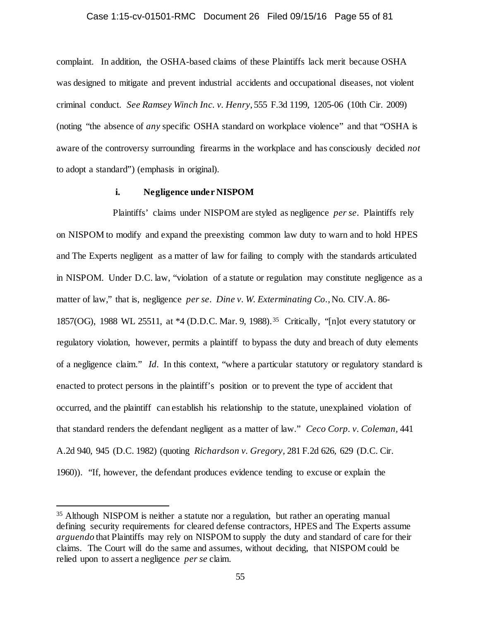#### Case 1:15-cv-01501-RMC Document 26 Filed 09/15/16 Page 55 of 81

complaint. In addition, the OSHA-based claims of these Plaintiffs lack merit because OSHA was designed to mitigate and prevent industrial accidents and occupational diseases, not violent criminal conduct. *See Ramsey Winch Inc. v. Henry*, 555 F.3d 1199, 1205-06 (10th Cir. 2009) (noting "the absence of *any* specific OSHA standard on workplace violence" and that "OSHA is aware of the controversy surrounding firearms in the workplace and has consciously decided *not*  to adopt a standard") (emphasis in original).

## **i. Negligence under NISPOM**

Plaintiffs' claims under NISPOM are styled as negligence *per se*. Plaintiffs rely on NISPOM to modify and expand the preexisting common law duty to warn and to hold HPES and The Experts negligent as a matter of law for failing to comply with the standards articulated in NISPOM. Under D.C. law, "violation of a statute or regulation may constitute negligence as a matter of law," that is, negligence *per se*. *Dine v. W. Exterminating Co.*, No. CIV.A. 86- 1857(OG), 1988 WL 25511, at \*4 (D.D.C. Mar. 9, 1988).[35](#page-54-0) Critically, "[n]ot every statutory or regulatory violation, however, permits a plaintiff to bypass the duty and breach of duty elements of a negligence claim." *Id.* In this context, "where a particular statutory or regulatory standard is enacted to protect persons in the plaintiff's position or to prevent the type of accident that occurred, and the plaintiff can establish his relationship to the statute, unexplained violation of that standard renders the defendant negligent as a matter of law." *Ceco Corp. v. Coleman,* 441 A.2d 940, 945 (D.C. 1982) (quoting *Richardson v. Gregory,* 281 F.2d 626, 629 (D.C. Cir. 1960)). "If, however, the defendant produces evidence tending to excuse or explain the

<span id="page-54-0"></span> <sup>35</sup> Although NISPOM is neither a statute nor a regulation, but rather an operating manual defining security requirements for cleared defense contractors, HPES and The Experts assume *arguendo* that Plaintiffs may rely on NISPOM to supply the duty and standard of care for their claims. The Court will do the same and assumes, without deciding, that NISPOM could be relied upon to assert a negligence *per se* claim.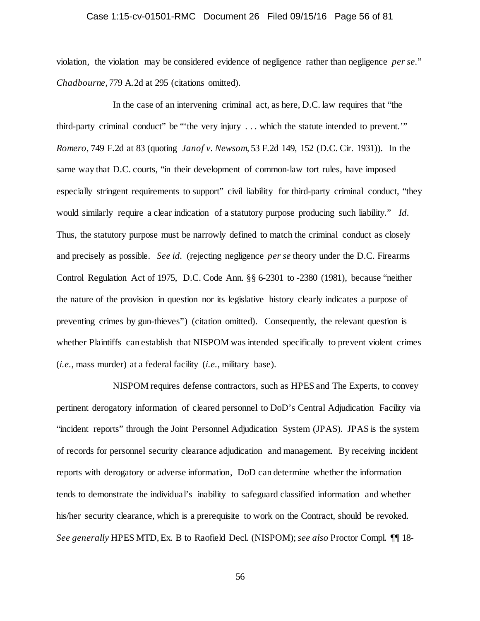## Case 1:15-cv-01501-RMC Document 26 Filed 09/15/16 Page 56 of 81

violation, the violation may be considered evidence of negligence rather than negligence *per se.*" *Chadbourne*, 779 A.2d at 295 (citations omitted).

In the case of an intervening criminal act, as here, D.C. law requires that "the third-party criminal conduct" be "'the very injury . . . which the statute intended to prevent.'" *Romero*, 749 F.2d at 83 (quoting *Janof v. Newsom*, 53 F.2d 149, 152 (D.C. Cir. 1931)). In the same way that D.C. courts, "in their development of common-law tort rules, have imposed especially stringent requirements to support" civil liability for third-party criminal conduct, "they would similarly require a clear indication of a statutory purpose producing such liability." *Id.* Thus, the statutory purpose must be narrowly defined to match the criminal conduct as closely and precisely as possible. *See id.* (rejecting negligence *per se* theory under the D.C. Firearms Control Regulation Act of 1975, D.C. Code Ann. §§ 6-2301 to -2380 (1981), because "neither the nature of the provision in question nor its legislative history clearly indicates a purpose of preventing crimes by gun-thieves") (citation omitted). Consequently, the relevant question is whether Plaintiffs can establish that NISPOM was intended specifically to prevent violent crimes (*i.e.*, mass murder) at a federal facility (*i.e.*, military base).

NISPOM requires defense contractors, such as HPES and The Experts, to convey pertinent derogatory information of cleared personnel to DoD's Central Adjudication Facility via "incident reports" through the Joint Personnel Adjudication System (JPAS). JPAS is the system of records for personnel security clearance adjudication and management. By receiving incident reports with derogatory or adverse information, DoD can determine whether the information tends to demonstrate the individual's inability to safeguard classified information and whether his/her security clearance, which is a prerequisite to work on the Contract, should be revoked. *See generally* HPES MTD, Ex. B to Raofield Decl. (NISPOM); *see also* Proctor Compl. ¶¶ 18-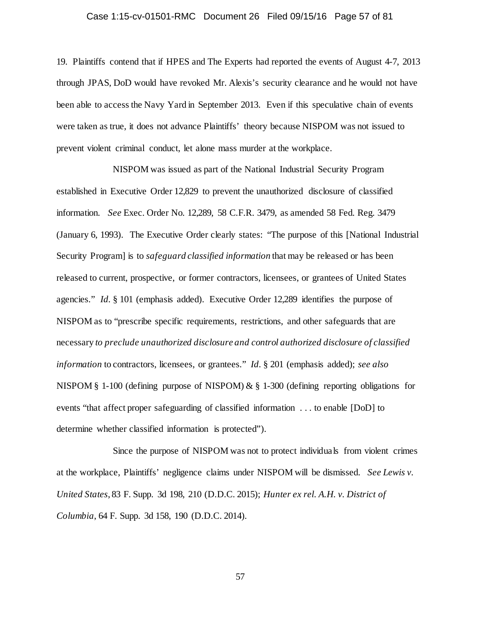## Case 1:15-cv-01501-RMC Document 26 Filed 09/15/16 Page 57 of 81

19. Plaintiffs contend that if HPES and The Experts had reported the events of August 4-7, 2013 through JPAS, DoD would have revoked Mr. Alexis's security clearance and he would not have been able to access the Navy Yard in September 2013. Even if this speculative chain of events were taken as true, it does not advance Plaintiffs' theory because NISPOM was not issued to prevent violent criminal conduct, let alone mass murder at the workplace.

NISPOM was issued as part of the National Industrial Security Program established in Executive Order 12,829 to prevent the unauthorized disclosure of classified information. *See* Exec. Order No. 12,289, 58 C.F.R. 3479, as amended 58 Fed. Reg. 3479 (January 6, 1993). The Executive Order clearly states: "The purpose of this [National Industrial Security Program] is to *safeguard classified information* that may be released or has been released to current, prospective, or former contractors, licensees, or grantees of United States agencies." *Id.* § 101 (emphasis added). Executive Order 12,289 identifies the purpose of NISPOM as to "prescribe specific requirements, restrictions, and other safeguards that are necessary *to preclude unauthorized disclosure and control authorized disclosure of classified information* to contractors, licensees, or grantees." *Id.* § 201 (emphasis added); *see also* NISPOM § 1-100 (defining purpose of NISPOM) & § 1-300 (defining reporting obligations for events "that affect proper safeguarding of classified information . . . to enable [DoD] to determine whether classified information is protected").

Since the purpose of NISPOM was not to protect individuals from violent crimes at the workplace, Plaintiffs' negligence claims under NISPOM will be dismissed. *See Lewis v. United States*, 83 F. Supp. 3d 198, 210 (D.D.C. 2015); *Hunter ex rel. A.H. v. District of Columbia*, 64 F. Supp. 3d 158, 190 (D.D.C. 2014).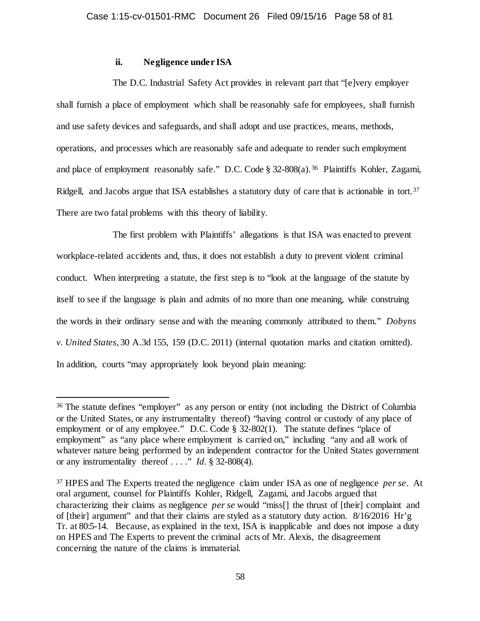## **ii. Negligence under ISA**

The D.C. Industrial Safety Act provides in relevant part that "[e]very employer shall furnish a place of employment which shall be reasonably safe for employees, shall furnish and use safety devices and safeguards, and shall adopt and use practices, means, methods, operations, and processes which are reasonably safe and adequate to render such employment and place of employment reasonably safe." D.C. Code § 32-808(a).<sup>36</sup> Plaintiffs Kohler, Zagami, Ridgell, and Jacobs argue that ISA establishes a statutory duty of care that is actionable in tort.<sup>[37](#page-57-1)</sup> There are two fatal problems with this theory of liability.

The first problem with Plaintiffs' allegations is that ISA was enacted to prevent workplace-related accidents and, thus, it does not establish a duty to prevent violent criminal conduct. When interpreting a statute, the first step is to "look at the language of the statute by itself to see if the language is plain and admits of no more than one meaning, while construing the words in their ordinary sense and with the meaning commonly attributed to them." *Dobyns v. United States*, 30 A.3d 155, 159 (D.C. 2011) (internal quotation marks and citation omitted). In addition, courts "may appropriately look beyond plain meaning:

<span id="page-57-0"></span> <sup>36</sup> The statute defines "employer" as any person or entity (not including the District of Columbia or the United States, or any instrumentality thereof) "having control or custody of any place of employment or of any employee." D.C. Code § 32-802(1). The statute defines "place of employment" as "any place where employment is carried on," including "any and all work of whatever nature being performed by an independent contractor for the United States government or any instrumentality thereof . . . ." *Id.* § 32-808(4).

<span id="page-57-1"></span><sup>37</sup> HPES and The Experts treated the negligence claim under ISA as one of negligence *per se*. At oral argument, counsel for Plaintiffs Kohler, Ridgell, Zagami, and Jacobs argued that characterizing their claims as negligence *per se* would "miss[] the thrust of [their] complaint and of [their] argument" and that their claims are styled as a statutory duty action. 8/16/2016 Hr'g Tr. at 80:5-14. Because, as explained in the text, ISA is inapplicable and does not impose a duty on HPES and The Experts to prevent the criminal acts of Mr. Alexis, the disagreement concerning the nature of the claims is immaterial.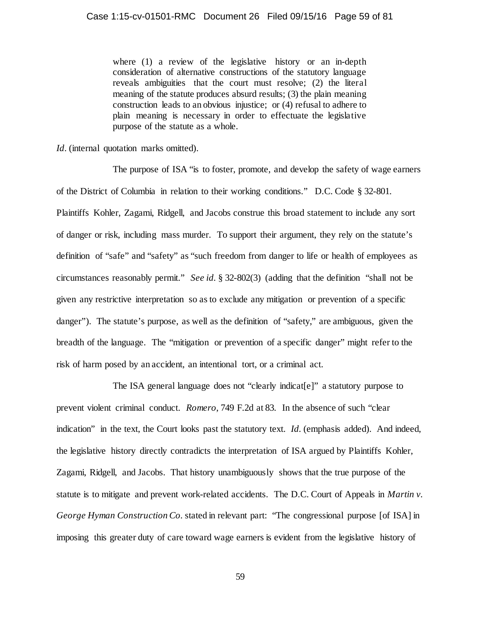where (1) a review of the legislative history or an in-depth consideration of alternative constructions of the statutory language reveals ambiguities that the court must resolve; (2) the literal meaning of the statute produces absurd results; (3) the plain meaning construction leads to an obvious injustice; or (4) refusal to adhere to plain meaning is necessary in order to effectuate the legislative purpose of the statute as a whole.

*Id.* (internal quotation marks omitted).

The purpose of ISA "is to foster, promote, and develop the safety of wage earners of the District of Columbia in relation to their working conditions." D.C. Code § 32-801. Plaintiffs Kohler, Zagami, Ridgell, and Jacobs construe this broad statement to include any sort of danger or risk, including mass murder. To support their argument, they rely on the statute's definition of "safe" and "safety" as "such freedom from danger to life or health of employees as circumstances reasonably permit." *See id.* § 32-802(3) (adding that the definition "shall not be given any restrictive interpretation so as to exclude any mitigation or prevention of a specific danger"). The statute's purpose, as well as the definition of "safety," are ambiguous, given the breadth of the language. The "mitigation or prevention of a specific danger" might refer to the risk of harm posed by an accident, an intentional tort, or a criminal act.

The ISA general language does not "clearly indicat[e]" a statutory purpose to prevent violent criminal conduct. *Romero*, 749 F.2d at 83. In the absence of such "clear indication" in the text, the Court looks past the statutory text. *Id.* (emphasis added). And indeed, the legislative history directly contradicts the interpretation of ISA argued by Plaintiffs Kohler, Zagami, Ridgell, and Jacobs. That history unambiguously shows that the true purpose of the statute is to mitigate and prevent work-related accidents. The D.C. Court of Appeals in *Martin v. George Hyman Construction Co.* stated in relevant part: "The congressional purpose [of ISA] in imposing this greater duty of care toward wage earners is evident from the legislative history of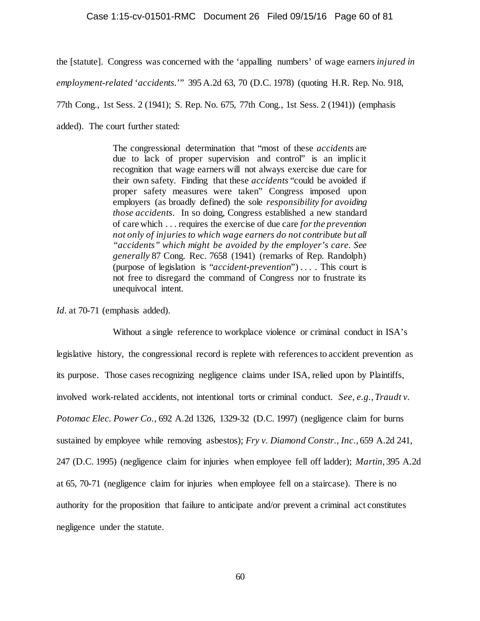#### Case 1:15-cv-01501-RMC Document 26 Filed 09/15/16 Page 60 of 81

the [statute]. Congress was concerned with the 'appalling numbers' of wage earners *injured in employment-related* '*accidents.*'" 395 A.2d 63, 70 (D.C. 1978) (quoting H.R. Rep. No. 918, 77th Cong., 1st Sess. 2 (1941); S. Rep. No. 675, 77th Cong., 1st Sess. 2 (1941)) (emphasis added). The court further stated:

> The congressional determination that "most of these *accidents* are due to lack of proper supervision and control" is an implic it recognition that wage earners will not always exercise due care for their own safety. Finding that these *accidents* "could be avoided if proper safety measures were taken" Congress imposed upon employers (as broadly defined) the sole *responsibility for avoiding those accidents*. In so doing, Congress established a new standard of care which . . . requires the exercise of due care *for the prevention not only of injuries to which wage earners do not contribute but all "accidents" which might be avoided by the employer's care. See generally* 87 Cong. Rec. 7658 (1941) (remarks of Rep. Randolph) (purpose of legislation is "*accident-prevention*") . . . . This court is not free to disregard the command of Congress nor to frustrate its unequivocal intent.

*Id.* at 70-71 (emphasis added).

Without a single reference to workplace violence or criminal conduct in ISA's legislative history, the congressional record is replete with references to accident prevention as its purpose. Those cases recognizing negligence claims under ISA, relied upon by Plaintiffs, involved work-related accidents, not intentional torts or criminal conduct. *See, e.g.*, *Traudt v. Potomac Elec. Power Co.*, 692 A.2d 1326, 1329-32 (D.C. 1997) (negligence claim for burns sustained by employee while removing asbestos); *Fry v. Diamond Constr., Inc.*, 659 A.2d 241, 247 (D.C. 1995) (negligence claim for injuries when employee fell off ladder); *Martin*, 395 A.2d at 65, 70-71 (negligence claim for injuries when employee fell on a staircase). There is no authority for the proposition that failure to anticipate and/or prevent a criminal act constitutes negligence under the statute.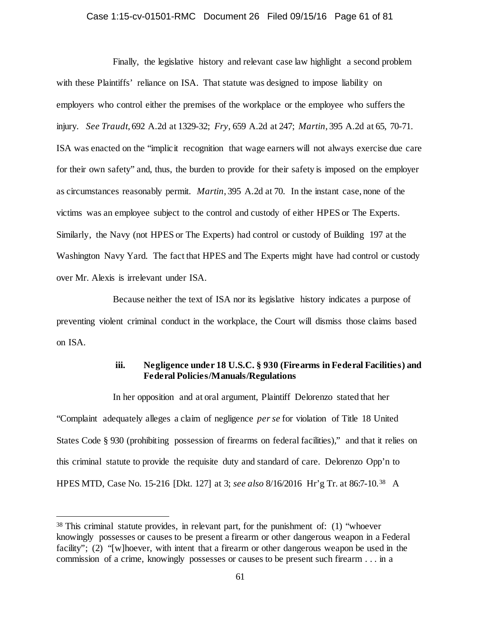## Case 1:15-cv-01501-RMC Document 26 Filed 09/15/16 Page 61 of 81

Finally, the legislative history and relevant case law highlight a second problem with these Plaintiffs' reliance on ISA. That statute was designed to impose liability on employers who control either the premises of the workplace or the employee who suffers the injury. *See Traudt*, 692 A.2d at 1329-32; *Fry*, 659 A.2d at 247; *Martin*, 395 A.2d at 65, 70-71. ISA was enacted on the "implicit recognition that wage earners will not always exercise due care for their own safety" and, thus, the burden to provide for their safety is imposed on the employer as circumstances reasonably permit. *Martin*, 395 A.2d at 70. In the instant case, none of the victims was an employee subject to the control and custody of either HPES or The Experts. Similarly, the Navy (not HPES or The Experts) had control or custody of Building 197 at the Washington Navy Yard. The fact that HPES and The Experts might have had control or custody over Mr. Alexis is irrelevant under ISA.

Because neither the text of ISA nor its legislative history indicates a purpose of preventing violent criminal conduct in the workplace, the Court will dismiss those claims based on ISA.

## **iii. Negligence under 18 U.S.C. § 930 (Firearms in Federal Facilities) and Federal Policies/Manuals/Regulations**

In her opposition and at oral argument, Plaintiff Delorenzo stated that her "Complaint adequately alleges a claim of negligence *per se* for violation of Title 18 United States Code § 930 (prohibiting possession of firearms on federal facilities)," and that it relies on this criminal statute to provide the requisite duty and standard of care. Delorenzo Opp'n to HPES MTD, Case No. 15-216 [Dkt. 127] at 3; *see also* 8/16/2016 Hr'g Tr. at 86:7-10.[38](#page-60-0) A

<span id="page-60-0"></span> <sup>38</sup> This criminal statute provides, in relevant part, for the punishment of: (1) "whoever knowingly possesses or causes to be present a firearm or other dangerous weapon in a Federal facility"; (2) "[w]hoever, with intent that a firearm or other dangerous weapon be used in the commission of a crime, knowingly possesses or causes to be present such firearm . . . in a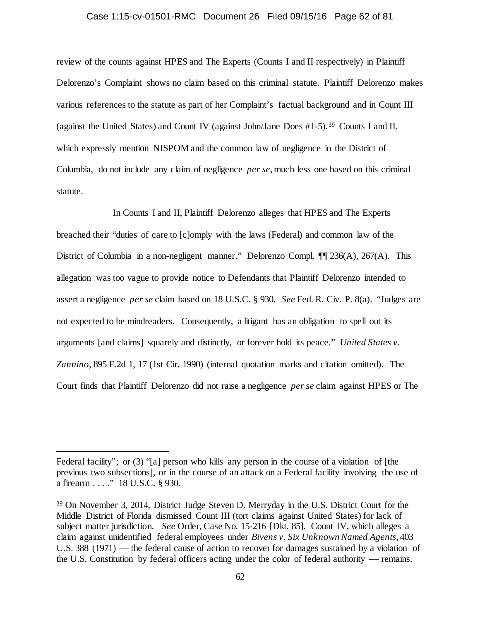## Case 1:15-cv-01501-RMC Document 26 Filed 09/15/16 Page 62 of 81

review of the counts against HPES and The Experts (Counts I and II respectively) in Plaintiff Delorenzo's Complaint shows no claim based on this criminal statute. Plaintiff Delorenzo makes various references to the statute as part of her Complaint's factual background and in Count III (against the United States) and Count IV (against John/Jane Does #1-5).[39](#page-61-0) Counts I and II, which expressly mention NISPOM and the common law of negligence in the District of Columbia, do not include any claim of negligence *per se*, much less one based on this criminal statute.

In Counts I and II, Plaintiff Delorenzo alleges that HPES and The Experts breached their "duties of care to [c]omply with the laws (Federal) and common law of the District of Columbia in a non-negligent manner." Delorenzo Compl. ¶¶ 236(A), 267(A). This allegation was too vague to provide notice to Defendants that Plaintiff Delorenzo intended to assert a negligence *per se* claim based on 18 U.S.C. § 930. *See* Fed. R. Civ. P. 8(a). "Judges are not expected to be mindreaders. Consequently, a litigant has an obligation to spell out its arguments [and claims] squarely and distinctly, or forever hold its peace." *United States v. Zannino,* 895 F.2d 1, 17 (1st Cir. 1990) (internal quotation marks and citation omitted). The Court finds that Plaintiff Delorenzo did not raise a negligence *per se* claim against HPES or The

 $\overline{a}$ 

Federal facility"; or (3) "[a] person who kills any person in the course of a violation of [the previous two subsections], or in the course of an attack on a Federal facility involving the use of a firearm . . . ." 18 U.S.C. § 930.

<span id="page-61-0"></span><sup>39</sup> On November 3, 2014, District Judge Steven D. Merryday in the U.S. District Court for the Middle District of Florida dismissed Count III (tort claims against United States) for lack of subject matter jurisdiction. *See* Order, Case No. 15-216 [Dkt. 85]. Count IV, which alleges a claim against unidentified federal employees under *Bivens v. Six Unknown Named Agents*, 403 U.S. 388 (1971) –– the federal cause of action to recover for damages sustained by a violation of the U.S. Constitution by federal officers acting under the color of federal authority –– remains.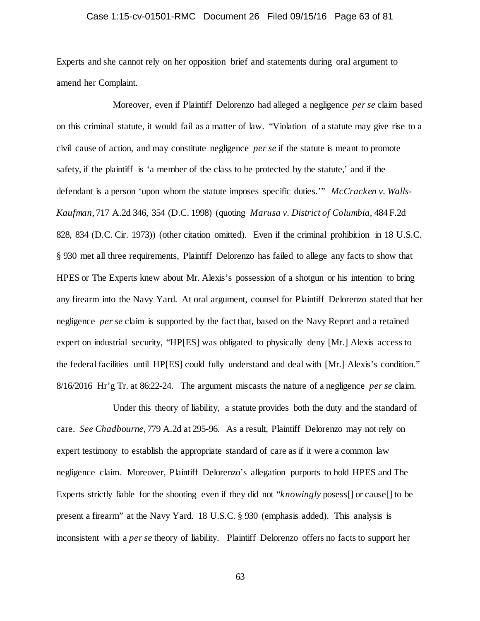## Case 1:15-cv-01501-RMC Document 26 Filed 09/15/16 Page 63 of 81

Experts and she cannot rely on her opposition brief and statements during oral argument to amend her Complaint.

Moreover, even if Plaintiff Delorenzo had alleged a negligence *per se* claim based on this criminal statute, it would fail as a matter of law. "Violation of a statute may give rise to a civil cause of action, and may constitute negligence *per se* if the statute is meant to promote safety, if the plaintiff is 'a member of the class to be protected by the statute,' and if the defendant is a person 'upon whom the statute imposes specific duties.'" *McCracken v. Walls-Kaufman*, 717 A.2d 346, 354 (D.C. 1998) (quoting *Marusa v. District of Columbia,* 484 F.2d 828, 834 (D.C. Cir. 1973)) (other citation omitted). Even if the criminal prohibition in 18 U.S.C. § 930 met all three requirements, Plaintiff Delorenzo has failed to allege any facts to show that HPES or The Experts knew about Mr. Alexis's possession of a shotgun or his intention to bring any firearm into the Navy Yard. At oral argument, counsel for Plaintiff Delorenzo stated that her negligence *per se* claim is supported by the fact that, based on the Navy Report and a retained expert on industrial security, "HP[ES] was obligated to physically deny [Mr.] Alexis access to the federal facilities until HP[ES] could fully understand and deal with [Mr.] Alexis's condition." 8/16/2016 Hr'g Tr. at 86:22-24. The argument miscasts the nature of a negligence *per se* claim.

Under this theory of liability, a statute provides both the duty and the standard of care. *See Chadbourne*, 779 A.2d at 295-96. As a result, Plaintiff Delorenzo may not rely on expert testimony to establish the appropriate standard of care as if it were a common law negligence claim. Moreover, Plaintiff Delorenzo's allegation purports to hold HPES and The Experts strictly liable for the shooting even if they did not "*knowingly* posess[] or cause[] to be present a firearm" at the Navy Yard. 18 U.S.C. § 930 (emphasis added). This analysis is inconsistent with a *per se* theory of liability. Plaintiff Delorenzo offers no facts to support her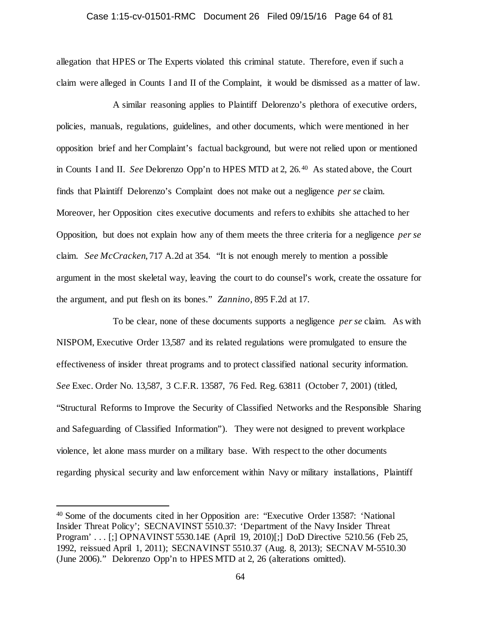## Case 1:15-cv-01501-RMC Document 26 Filed 09/15/16 Page 64 of 81

allegation that HPES or The Experts violated this criminal statute. Therefore, even if such a claim were alleged in Counts I and II of the Complaint, it would be dismissed as a matter of law.

A similar reasoning applies to Plaintiff Delorenzo's plethora of executive orders, policies, manuals, regulations, guidelines, and other documents, which were mentioned in her opposition brief and her Complaint's factual background, but were not relied upon or mentioned in Counts I and II. *See* Delorenzo Opp'n to HPES MTD at 2, 26.[40](#page-63-0) As stated above, the Court finds that Plaintiff Delorenzo's Complaint does not make out a negligence *per se* claim. Moreover, her Opposition cites executive documents and refers to exhibits she attached to her Opposition, but does not explain how any of them meets the three criteria for a negligence *per se* claim. *See McCracken*, 717 A.2d at 354. "It is not enough merely to mention a possible argument in the most skeletal way, leaving the court to do counsel's work, create the ossature for the argument, and put flesh on its bones." *Zannino,* 895 F.2d at 17.

To be clear, none of these documents supports a negligence *per se* claim. As with NISPOM, Executive Order 13,587 and its related regulations were promulgated to ensure the effectiveness of insider threat programs and to protect classified national security information. *See* Exec. Order No. 13,587, 3 C.F.R. 13587, 76 Fed. Reg. 63811 (October 7, 2001) (titled, "Structural Reforms to Improve the Security of Classified Networks and the Responsible Sharing and Safeguarding of Classified Information"). They were not designed to prevent workplace violence, let alone mass murder on a military base. With respect to the other documents regarding physical security and law enforcement within Navy or military installations, Plaintiff

<span id="page-63-0"></span> <sup>40</sup> Some of the documents cited in her Opposition are: "Executive Order 13587: 'National Insider Threat Policy'; SECNAVINST 5510.37: 'Department of the Navy Insider Threat Program' . . . [;] OPNAVINST 5530.14E (April 19, 2010)[;] DoD Directive 5210.56 (Feb 25, 1992, reissued April 1, 2011); SECNAVINST 5510.37 (Aug. 8, 2013); SECNAV M-5510.30 (June 2006)." Delorenzo Opp'n to HPES MTD at 2, 26 (alterations omitted).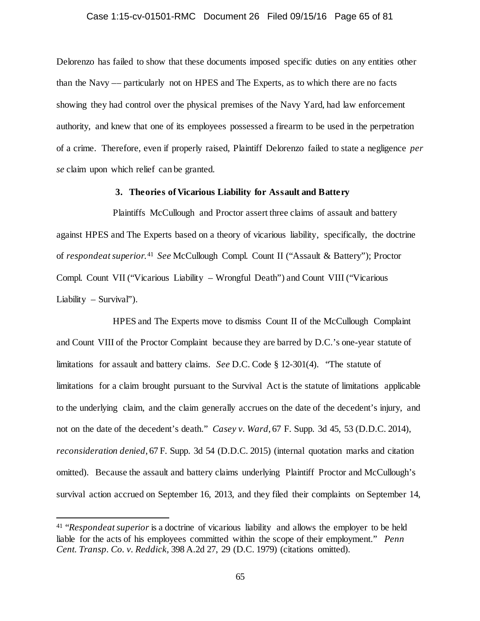## Case 1:15-cv-01501-RMC Document 26 Filed 09/15/16 Page 65 of 81

Delorenzo has failed to show that these documents imposed specific duties on any entities other than the Navy –– particularly not on HPES and The Experts, as to which there are no facts showing they had control over the physical premises of the Navy Yard, had law enforcement authority, and knew that one of its employees possessed a firearm to be used in the perpetration of a crime. Therefore, even if properly raised, Plaintiff Delorenzo failed to state a negligence *per se* claim upon which relief can be granted.

## **3. Theories of Vicarious Liability for Assault and Battery**

Plaintiffs McCullough and Proctor assert three claims of assault and battery against HPES and The Experts based on a theory of vicarious liability, specifically, the doctrine of *respondeat superior*. [41](#page-64-0) *See* McCullough Compl. Count II ("Assault & Battery"); Proctor Compl. Count VII ("Vicarious Liability – Wrongful Death") and Count VIII ("Vicarious Liability – Survival").

HPES and The Experts move to dismiss Count II of the McCullough Complaint and Count VIII of the Proctor Complaint because they are barred by D.C.'s one-year statute of limitations for assault and battery claims. *See* D.C. Code § 12-301(4). "The statute of limitations for a claim brought pursuant to the Survival Act is the statute of limitations applicable to the underlying claim, and the claim generally accrues on the date of the decedent's injury, and not on the date of the decedent's death." *Casey v. Ward*, 67 F. Supp. 3d 45, 53 (D.D.C. 2014), *reconsideration denied*, 67 F. Supp. 3d 54 (D.D.C. 2015) (internal quotation marks and citation omitted). Because the assault and battery claims underlying Plaintiff Proctor and McCullough's survival action accrued on September 16, 2013, and they filed their complaints on September 14,

<span id="page-64-0"></span> <sup>41</sup> "*Respondeat superior* is a doctrine of vicarious liability and allows the employer to be held liable for the acts of his employees committed within the scope of their employment." *Penn Cent. Transp. Co. v. Reddick,* 398 A.2d 27, 29 (D.C. 1979) (citations omitted).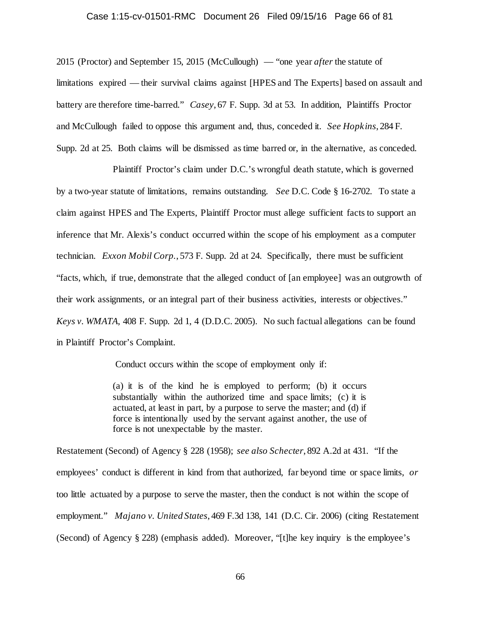## Case 1:15-cv-01501-RMC Document 26 Filed 09/15/16 Page 66 of 81

2015 (Proctor) and September 15, 2015 (McCullough) — "one year *after* the statute of limitations expired — their survival claims against [HPES and The Experts] based on assault and battery are therefore time-barred." *Casey*, 67 F. Supp. 3d at 53. In addition, Plaintiffs Proctor and McCullough failed to oppose this argument and, thus, conceded it. *See Hopkins*, 284 F. Supp. 2d at 25. Both claims will be dismissed as time barred or, in the alternative, as conceded.

Plaintiff Proctor's claim under D.C.'s wrongful death statute, which is governed by a two-year statute of limitations, remains outstanding. *See* D.C. Code § 16-2702. To state a claim against HPES and The Experts, Plaintiff Proctor must allege sufficient facts to support an inference that Mr. Alexis's conduct occurred within the scope of his employment as a computer technician. *Exxon Mobil Corp.*, 573 F. Supp. 2d at 24. Specifically, there must be sufficient "facts, which, if true, demonstrate that the alleged conduct of [an employee] was an outgrowth of their work assignments, or an integral part of their business activities, interests or objectives." *Keys v. WMATA*, 408 F. Supp. 2d 1, 4 (D.D.C. 2005). No such factual allegations can be found in Plaintiff Proctor's Complaint.

Conduct occurs within the scope of employment only if:

(a) it is of the kind he is employed to perform; (b) it occurs substantially within the authorized time and space limits; (c) it is actuated, at least in part, by a purpose to serve the master; and (d) if force is intentionally used by the servant against another, the use of force is not unexpectable by the master.

Restatement (Second) of Agency § 228 (1958); *see also Schecter*, 892 A.2d at 431. "If the employees' conduct is different in kind from that authorized, far beyond time or space limits, *or* too little actuated by a purpose to serve the master, then the conduct is not within the scope of employment." *Majano v. United States*, 469 F.3d 138, 141 (D.C. Cir. 2006) (citing Restatement (Second) of Agency § 228) (emphasis added). Moreover, "[t]he key inquiry is the employee's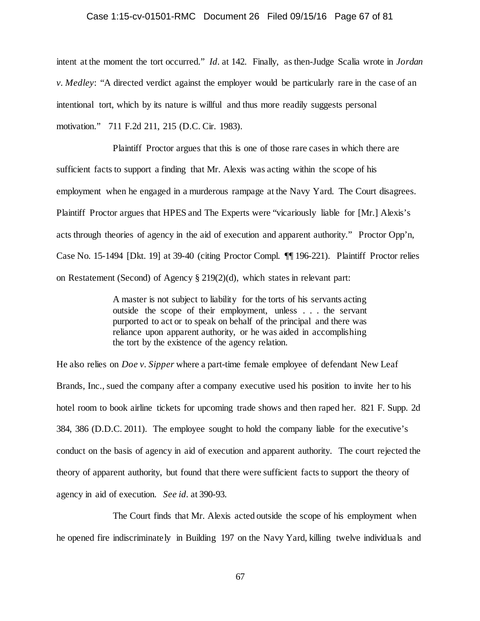#### Case 1:15-cv-01501-RMC Document 26 Filed 09/15/16 Page 67 of 81

intent at the moment the tort occurred." *Id.* at 142. Finally, as then-Judge Scalia wrote in *Jordan v. Medley*: "A directed verdict against the employer would be particularly rare in the case of an intentional tort, which by its nature is willful and thus more readily suggests personal motivation." 711 F.2d 211, 215 (D.C. Cir. 1983).

Plaintiff Proctor argues that this is one of those rare cases in which there are sufficient facts to support a finding that Mr. Alexis was acting within the scope of his employment when he engaged in a murderous rampage at the Navy Yard. The Court disagrees. Plaintiff Proctor argues that HPES and The Experts were "vicariously liable for [Mr.] Alexis's acts through theories of agency in the aid of execution and apparent authority." Proctor Opp'n, Case No. 15-1494 [Dkt. 19] at 39-40 (citing Proctor Compl. ¶¶ 196-221). Plaintiff Proctor relies on Restatement (Second) of Agency § 219(2)(d), which states in relevant part:

> A master is not subject to liability for the torts of his servants acting outside the scope of their employment, unless . . . the servant purported to act or to speak on behalf of the principal and there was reliance upon apparent authority, or he was aided in accomplishing the tort by the existence of the agency relation.

He also relies on *Doe v. Sipper* where a part-time female employee of defendant New Leaf Brands, Inc., sued the company after a company executive used his position to invite her to his hotel room to book airline tickets for upcoming trade shows and then raped her. 821 F. Supp. 2d 384, 386 (D.D.C. 2011). The employee sought to hold the company liable for the executive's conduct on the basis of agency in aid of execution and apparent authority. The court rejected the theory of apparent authority, but found that there were sufficient facts to support the theory of agency in aid of execution. *See id.* at 390-93.

The Court finds that Mr. Alexis acted outside the scope of his employment when he opened fire indiscriminately in Building 197 on the Navy Yard, killing twelve individuals and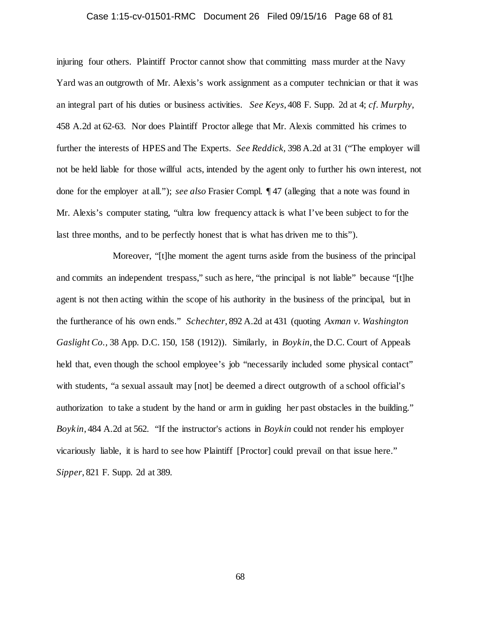## Case 1:15-cv-01501-RMC Document 26 Filed 09/15/16 Page 68 of 81

injuring four others. Plaintiff Proctor cannot show that committing mass murder at the Navy Yard was an outgrowth of Mr. Alexis's work assignment as a computer technician or that it was an integral part of his duties or business activities. *See Keys*, 408 F. Supp. 2d at 4; *cf. Murphy*, 458 A.2d at 62-63. Nor does Plaintiff Proctor allege that Mr. Alexis committed his crimes to further the interests of HPES and The Experts. *See Reddick,* 398 A.2d at 31 ("The employer will not be held liable for those willful acts, intended by the agent only to further his own interest, not done for the employer at all."); *see also* Frasier Compl. ¶ 47 (alleging that a note was found in Mr. Alexis's computer stating, "ultra low frequency attack is what I've been subject to for the last three months, and to be perfectly honest that is what has driven me to this").

Moreover, "[t]he moment the agent turns aside from the business of the principal and commits an independent trespass," such as here, "the principal is not liable" because "[t]he agent is not then acting within the scope of his authority in the business of the principal, but in the furtherance of his own ends." *Schechter*, 892 A.2d at 431 (quoting *Axman v. Washington Gaslight Co.,* 38 App. D.C. 150, 158 (1912)). Similarly, in *Boykin*, the D.C. Court of Appeals held that, even though the school employee's job "necessarily included some physical contact" with students, "a sexual assault may  $[not]$  be deemed a direct outgrowth of a school official's authorization to take a student by the hand or arm in guiding her past obstacles in the building." *Boykin*, 484 A.2d at 562. "If the instructor's actions in *Boykin* could not render his employer vicariously liable, it is hard to see how Plaintiff [Proctor] could prevail on that issue here." *Sipper*, 821 F. Supp. 2d at 389.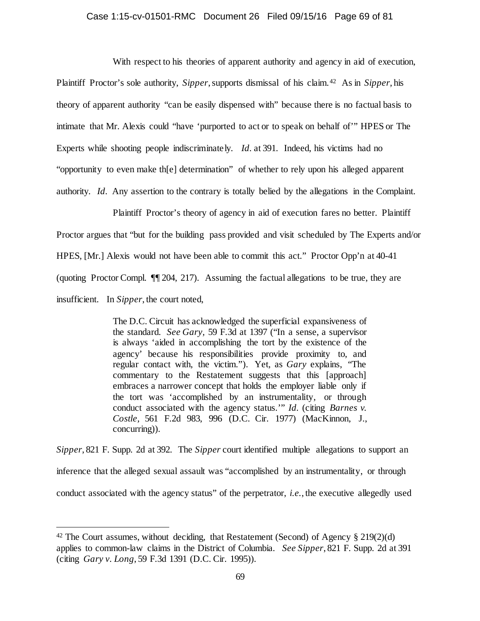## Case 1:15-cv-01501-RMC Document 26 Filed 09/15/16 Page 69 of 81

With respect to his theories of apparent authority and agency in aid of execution, Plaintiff Proctor's sole authority, *Sipper*, supports dismissal of his claim.[42](#page-68-0) As in *Sipper*, his theory of apparent authority "can be easily dispensed with" because there is no factual basis to intimate that Mr. Alexis could "have 'purported to act or to speak on behalf of'" HPES or The Experts while shooting people indiscriminately. *Id.* at 391. Indeed, his victims had no "opportunity to even make th[e] determination" of whether to rely upon his alleged apparent authority. *Id.* Any assertion to the contrary is totally belied by the allegations in the Complaint.

Plaintiff Proctor's theory of agency in aid of execution fares no better. Plaintiff Proctor argues that "but for the building pass provided and visit scheduled by The Experts and/or HPES, [Mr.] Alexis would not have been able to commit this act." Proctor Opp'n at 40-41 (quoting Proctor Compl. ¶¶ 204, 217). Assuming the factual allegations to be true, they are insufficient. In *Sipper*, the court noted,

> The D.C. Circuit has acknowledged the superficial expansiveness of the standard. *See Gary,* 59 F.3d at 1397 ("In a sense, a supervisor is always 'aided in accomplishing the tort by the existence of the agency' because his responsibilities provide proximity to, and regular contact with, the victim."). Yet, as *Gary* explains, "The commentary to the Restatement suggests that this [approach] embraces a narrower concept that holds the employer liable only if the tort was 'accomplished by an instrumentality, or through conduct associated with the agency status.'" *Id.* (citing *Barnes v. Costle,* 561 F.2d 983, 996 (D.C. Cir. 1977) (MacKinnon, J., concurring)).

*Sipper*, 821 F. Supp. 2d at 392. The *Sipper* court identified multiple allegations to support an inference that the alleged sexual assault was "accomplished by an instrumentality, or through conduct associated with the agency status" of the perpetrator, *i.e.*, the executive allegedly used

<span id="page-68-0"></span><sup>&</sup>lt;sup>42</sup> The Court assumes, without deciding, that Restatement (Second) of Agency  $\S 219(2)(d)$ applies to common-law claims in the District of Columbia. *See Sipper*, 821 F. Supp. 2d at 391 (citing *Gary v. Long*, 59 F.3d 1391 (D.C. Cir. 1995)).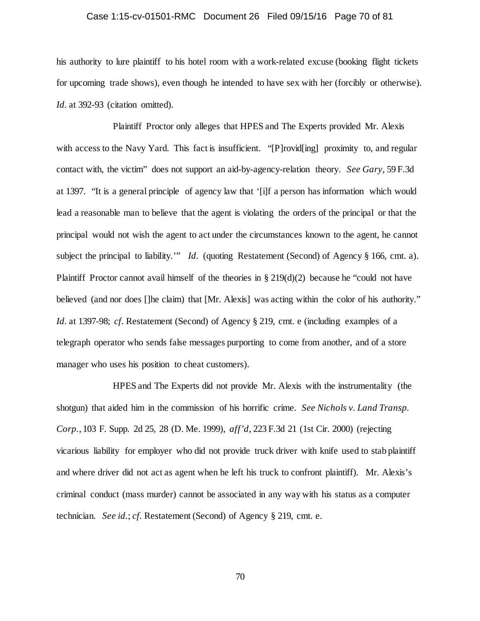## Case 1:15-cv-01501-RMC Document 26 Filed 09/15/16 Page 70 of 81

his authority to lure plaintiff to his hotel room with a work-related excuse (booking flight tickets for upcoming trade shows), even though he intended to have sex with her (forcibly or otherwise). Id. at 392-93 (citation omitted).

Plaintiff Proctor only alleges that HPES and The Experts provided Mr. Alexis with access to the Navy Yard. This fact is insufficient. "[P]rovid[ing] proximity to, and regular contact with, the victim" does not support an aid-by-agency-relation theory. *See Gary,* 59 F.3d at 1397. "It is a general principle of agency law that '[i]f a person has information which would lead a reasonable man to believe that the agent is violating the orders of the principal or that the principal would not wish the agent to act under the circumstances known to the agent, he cannot subject the principal to liability.'" *Id.* (quoting Restatement (Second) of Agency § 166, cmt. a). Plaintiff Proctor cannot avail himself of the theories in  $\S 219(d)(2)$  because he "could not have believed (and nor does []he claim) that [Mr. Alexis] was acting within the color of his authority." *Id.* at 1397-98; *cf.* Restatement (Second) of Agency § 219, cmt. e (including examples of a telegraph operator who sends false messages purporting to come from another, and of a store manager who uses his position to cheat customers).

HPES and The Experts did not provide Mr. Alexis with the instrumentality (the shotgun) that aided him in the commission of his horrific crime. *See Nichols v. Land Transp. Corp.*, 103 F. Supp. 2d 25, 28 (D. Me. 1999), *aff'd,* 223 F.3d 21 (1st Cir. 2000) (rejecting vicarious liability for employer who did not provide truck driver with knife used to stab plaintiff and where driver did not act as agent when he left his truck to confront plaintiff). Mr. Alexis's criminal conduct (mass murder) cannot be associated in any way with his status as a computer technician. *See id.*; *cf.* Restatement (Second) of Agency § 219, cmt. e.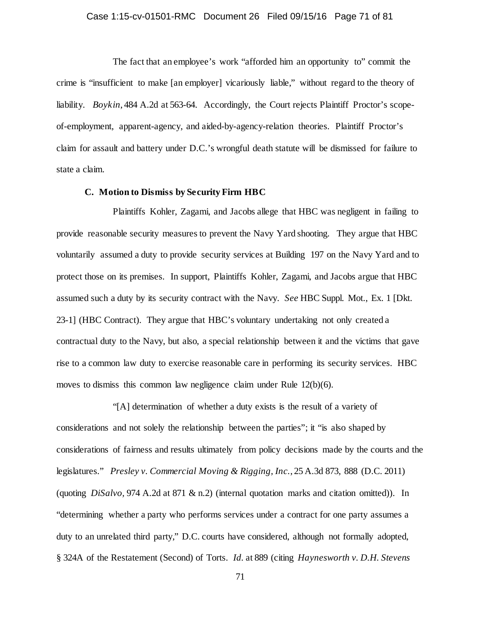## Case 1:15-cv-01501-RMC Document 26 Filed 09/15/16 Page 71 of 81

The fact that an employee's work "afforded him an opportunity to" commit the crime is "insufficient to make [an employer] vicariously liable," without regard to the theory of liability. *Boykin*, 484 A.2d at 563-64. Accordingly, the Court rejects Plaintiff Proctor's scopeof-employment, apparent-agency, and aided-by-agency-relation theories. Plaintiff Proctor's claim for assault and battery under D.C.'s wrongful death statute will be dismissed for failure to state a claim.

## **C. Motion to Dismiss by Security Firm HBC**

Plaintiffs Kohler, Zagami, and Jacobs allege that HBC was negligent in failing to provide reasonable security measures to prevent the Navy Yard shooting. They argue that HBC voluntarily assumed a duty to provide security services at Building 197 on the Navy Yard and to protect those on its premises. In support, Plaintiffs Kohler, Zagami, and Jacobs argue that HBC assumed such a duty by its security contract with the Navy. *See* HBC Suppl. Mot., Ex. 1 [Dkt. 23-1] (HBC Contract). They argue that HBC's voluntary undertaking not only created a contractual duty to the Navy, but also, a special relationship between it and the victims that gave rise to a common law duty to exercise reasonable care in performing its security services. HBC moves to dismiss this common law negligence claim under Rule 12(b)(6).

"[A] determination of whether a duty exists is the result of a variety of considerations and not solely the relationship between the parties"; it "is also shaped by considerations of fairness and results ultimately from policy decisions made by the courts and the legislatures." *Presley v. Commercial Moving & Rigging, Inc.*, 25 A.3d 873, 888 (D.C. 2011) (quoting *DiSalvo,* 974 A.2d at 871 & n.2) (internal quotation marks and citation omitted)). In "determining whether a party who performs services under a contract for one party assumes a duty to an unrelated third party," D.C. courts have considered, although not formally adopted, § 324A of the Restatement (Second) of Torts. *Id.* at 889 (citing *Haynesworth v. D.H. Stevens*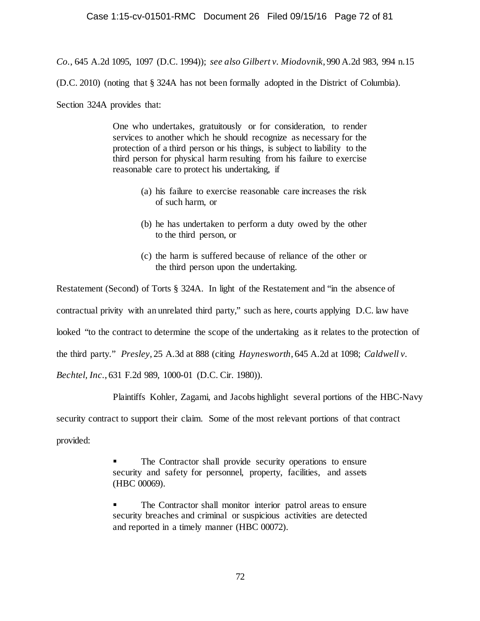*Co.*, 645 A.2d 1095, 1097 (D.C. 1994)); *see also Gilbert v. Miodovnik*, 990 A.2d 983, 994 n.15

(D.C. 2010) (noting that § 324A has not been formally adopted in the District of Columbia).

Section 324A provides that:

One who undertakes, gratuitously or for consideration, to render services to another which he should recognize as necessary for the protection of a third person or his things, is subject to liability to the third person for physical harm resulting from his failure to exercise reasonable care to protect his undertaking, if

- (a) his failure to exercise reasonable care increases the risk of such harm, or
- (b) he has undertaken to perform a duty owed by the other to the third person, or
- (c) the harm is suffered because of reliance of the other or the third person upon the undertaking.

Restatement (Second) of Torts § 324A. In light of the Restatement and "in the absence of contractual privity with an unrelated third party," such as here, courts applying D.C. law have looked "to the contract to determine the scope of the undertaking as it relates to the protection of the third party." *Presley*, 25 A.3d at 888 (citing *Haynesworth*, 645 A.2d at 1098; *Caldwell v. Bechtel, Inc.*, 631 F.2d 989, 1000-01 (D.C. Cir. 1980)).

Plaintiffs Kohler, Zagami, and Jacobs highlight several portions of the HBC-Navy

security contract to support their claim. Some of the most relevant portions of that contract

provided:

 The Contractor shall provide security operations to ensure security and safety for personnel, property, facilities, and assets (HBC 00069).

 The Contractor shall monitor interior patrol areas to ensure security breaches and criminal or suspicious activities are detected and reported in a timely manner (HBC 00072).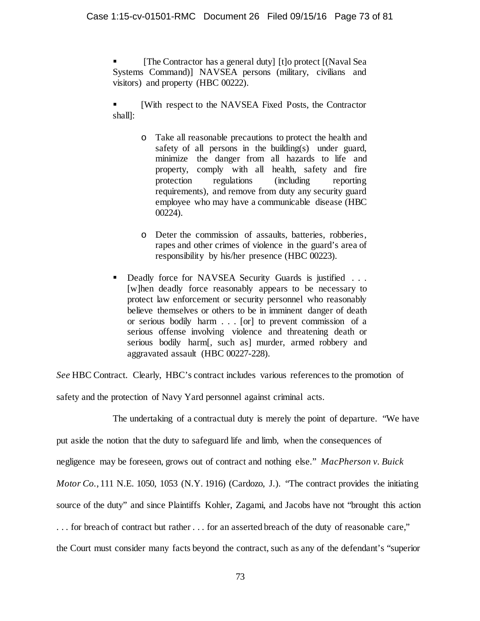[The Contractor has a general duty] [t]o protect [(Naval Sea Systems Command)] NAVSEA persons (military, civilians and visitors) and property (HBC 00222).

 [With respect to the NAVSEA Fixed Posts, the Contractor shall]:

- o Take all reasonable precautions to protect the health and safety of all persons in the building(s) under guard, minimize the danger from all hazards to life and property, comply with all health, safety and fire protection regulations (including reporting requirements), and remove from duty any security guard employee who may have a communicable disease (HBC 00224).
- o Deter the commission of assaults, batteries, robberies, rapes and other crimes of violence in the guard's area of responsibility by his/her presence (HBC 00223).
- Deadly force for NAVSEA Security Guards is justified . . . [w]hen deadly force reasonably appears to be necessary to protect law enforcement or security personnel who reasonably believe themselves or others to be in imminent danger of death or serious bodily harm . . . [or] to prevent commission of a serious offense involving violence and threatening death or serious bodily harm[, such as] murder, armed robbery and aggravated assault (HBC 00227-228).

*See* HBC Contract. Clearly, HBC's contract includes various references to the promotion of

safety and the protection of Navy Yard personnel against criminal acts.

The undertaking of a contractual duty is merely the point of departure. "We have put aside the notion that the duty to safeguard life and limb, when the consequences of negligence may be foreseen, grows out of contract and nothing else." *MacPherson v. Buick Motor Co.*, 111 N.E. 1050, 1053 (N.Y. 1916) (Cardozo, J.). "The contract provides the initiating source of the duty" and since Plaintiffs Kohler, Zagami, and Jacobs have not "brought this action . . . for breach of contract but rather . . . for an asserted breach of the duty of reasonable care," the Court must consider many facts beyond the contract, such as any of the defendant's "superior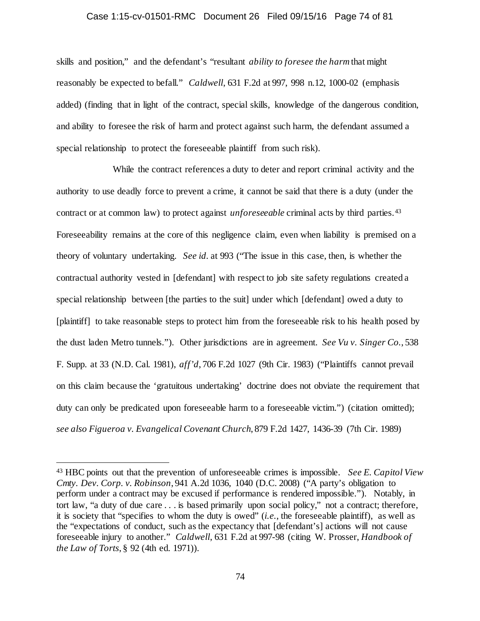#### Case 1:15-cv-01501-RMC Document 26 Filed 09/15/16 Page 74 of 81

skills and position," and the defendant's "resultant *ability to foresee the harm* that might reasonably be expected to befall." *Caldwell*, 631 F.2d at 997, 998 n.12, 1000-02 (emphasis added) (finding that in light of the contract, special skills, knowledge of the dangerous condition, and ability to foresee the risk of harm and protect against such harm, the defendant assumed a special relationship to protect the foreseeable plaintiff from such risk).

While the contract references a duty to deter and report criminal activity and the authority to use deadly force to prevent a crime, it cannot be said that there is a duty (under the contract or at common law) to protect against *unforeseeable* criminal acts by third parties.[43](#page-73-0) Foreseeability remains at the core of this negligence claim, even when liability is premised on a theory of voluntary undertaking. *See id.* at 993 ("The issue in this case, then, is whether the contractual authority vested in [defendant] with respect to job site safety regulations created a special relationship between [the parties to the suit] under which [defendant] owed a duty to [plaintiff] to take reasonable steps to protect him from the foreseeable risk to his health posed by the dust laden Metro tunnels."). Other jurisdictions are in agreement. *See Vu v. Singer Co.*, 538 F. Supp. at 33 (N.D. Cal. 1981), *aff'd*, 706 F.2d 1027 (9th Cir. 1983) ("Plaintiffs cannot prevail on this claim because the 'gratuitous undertaking' doctrine does not obviate the requirement that duty can only be predicated upon foreseeable harm to a foreseeable victim.") (citation omitted); *see also Figueroa v. Evangelical Covenant Church*, 879 F.2d 1427, 1436-39 (7th Cir. 1989)

<span id="page-73-0"></span> <sup>43</sup> HBC points out that the prevention of unforeseeable crimes is impossible. *See E. Capitol View Cmty. Dev. Corp. v. Robinson*, 941 A.2d 1036, 1040 (D.C. 2008) ("A party's obligation to perform under a contract may be excused if performance is rendered impossible."). Notably, in tort law, "a duty of due care . . . is based primarily upon social policy," not a contract; therefore, it is society that "specifies to whom the duty is owed" (*i.e.*, the foreseeable plaintiff), as well as the "expectations of conduct, such as the expectancy that [defendant's] actions will not cause foreseeable injury to another." *Caldwell*, 631 F.2d at 997-98 (citing W. Prosser, *Handbook of the Law of Torts*, § 92 (4th ed. 1971)).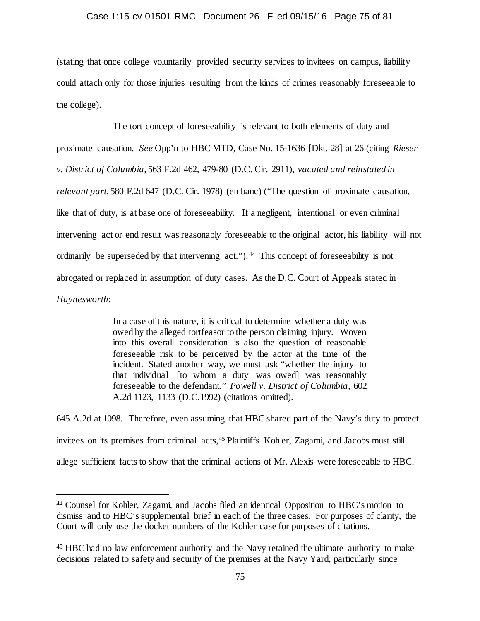### Case 1:15-cv-01501-RMC Document 26 Filed 09/15/16 Page 75 of 81

(stating that once college voluntarily provided security services to invitees on campus, liability could attach only for those injuries resulting from the kinds of crimes reasonably foreseeable to the college).

The tort concept of foreseeability is relevant to both elements of duty and proximate causation. *See* Opp'n to HBC MTD, Case No. 15-1636 [Dkt. 28] at 26 (citing *Rieser v. District of Columbia*, 563 F.2d 462, 479-80 (D.C. Cir. 2911), *vacated and reinstated in relevant part*, 580 F.2d 647 (D.C. Cir. 1978) (en banc) ("The question of proximate causation, like that of duty, is at base one of foreseeability. If a negligent, intentional or even criminal intervening act or end result was reasonably foreseeable to the original actor, his liability will not ordinarily be superseded by that intervening act.").<sup>44</sup> This concept of foreseeability is not abrogated or replaced in assumption of duty cases. As the D.C. Court of Appeals stated in *Haynesworth*:

> In a case of this nature, it is critical to determine whether a duty was owed by the alleged tortfeasor to the person claiming injury. Woven into this overall consideration is also the question of reasonable foreseeable risk to be perceived by the actor at the time of the incident. Stated another way, we must ask "whether the injury to that individual [to whom a duty was owed] was reasonably foreseeable to the defendant." *Powell v. District of Columbia,* 602 A.2d 1123, 1133 (D.C.1992) (citations omitted).

645 A.2d at 1098. Therefore, even assuming that HBC shared part of the Navy's duty to protect invitees on its premises from criminal acts[,45](#page-74-1) Plaintiffs Kohler, Zagami, and Jacobs must still allege sufficient facts to show that the criminal actions of Mr. Alexis were foreseeable to HBC.

<span id="page-74-0"></span> <sup>44</sup> Counsel for Kohler, Zagami, and Jacobs filed an identical Opposition to HBC's motion to dismiss and to HBC's supplemental brief in each of the three cases. For purposes of clarity, the Court will only use the docket numbers of the Kohler case for purposes of citations.

<span id="page-74-1"></span><sup>45</sup> HBC had no law enforcement authority and the Navy retained the ultimate authority to make decisions related to safety and security of the premises at the Navy Yard, particularly since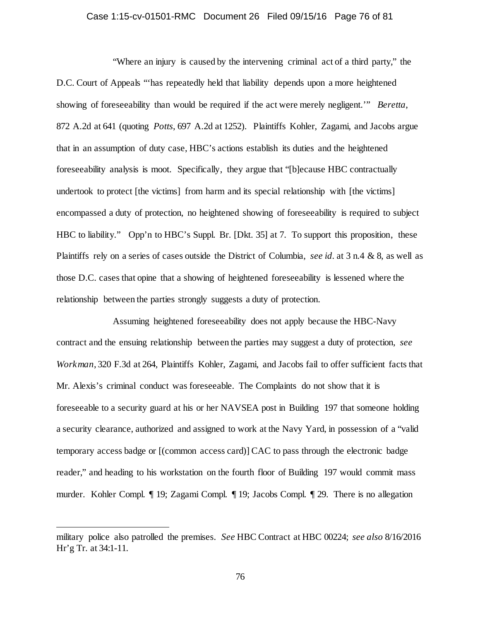### Case 1:15-cv-01501-RMC Document 26 Filed 09/15/16 Page 76 of 81

"Where an injury is caused by the intervening criminal act of a third party," the D.C. Court of Appeals "'has repeatedly held that liability depends upon a more heightened showing of foreseeability than would be required if the act were merely negligent.'" *Beretta*, 872 A.2d at 641 (quoting *Potts*, 697 A.2d at 1252). Plaintiffs Kohler, Zagami, and Jacobs argue that in an assumption of duty case, HBC's actions establish its duties and the heightened foreseeability analysis is moot. Specifically, they argue that "[b]ecause HBC contractually undertook to protect [the victims] from harm and its special relationship with [the victims] encompassed a duty of protection, no heightened showing of foreseeability is required to subject HBC to liability." Opp'n to HBC's Suppl. Br. [Dkt. 35] at 7. To support this proposition, these Plaintiffs rely on a series of cases outside the District of Columbia, *see id.* at 3 n.4 & 8, as well as those D.C. cases that opine that a showing of heightened foreseeability is lessened where the relationship between the parties strongly suggests a duty of protection.

Assuming heightened foreseeability does not apply because the HBC-Navy contract and the ensuing relationship between the parties may suggest a duty of protection, *see Workman*, 320 F.3d at 264, Plaintiffs Kohler, Zagami, and Jacobs fail to offer sufficient facts that Mr. Alexis's criminal conduct was foreseeable. The Complaints do not show that it is foreseeable to a security guard at his or her NAVSEA post in Building 197 that someone holding a security clearance, authorized and assigned to work at the Navy Yard, in possession of a "valid temporary access badge or [(common access card)] CAC to pass through the electronic badge reader," and heading to his workstation on the fourth floor of Building 197 would commit mass murder. Kohler Compl. ¶ 19; Zagami Compl. ¶ 19; Jacobs Compl. ¶ 29. There is no allegation

l

military police also patrolled the premises. *See* HBC Contract at HBC 00224; *see also* 8/16/2016 Hr'g Tr. at 34:1-11.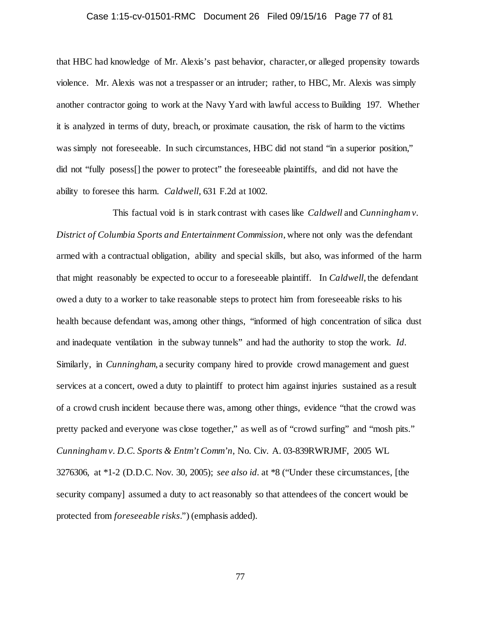### Case 1:15-cv-01501-RMC Document 26 Filed 09/15/16 Page 77 of 81

that HBC had knowledge of Mr. Alexis's past behavior, character, or alleged propensity towards violence. Mr. Alexis was not a trespasser or an intruder; rather, to HBC, Mr. Alexis was simply another contractor going to work at the Navy Yard with lawful access to Building 197. Whether it is analyzed in terms of duty, breach, or proximate causation, the risk of harm to the victims was simply not foreseeable. In such circumstances, HBC did not stand "in a superior position," did not "fully posess[] the power to protect" the foreseeable plaintiffs, and did not have the ability to foresee this harm. *Caldwell*, 631 F.2d at 1002.

This factual void is in stark contrast with cases like *Caldwell* and *Cunningham v. District of Columbia Sports and Entertainment Commission*, where not only was the defendant armed with a contractual obligation, ability and special skills, but also, was informed of the harm that might reasonably be expected to occur to a foreseeable plaintiff. In *Caldwell*, the defendant owed a duty to a worker to take reasonable steps to protect him from foreseeable risks to his health because defendant was, among other things, "informed of high concentration of silica dust and inadequate ventilation in the subway tunnels" and had the authority to stop the work. *Id.* Similarly, in *Cunningham*, a security company hired to provide crowd management and guest services at a concert, owed a duty to plaintiff to protect him against injuries sustained as a result of a crowd crush incident because there was, among other things, evidence "that the crowd was pretty packed and everyone was close together," as well as of "crowd surfing" and "mosh pits." *Cunningham v. D.C. Sports & Entm't Comm'n*, No. Civ. A. 03-839RWRJMF, 2005 WL 3276306, at \*1-2 (D.D.C. Nov. 30, 2005); *see also id.* at \*8 ("Under these circumstances, [the security company] assumed a duty to act reasonably so that attendees of the concert would be protected from *foreseeable risks*.") (emphasis added).

77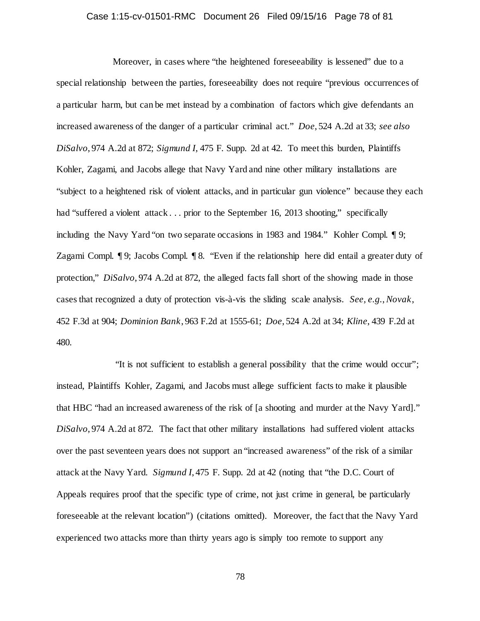### Case 1:15-cv-01501-RMC Document 26 Filed 09/15/16 Page 78 of 81

Moreover, in cases where "the heightened foreseeability is lessened" due to a special relationship between the parties, foreseeability does not require "previous occurrences of a particular harm, but can be met instead by a combination of factors which give defendants an increased awareness of the danger of a particular criminal act." *Doe*, 524 A.2d at 33; *see also DiSalvo*, 974 A.2d at 872; *Sigmund I*, 475 F. Supp. 2d at 42. To meet this burden, Plaintiffs Kohler, Zagami, and Jacobs allege that Navy Yard and nine other military installations are "subject to a heightened risk of violent attacks, and in particular gun violence" because they each had "suffered a violent attack . . . prior to the September 16, 2013 shooting," specifically including the Navy Yard "on two separate occasions in 1983 and 1984." Kohler Compl. ¶ 9; Zagami Compl. ¶ 9; Jacobs Compl. ¶ 8. "Even if the relationship here did entail a greater duty of protection," *DiSalvo*, 974 A.2d at 872, the alleged facts fall short of the showing made in those cases that recognized a duty of protection vis-à-vis the sliding scale analysis. *See, e.g.*, *Novak*, 452 F.3d at 904; *Dominion Bank*, 963 F.2d at 1555-61; *Doe*, 524 A.2d at 34; *Kline*, 439 F.2d at 480.

"It is not sufficient to establish a general possibility that the crime would occur"; instead, Plaintiffs Kohler, Zagami, and Jacobs must allege sufficient facts to make it plausible that HBC "had an increased awareness of the risk of [a shooting and murder at the Navy Yard]." *DiSalvo*, 974 A.2d at 872. The fact that other military installations had suffered violent attacks over the past seventeen years does not support an "increased awareness" of the risk of a similar attack at the Navy Yard. *Sigmund I*, 475 F. Supp. 2d at 42 (noting that "the D.C. Court of Appeals requires proof that the specific type of crime, not just crime in general, be particularly foreseeable at the relevant location") (citations omitted). Moreover, the fact that the Navy Yard experienced two attacks more than thirty years ago is simply too remote to support any

78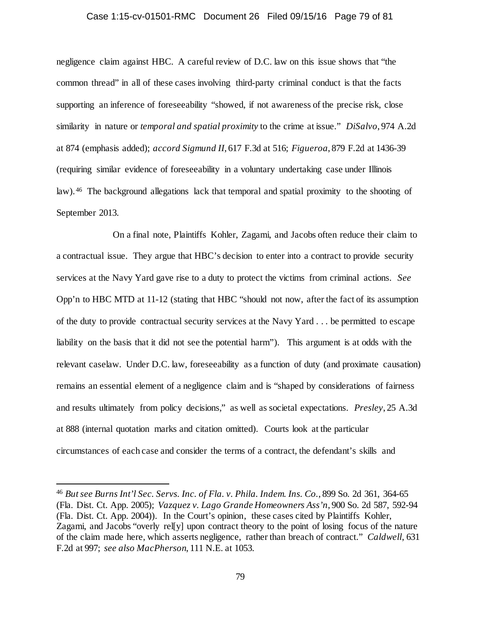#### Case 1:15-cv-01501-RMC Document 26 Filed 09/15/16 Page 79 of 81

negligence claim against HBC. A careful review of D.C. law on this issue shows that "the common thread" in all of these cases involving third-party criminal conduct is that the facts supporting an inference of foreseeability "showed, if not awareness of the precise risk, close similarity in nature or *temporal and spatial proximity* to the crime at issue." *DiSalvo*, 974 A.2d at 874 (emphasis added); *accord Sigmund II*, 617 F.3d at 516; *Figueroa*, 879 F.2d at 1436-39 (requiring similar evidence of foreseeability in a voluntary undertaking case under Illinois law). [46](#page-78-0) The background allegations lack that temporal and spatial proximity to the shooting of September 2013.

On a final note, Plaintiffs Kohler, Zagami, and Jacobs often reduce their claim to a contractual issue. They argue that HBC's decision to enter into a contract to provide security services at the Navy Yard gave rise to a duty to protect the victims from criminal actions. *See* Opp'n to HBC MTD at 11-12 (stating that HBC "should not now, after the fact of its assumption of the duty to provide contractual security services at the Navy Yard . . . be permitted to escape liability on the basis that it did not see the potential harm"). This argument is at odds with the relevant caselaw. Under D.C. law, foreseeability as a function of duty (and proximate causation) remains an essential element of a negligence claim and is "shaped by considerations of fairness and results ultimately from policy decisions," as well as societal expectations. *Presley*, 25 A.3d at 888 (internal quotation marks and citation omitted). Courts look at the particular circumstances of each case and consider the terms of a contract, the defendant's skills and

<span id="page-78-0"></span> <sup>46</sup> *But see Burns Int'l Sec. Servs. Inc. of Fla. v. Phila. Indem. Ins. Co.*, 899 So. 2d 361, 364-65 (Fla. Dist. Ct. App. 2005); *Vazquez v. Lago Grande Homeowners Ass'n*, 900 So. 2d 587, 592-94 (Fla. Dist. Ct. App. 2004)). In the Court's opinion, these cases cited by Plaintiffs Kohler, Zagami, and Jacobs "overly rel[y] upon contract theory to the point of losing focus of the nature of the claim made here, which asserts negligence, rather than breach of contract." *Caldwell*, 631 F.2d at 997; *see also MacPherson*, 111 N.E. at 1053.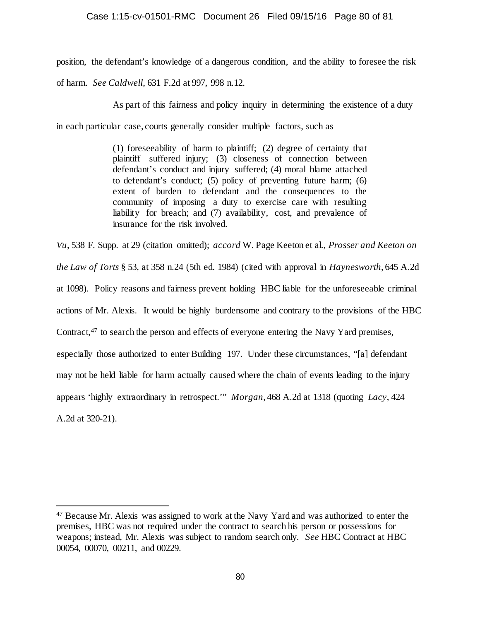## Case 1:15-cv-01501-RMC Document 26 Filed 09/15/16 Page 80 of 81

position, the defendant's knowledge of a dangerous condition, and the ability to foresee the risk

of harm. *See Caldwell*, 631 F.2d at 997, 998 n.12.

As part of this fairness and policy inquiry in determining the existence of a duty

in each particular case, courts generally consider multiple factors, such as

(1) foreseeability of harm to plaintiff; (2) degree of certainty that plaintiff suffered injury; (3) closeness of connection between defendant's conduct and injury suffered; (4) moral blame attached to defendant's conduct; (5) policy of preventing future harm; (6) extent of burden to defendant and the consequences to the community of imposing a duty to exercise care with resulting liability for breach; and (7) availability, cost, and prevalence of insurance for the risk involved.

*Vu*, 538 F. Supp. at 29 (citation omitted); *accord* W. Page Keeton et al., *Prosser and Keeton on the Law of Torts* § 53, at 358 n.24 (5th ed. 1984) (cited with approval in *Haynesworth*, 645 A.2d at 1098). Policy reasons and fairness prevent holding HBC liable for the unforeseeable criminal actions of Mr. Alexis. It would be highly burdensome and contrary to the provisions of the HBC Contract,<sup>[47](#page-79-0)</sup> to search the person and effects of everyone entering the Navy Yard premises, especially those authorized to enter Building 197. Under these circumstances, "[a] defendant may not be held liable for harm actually caused where the chain of events leading to the injury appears 'highly extraordinary in retrospect.'" *Morgan*, 468 A.2d at 1318 (quoting *Lacy*, 424 A.2d at 320-21).

<span id="page-79-0"></span> <sup>47</sup> Because Mr. Alexis was assigned to work at the Navy Yard and was authorized to enter the premises, HBC was not required under the contract to search his person or possessions for weapons; instead, Mr. Alexis was subject to random search only. *See* HBC Contract at HBC 00054, 00070, 00211, and 00229.